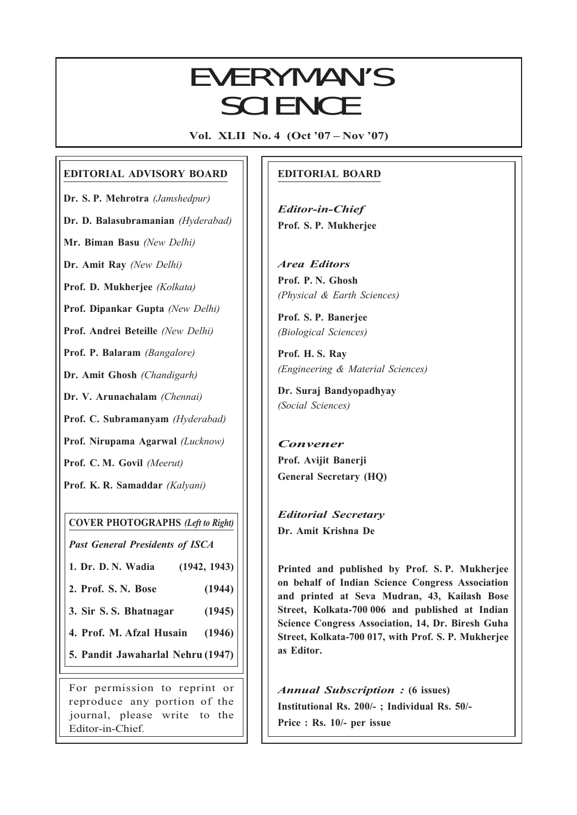## EVERYMAN'S SCIENCE

Vol. XLII No. 4 (Oct '07 – Nov '07)

### EDITORIAL ADVISORY BOARD

Dr. S. P. Mehrotra (Jamshedpur) Dr. D. Balasubramanian (Hyderabad)

Mr. Biman Basu (New Delhi)

Dr. Amit Ray (New Delhi)

Prof. D. Mukherjee (Kolkata)

Prof. Dipankar Gupta (New Delhi)

Prof. Andrei Beteille (New Delhi)

Prof. P. Balaram (Bangalore)

Dr. Amit Ghosh (Chandigarh)

Dr. V. Arunachalam (Chennai)

Prof. C. Subramanyam (Hyderabad)

Prof. Nirupama Agarwal (Lucknow)

Prof. C. M. Govil (Meerut)

Prof. K. R. Samaddar (Kalyani)

COVER PHOTOGRAPHS (Left to Right)

Past General Presidents of ISCA

1. Dr. D. N. Wadia (1942, 1943)

2. Prof. S. N. Bose (1944)

3. Sir S. S. Bhatnagar (1945)

4. Prof. M. Afzal Husain (1946)

5. Pandit Jawaharlal Nehru (1947)

For permission to reprint or reproduce any portion of the journal, please write to the Editor-in-Chief.

### EDITORIAL BOARD

Editor-in-Chief Prof. S. P. Mukherjee

Area Editors Prof. P. N. Ghosh (Physical & Earth Sciences)

Prof. S. P. Banerjee (Biological Sciences)

Prof. H. S. Ray (Engineering & Material Sciences)

Dr. Suraj Bandyopadhyay (Social Sciences)

Convener Prof. Avijit Banerji General Secretary (HQ)

Editorial Secretary Dr. Amit Krishna De

173<br>173 - Johann Barnes<br>173 - Johann Barnes

Printed and published by Prof. S. P. Mukherjee on behalf of Indian Science Congress Association and printed at Seva Mudran, 43, Kailash Bose Street, Kolkata-700 006 and published at Indian Science Congress Association, 14, Dr. Biresh Guha Street, Kolkata-700 017, with Prof. S. P. Mukherjee as Editor.

Annual Subscription : (6 issues) Institutional Rs. 200/- ; Individual Rs. 50/- Price : Rs. 10/- per issue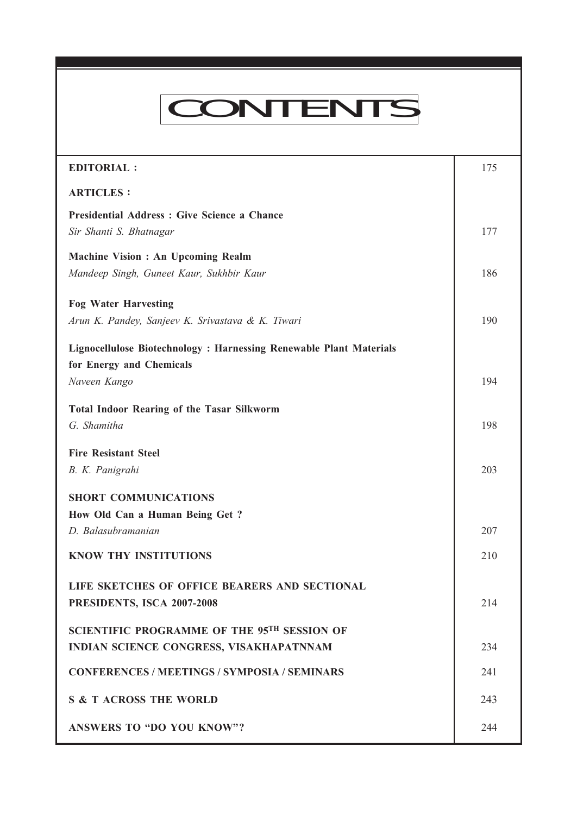# CONTENTS

Every many management of the Science VOL. XLII NO. 4, Oct '07 — Nov '07 — Nov '07 — Nov '07 — Nov '07 — Nov '0<br>The Science VOL. XLII NO. 4, Oct '07 — Nov '07 — Nov '07 — Nov '07 — Nov '07 — Nov '07 — Nov '07 — Nov '07 — N

| <b>EDITORIAL:</b>                                                  | 175 |
|--------------------------------------------------------------------|-----|
| <b>ARTICLES:</b>                                                   |     |
| Presidential Address : Give Science a Chance                       |     |
| Sir Shanti S. Bhatnagar                                            | 177 |
| Machine Vision : An Upcoming Realm                                 |     |
| Mandeep Singh, Guneet Kaur, Sukhbir Kaur                           | 186 |
| <b>Fog Water Harvesting</b>                                        |     |
| Arun K. Pandey, Sanjeev K. Srivastava & K. Tiwari                  | 190 |
| Lignocellulose Biotechnology: Harnessing Renewable Plant Materials |     |
| for Energy and Chemicals                                           |     |
| Naveen Kango                                                       | 194 |
| <b>Total Indoor Rearing of the Tasar Silkworm</b>                  |     |
| G. Shamitha                                                        | 198 |
| <b>Fire Resistant Steel</b>                                        |     |
| B. K. Panigrahi                                                    | 203 |
| <b>SHORT COMMUNICATIONS</b>                                        |     |
| How Old Can a Human Being Get ?                                    |     |
| D. Balasubramanian                                                 | 207 |
| <b>KNOW THY INSTITUTIONS</b>                                       | 210 |
| LIFE SKETCHES OF OFFICE BEARERS AND SECTIONAL                      |     |
| PRESIDENTS, ISCA 2007-2008                                         | 214 |
| <b>SCIENTIFIC PROGRAMME OF THE 95TH SESSION OF</b>                 |     |
| INDIAN SCIENCE CONGRESS, VISAKHAPATNNAM                            | 234 |
|                                                                    |     |
| <b>CONFERENCES / MEETINGS / SYMPOSIA / SEMINARS</b>                | 241 |
| <b>S &amp; T ACROSS THE WORLD</b>                                  | 243 |
| <b>ANSWERS TO "DO YOU KNOW"?</b>                                   | 244 |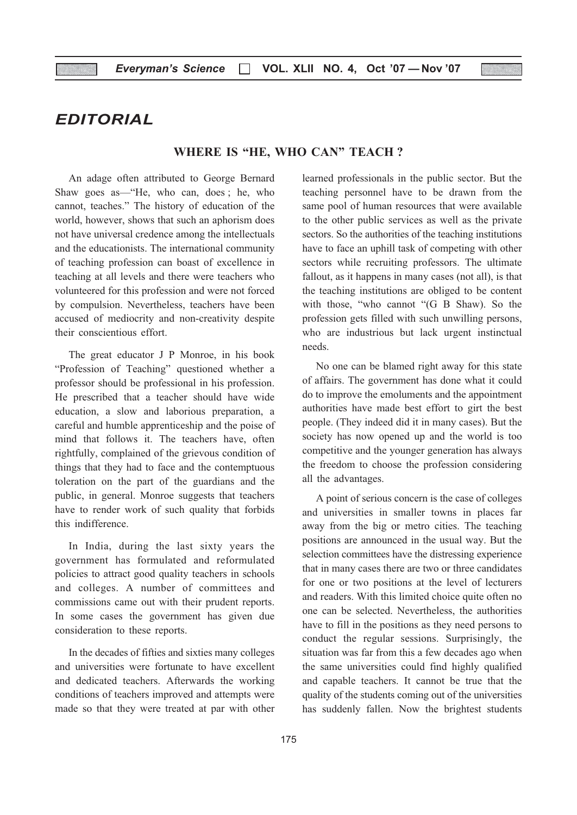EDITORIAL

### WHERE IS "HE, WHO CAN" TEACH?

An adage often attributed to George Bernard Shaw goes as—"He, who can, does ; he, who cannot, teaches." The history of education of the world, however, shows that such an aphorism does not have universal credence among the intellectuals and the educationists. The international community of teaching profession can boast of excellence in teaching at all levels and there were teachers who volunteered for this profession and were not forced by compulsion. Nevertheless, teachers have been accused of mediocrity and non-creativity despite their conscientious effort.

The great educator J P Monroe, in his book "Profession of Teaching" questioned whether a professor should be professional in his profession. He prescribed that a teacher should have wide education, a slow and laborious preparation, a careful and humble apprenticeship and the poise of mind that follows it. The teachers have, often rightfully, complained of the grievous condition of things that they had to face and the contemptuous toleration on the part of the guardians and the public, in general. Monroe suggests that teachers have to render work of such quality that forbids this indifference.

In India, during the last sixty years the government has formulated and reformulated policies to attract good quality teachers in schools and colleges. A number of committees and commissions came out with their prudent reports. In some cases the government has given due consideration to these reports.

In the decades of fifties and sixties many colleges and universities were fortunate to have excellent and dedicated teachers. Afterwards the working conditions of teachers improved and attempts were made so that they were treated at par with other learned professionals in the public sector. But the teaching personnel have to be drawn from the same pool of human resources that were available to the other public services as well as the private sectors. So the authorities of the teaching institutions have to face an uphill task of competing with other sectors while recruiting professors. The ultimate fallout, as it happens in many cases (not all), is that the teaching institutions are obliged to be content with those, "who cannot "(G B Shaw). So the profession gets filled with such unwilling persons, who are industrious but lack urgent instinctual needs.

No one can be blamed right away for this state of affairs. The government has done what it could do to improve the emoluments and the appointment authorities have made best effort to girt the best people. (They indeed did it in many cases). But the society has now opened up and the world is too competitive and the younger generation has always the freedom to choose the profession considering all the advantages.

A point of serious concern is the case of colleges and universities in smaller towns in places far away from the big or metro cities. The teaching positions are announced in the usual way. But the selection committees have the distressing experience that in many cases there are two or three candidates for one or two positions at the level of lecturers and readers. With this limited choice quite often no one can be selected. Nevertheless, the authorities have to fill in the positions as they need persons to conduct the regular sessions. Surprisingly, the situation was far from this a few decades ago when the same universities could find highly qualified and capable teachers. It cannot be true that the quality of the students coming out of the universities has suddenly fallen. Now the brightest students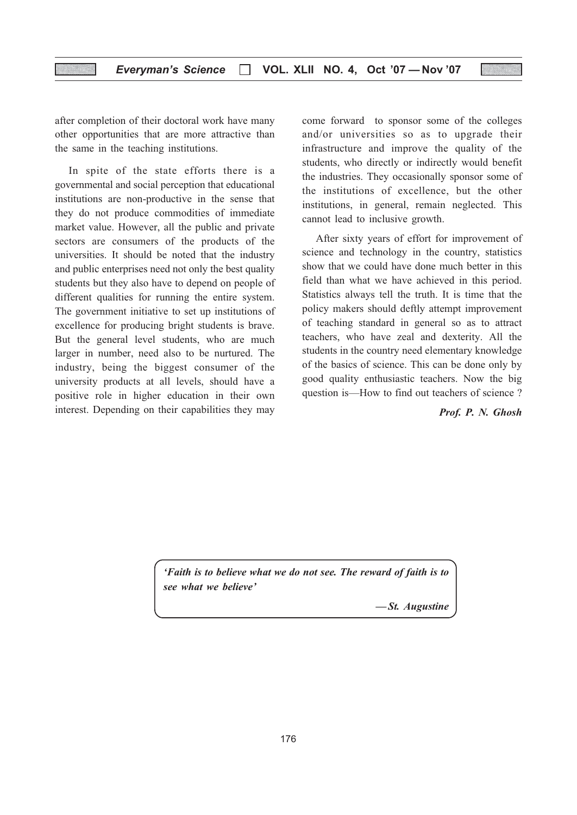### Everyman's Science  $\Box$  VOL. XLII NO. 4, Oct '07 - Nov '07

after completion of their doctoral work have many other opportunities that are more attractive than the same in the teaching institutions.

In spite of the state efforts there is a governmental and social perception that educational institutions are non-productive in the sense that they do not produce commodities of immediate market value. However, all the public and private sectors are consumers of the products of the universities. It should be noted that the industry and public enterprises need not only the best quality students but they also have to depend on people of different qualities for running the entire system. The government initiative to set up institutions of excellence for producing bright students is brave. But the general level students, who are much larger in number, need also to be nurtured. The industry, being the biggest consumer of the university products at all levels, should have a positive role in higher education in their own interest. Depending on their capabilities they may

come forward to sponsor some of the colleges and/or universities so as to upgrade their infrastructure and improve the quality of the students, who directly or indirectly would benefit the industries. They occasionally sponsor some of the institutions of excellence, but the other institutions, in general, remain neglected. This cannot lead to inclusive growth.

After sixty years of effort for improvement of science and technology in the country, statistics show that we could have done much better in this field than what we have achieved in this period. Statistics always tell the truth. It is time that the policy makers should deftly attempt improvement of teaching standard in general so as to attract teachers, who have zeal and dexterity. All the students in the country need elementary knowledge of the basics of science. This can be done only by good quality enthusiastic teachers. Now the big question is—How to find out teachers of science ?

Prof. P. N. Ghosh

'Faith is to believe what we do not see. The reward of faith is to see what we believe'

— St. Augustine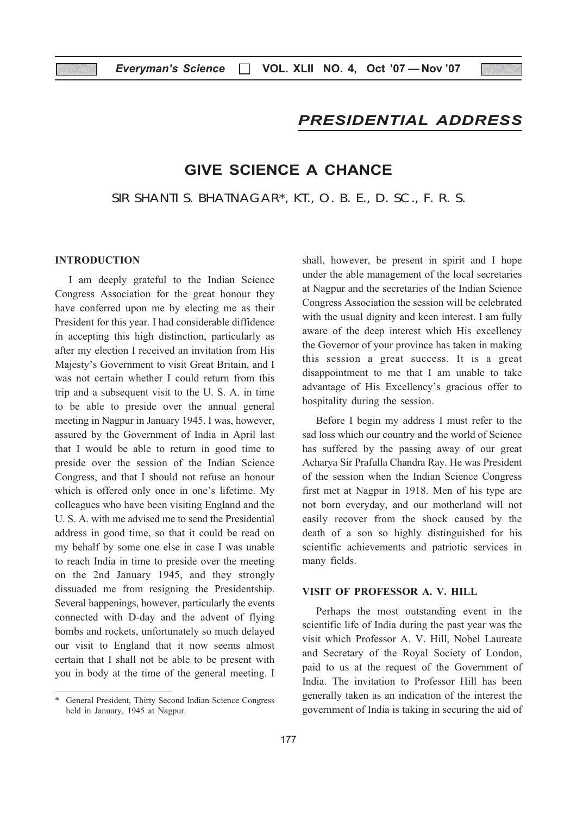### PRESIDENTIAL ADDRESS

### GIVE SCIENCE A CHANCE

SIR SHANTI S. BHATNAGAR\*, KT., O. B. E., D. SC., F. R. S.

### INTRODUCTION

I am deeply grateful to the Indian Science Congress Association for the great honour they have conferred upon me by electing me as their President for this year. I had considerable diffidence in accepting this high distinction, particularly as after my election I received an invitation from His Majesty's Government to visit Great Britain, and I was not certain whether I could return from this trip and a subsequent visit to the U. S. A. in time to be able to preside over the annual general meeting in Nagpur in January 1945. I was, however, assured by the Government of India in April last that I would be able to return in good time to preside over the session of the Indian Science Congress, and that I should not refuse an honour which is offered only once in one's lifetime. My colleagues who have been visiting England and the U. S. A. with me advised me to send the Presidential address in good time, so that it could be read on my behalf by some one else in case I was unable to reach India in time to preside over the meeting on the 2nd January 1945, and they strongly dissuaded me from resigning the Presidentship. Several happenings, however, particularly the events connected with D-day and the advent of flying bombs and rockets, unfortunately so much delayed our visit to England that it now seems almost certain that I shall not be able to be present with you in body at the time of the general meeting. I

shall, however, be present in spirit and I hope under the able management of the local secretaries at Nagpur and the secretaries of the Indian Science Congress Association the session will be celebrated with the usual dignity and keen interest. I am fully aware of the deep interest which His excellency the Governor of your province has taken in making this session a great success. It is a great disappointment to me that I am unable to take advantage of His Excellency's gracious offer to hospitality during the session.

Before I begin my address I must refer to the sad loss which our country and the world of Science has suffered by the passing away of our great Acharya Sir Prafulla Chandra Ray. He was President of the session when the Indian Science Congress first met at Nagpur in 1918. Men of his type are not born everyday, and our motherland will not easily recover from the shock caused by the death of a son so highly distinguished for his scientific achievements and patriotic services in many fields.

### VISIT OF PROFESSOR A. V. HILL

Perhaps the most outstanding event in the scientific life of India during the past year was the visit which Professor A. V. Hill, Nobel Laureate and Secretary of the Royal Society of London, paid to us at the request of the Government of India. The invitation to Professor Hill has been generally taken as an indication of the interest the government of India is taking in securing the aid of

General President, Thirty Second Indian Science Congress held in January, 1945 at Nagpur.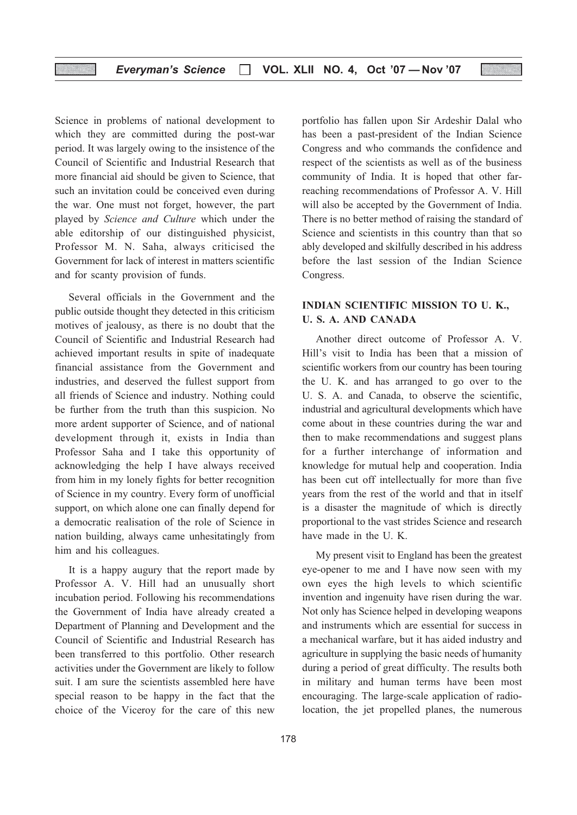Science in problems of national development to which they are committed during the post-war period. It was largely owing to the insistence of the Council of Scientific and Industrial Research that more financial aid should be given to Science, that such an invitation could be conceived even during the war. One must not forget, however, the part played by Science and Culture which under the able editorship of our distinguished physicist, Professor M. N. Saha, always criticised the Government for lack of interest in matters scientific and for scanty provision of funds.

Several officials in the Government and the public outside thought they detected in this criticism motives of jealousy, as there is no doubt that the Council of Scientific and Industrial Research had achieved important results in spite of inadequate financial assistance from the Government and industries, and deserved the fullest support from all friends of Science and industry. Nothing could be further from the truth than this suspicion. No more ardent supporter of Science, and of national development through it, exists in India than Professor Saha and I take this opportunity of acknowledging the help I have always received from him in my lonely fights for better recognition of Science in my country. Every form of unofficial support, on which alone one can finally depend for a democratic realisation of the role of Science in nation building, always came unhesitatingly from him and his colleagues.

It is a happy augury that the report made by Professor A. V. Hill had an unusually short incubation period. Following his recommendations the Government of India have already created a Department of Planning and Development and the Council of Scientific and Industrial Research has been transferred to this portfolio. Other research activities under the Government are likely to follow suit. I am sure the scientists assembled here have special reason to be happy in the fact that the choice of the Viceroy for the care of this new

portfolio has fallen upon Sir Ardeshir Dalal who has been a past-president of the Indian Science Congress and who commands the confidence and respect of the scientists as well as of the business community of India. It is hoped that other farreaching recommendations of Professor A. V. Hill will also be accepted by the Government of India. There is no better method of raising the standard of Science and scientists in this country than that so ably developed and skilfully described in his address before the last session of the Indian Science Congress.

### INDIAN SCIENTIFIC MISSION TO U. K., U. S. A. AND CANADA

Another direct outcome of Professor A. V. Hill's visit to India has been that a mission of scientific workers from our country has been touring the U. K. and has arranged to go over to the U. S. A. and Canada, to observe the scientific, industrial and agricultural developments which have come about in these countries during the war and then to make recommendations and suggest plans for a further interchange of information and knowledge for mutual help and cooperation. India has been cut off intellectually for more than five years from the rest of the world and that in itself is a disaster the magnitude of which is directly proportional to the vast strides Science and research have made in the U. K.

My present visit to England has been the greatest eye-opener to me and I have now seen with my own eyes the high levels to which scientific invention and ingenuity have risen during the war. Not only has Science helped in developing weapons and instruments which are essential for success in a mechanical warfare, but it has aided industry and agriculture in supplying the basic needs of humanity during a period of great difficulty. The results both in military and human terms have been most encouraging. The large-scale application of radiolocation, the jet propelled planes, the numerous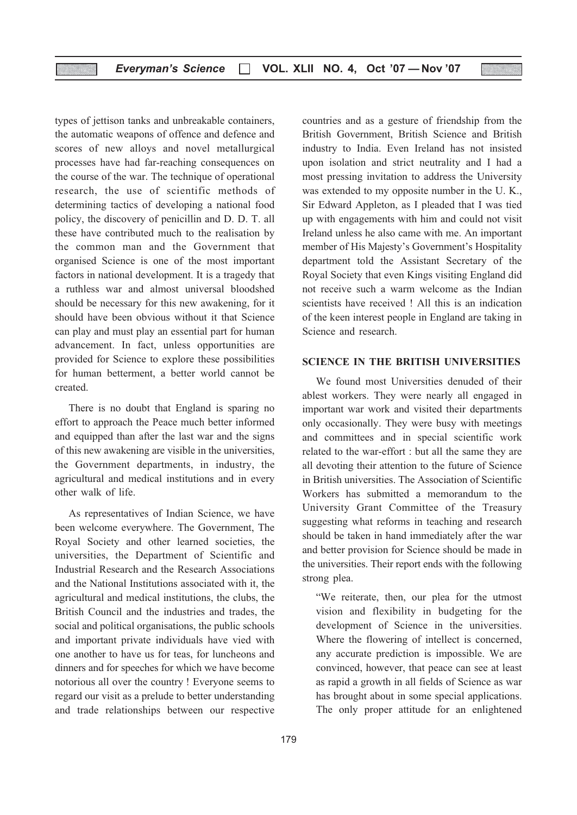types of jettison tanks and unbreakable containers, the automatic weapons of offence and defence and scores of new alloys and novel metallurgical processes have had far-reaching consequences on the course of the war. The technique of operational research, the use of scientific methods of determining tactics of developing a national food policy, the discovery of penicillin and D. D. T. all these have contributed much to the realisation by the common man and the Government that organised Science is one of the most important factors in national development. It is a tragedy that a ruthless war and almost universal bloodshed should be necessary for this new awakening, for it should have been obvious without it that Science can play and must play an essential part for human advancement. In fact, unless opportunities are provided for Science to explore these possibilities for human betterment, a better world cannot be created.

There is no doubt that England is sparing no effort to approach the Peace much better informed and equipped than after the last war and the signs of this new awakening are visible in the universities, the Government departments, in industry, the agricultural and medical institutions and in every other walk of life.

As representatives of Indian Science, we have been welcome everywhere. The Government, The Royal Society and other learned societies, the universities, the Department of Scientific and Industrial Research and the Research Associations and the National Institutions associated with it, the agricultural and medical institutions, the clubs, the British Council and the industries and trades, the social and political organisations, the public schools and important private individuals have vied with one another to have us for teas, for luncheons and dinners and for speeches for which we have become notorious all over the country ! Everyone seems to regard our visit as a prelude to better understanding and trade relationships between our respective

countries and as a gesture of friendship from the British Government, British Science and British industry to India. Even Ireland has not insisted upon isolation and strict neutrality and I had a most pressing invitation to address the University was extended to my opposite number in the U. K., Sir Edward Appleton, as I pleaded that I was tied up with engagements with him and could not visit Ireland unless he also came with me. An important member of His Majesty's Government's Hospitality department told the Assistant Secretary of the Royal Society that even Kings visiting England did not receive such a warm welcome as the Indian scientists have received ! All this is an indication of the keen interest people in England are taking in Science and research.

### SCIENCE IN THE BRITISH UNIVERSITIES

We found most Universities denuded of their ablest workers. They were nearly all engaged in important war work and visited their departments only occasionally. They were busy with meetings and committees and in special scientific work related to the war-effort : but all the same they are all devoting their attention to the future of Science in British universities. The Association of Scientific Workers has submitted a memorandum to the University Grant Committee of the Treasury suggesting what reforms in teaching and research should be taken in hand immediately after the war and better provision for Science should be made in the universities. Their report ends with the following strong plea.

"We reiterate, then, our plea for the utmost vision and flexibility in budgeting for the development of Science in the universities. Where the flowering of intellect is concerned, any accurate prediction is impossible. We are convinced, however, that peace can see at least as rapid a growth in all fields of Science as war has brought about in some special applications. The only proper attitude for an enlightened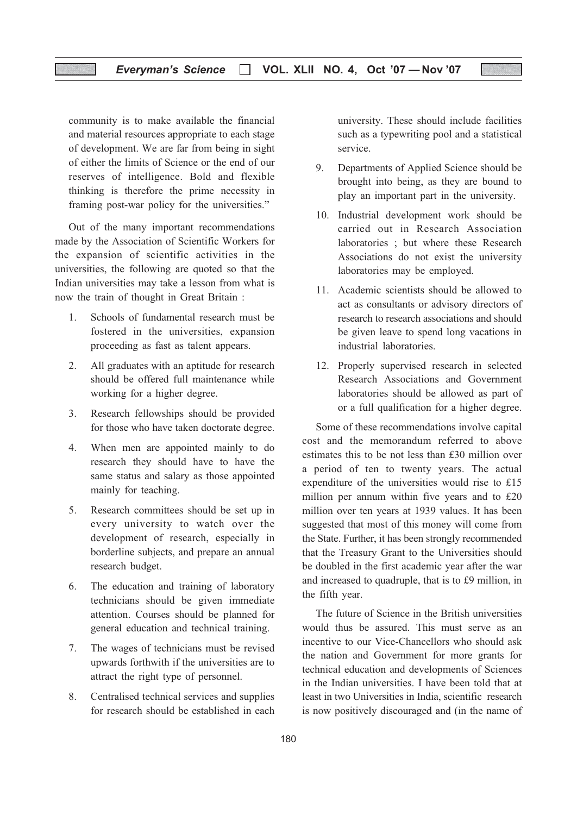### Everyman's Science  $\Box$  VOL. XLII NO. 4, Oct '07 - Nov '07

community is to make available the financial and material resources appropriate to each stage of development. We are far from being in sight of either the limits of Science or the end of our reserves of intelligence. Bold and flexible thinking is therefore the prime necessity in framing post-war policy for the universities."

Out of the many important recommendations made by the Association of Scientific Workers for the expansion of scientific activities in the universities, the following are quoted so that the Indian universities may take a lesson from what is now the train of thought in Great Britain :

- 1. Schools of fundamental research must be fostered in the universities, expansion proceeding as fast as talent appears.
- 2. All graduates with an aptitude for research should be offered full maintenance while working for a higher degree.
- 3. Research fellowships should be provided for those who have taken doctorate degree.
- 4. When men are appointed mainly to do research they should have to have the same status and salary as those appointed mainly for teaching.
- 5. Research committees should be set up in every university to watch over the development of research, especially in borderline subjects, and prepare an annual research budget.
- 6. The education and training of laboratory technicians should be given immediate attention. Courses should be planned for general education and technical training.
- 7. The wages of technicians must be revised upwards forthwith if the universities are to attract the right type of personnel.
- 8. Centralised technical services and supplies for research should be established in each

university. These should include facilities such as a typewriting pool and a statistical service.

- 9. Departments of Applied Science should be brought into being, as they are bound to play an important part in the university.
- 10. Industrial development work should be carried out in Research Association laboratories ; but where these Research Associations do not exist the university laboratories may be employed.
- 11. Academic scientists should be allowed to act as consultants or advisory directors of research to research associations and should be given leave to spend long vacations in industrial laboratories.
- 12. Properly supervised research in selected Research Associations and Government laboratories should be allowed as part of or a full qualification for a higher degree.

Some of these recommendations involve capital cost and the memorandum referred to above estimates this to be not less than £30 million over a period of ten to twenty years. The actual expenditure of the universities would rise to £15 million per annum within five years and to £20 million over ten years at 1939 values. It has been suggested that most of this money will come from the State. Further, it has been strongly recommended that the Treasury Grant to the Universities should be doubled in the first academic year after the war and increased to quadruple, that is to £9 million, in the fifth year.

The future of Science in the British universities would thus be assured. This must serve as an incentive to our Vice-Chancellors who should ask the nation and Government for more grants for technical education and developments of Sciences in the Indian universities. I have been told that at least in two Universities in India, scientific research is now positively discouraged and (in the name of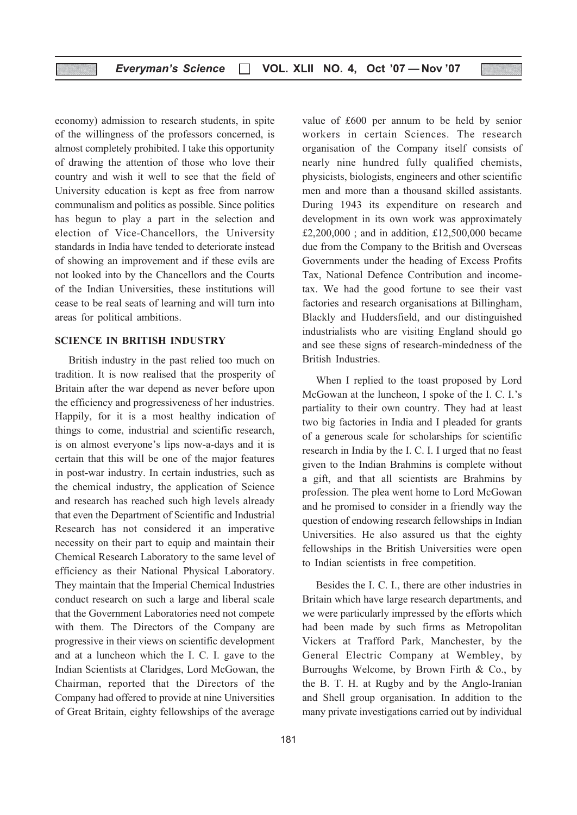economy) admission to research students, in spite of the willingness of the professors concerned, is almost completely prohibited. I take this opportunity of drawing the attention of those who love their country and wish it well to see that the field of University education is kept as free from narrow communalism and politics as possible. Since politics has begun to play a part in the selection and election of Vice-Chancellors, the University standards in India have tended to deteriorate instead of showing an improvement and if these evils are not looked into by the Chancellors and the Courts of the Indian Universities, these institutions will cease to be real seats of learning and will turn into areas for political ambitions.

### SCIENCE IN BRITISH INDUSTRY

British industry in the past relied too much on tradition. It is now realised that the prosperity of Britain after the war depend as never before upon the efficiency and progressiveness of her industries. Happily, for it is a most healthy indication of things to come, industrial and scientific research, is on almost everyone's lips now-a-days and it is certain that this will be one of the major features in post-war industry. In certain industries, such as the chemical industry, the application of Science and research has reached such high levels already that even the Department of Scientific and Industrial Research has not considered it an imperative necessity on their part to equip and maintain their Chemical Research Laboratory to the same level of efficiency as their National Physical Laboratory. They maintain that the Imperial Chemical Industries conduct research on such a large and liberal scale that the Government Laboratories need not compete with them. The Directors of the Company are progressive in their views on scientific development and at a luncheon which the I. C. I. gave to the Indian Scientists at Claridges, Lord McGowan, the Chairman, reported that the Directors of the Company had offered to provide at nine Universities of Great Britain, eighty fellowships of the average

value of £600 per annum to be held by senior workers in certain Sciences. The research organisation of the Company itself consists of nearly nine hundred fully qualified chemists, physicists, biologists, engineers and other scientific men and more than a thousand skilled assistants. During 1943 its expenditure on research and development in its own work was approximately £2,200,000 ; and in addition, £12,500,000 became due from the Company to the British and Overseas Governments under the heading of Excess Profits Tax, National Defence Contribution and incometax. We had the good fortune to see their vast factories and research organisations at Billingham, Blackly and Huddersfield, and our distinguished industrialists who are visiting England should go and see these signs of research-mindedness of the British Industries.

When I replied to the toast proposed by Lord McGowan at the luncheon, I spoke of the I. C. I.'s partiality to their own country. They had at least two big factories in India and I pleaded for grants of a generous scale for scholarships for scientific research in India by the I. C. I. I urged that no feast given to the Indian Brahmins is complete without a gift, and that all scientists are Brahmins by profession. The plea went home to Lord McGowan and he promised to consider in a friendly way the question of endowing research fellowships in Indian Universities. He also assured us that the eighty fellowships in the British Universities were open to Indian scientists in free competition.

Besides the I. C. I., there are other industries in Britain which have large research departments, and we were particularly impressed by the efforts which had been made by such firms as Metropolitan Vickers at Trafford Park, Manchester, by the General Electric Company at Wembley, by Burroughs Welcome, by Brown Firth & Co., by the B. T. H. at Rugby and by the Anglo-Iranian and Shell group organisation. In addition to the many private investigations carried out by individual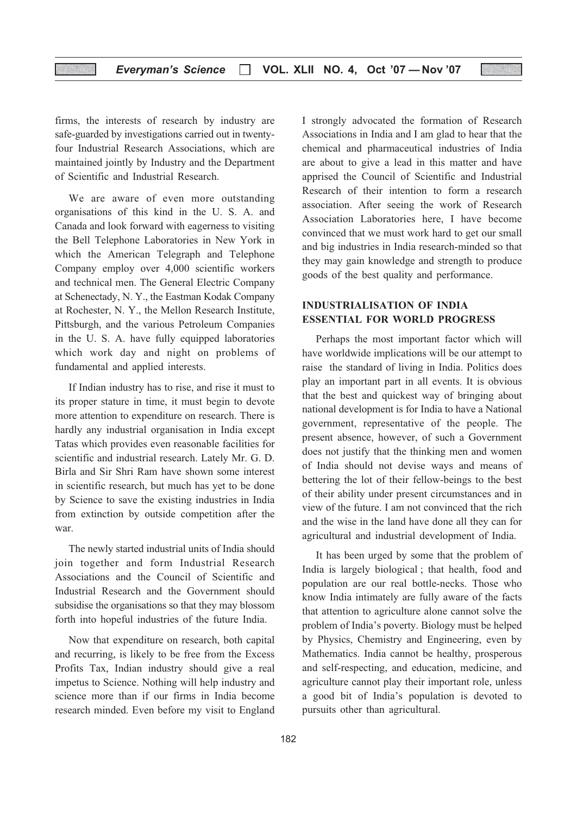firms, the interests of research by industry are safe-guarded by investigations carried out in twentyfour Industrial Research Associations, which are maintained jointly by Industry and the Department of Scientific and Industrial Research.

We are aware of even more outstanding organisations of this kind in the U. S. A. and Canada and look forward with eagerness to visiting the Bell Telephone Laboratories in New York in which the American Telegraph and Telephone Company employ over 4,000 scientific workers and technical men. The General Electric Company at Schenectady, N. Y., the Eastman Kodak Company at Rochester, N. Y., the Mellon Research Institute, Pittsburgh, and the various Petroleum Companies in the U. S. A. have fully equipped laboratories which work day and night on problems of fundamental and applied interests.

If Indian industry has to rise, and rise it must to its proper stature in time, it must begin to devote more attention to expenditure on research. There is hardly any industrial organisation in India except Tatas which provides even reasonable facilities for scientific and industrial research. Lately Mr. G. D. Birla and Sir Shri Ram have shown some interest in scientific research, but much has yet to be done by Science to save the existing industries in India from extinction by outside competition after the war.

The newly started industrial units of India should join together and form Industrial Research Associations and the Council of Scientific and Industrial Research and the Government should subsidise the organisations so that they may blossom forth into hopeful industries of the future India.

Now that expenditure on research, both capital and recurring, is likely to be free from the Excess Profits Tax, Indian industry should give a real impetus to Science. Nothing will help industry and science more than if our firms in India become research minded. Even before my visit to England I strongly advocated the formation of Research Associations in India and I am glad to hear that the chemical and pharmaceutical industries of India are about to give a lead in this matter and have apprised the Council of Scientific and Industrial Research of their intention to form a research association. After seeing the work of Research Association Laboratories here, I have become convinced that we must work hard to get our small and big industries in India research-minded so that they may gain knowledge and strength to produce goods of the best quality and performance.

### INDUSTRIALISATION OF INDIA ESSENTIAL FOR WORLD PROGRESS

Perhaps the most important factor which will have worldwide implications will be our attempt to raise the standard of living in India. Politics does play an important part in all events. It is obvious that the best and quickest way of bringing about national development is for India to have a National government, representative of the people. The present absence, however, of such a Government does not justify that the thinking men and women of India should not devise ways and means of bettering the lot of their fellow-beings to the best of their ability under present circumstances and in view of the future. I am not convinced that the rich and the wise in the land have done all they can for agricultural and industrial development of India.

It has been urged by some that the problem of India is largely biological ; that health, food and population are our real bottle-necks. Those who know India intimately are fully aware of the facts that attention to agriculture alone cannot solve the problem of India's poverty. Biology must be helped by Physics, Chemistry and Engineering, even by Mathematics. India cannot be healthy, prosperous and self-respecting, and education, medicine, and agriculture cannot play their important role, unless a good bit of India's population is devoted to pursuits other than agricultural.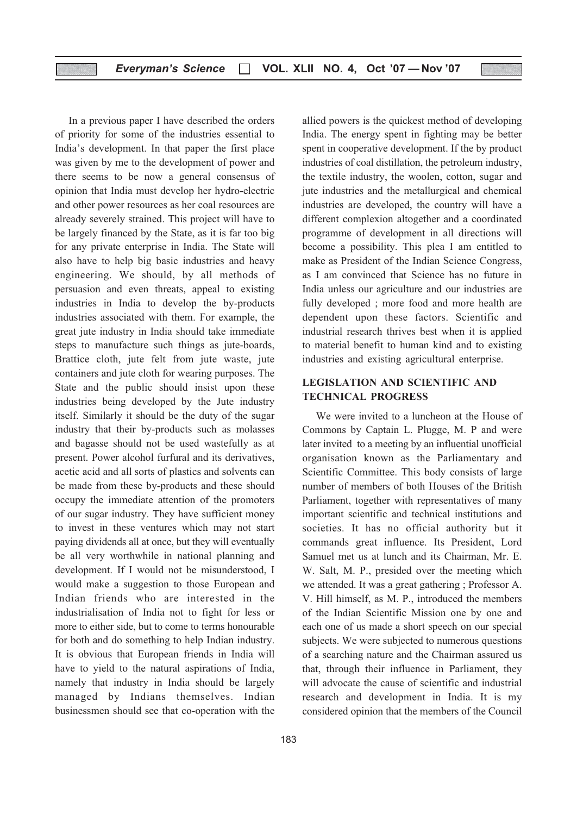### Everyman's Science  $\Box$  VOL. XLII NO. 4, Oct '07 - Nov '07

In a previous paper I have described the orders of priority for some of the industries essential to India's development. In that paper the first place was given by me to the development of power and there seems to be now a general consensus of opinion that India must develop her hydro-electric and other power resources as her coal resources are already severely strained. This project will have to be largely financed by the State, as it is far too big for any private enterprise in India. The State will also have to help big basic industries and heavy engineering. We should, by all methods of persuasion and even threats, appeal to existing industries in India to develop the by-products industries associated with them. For example, the great jute industry in India should take immediate steps to manufacture such things as jute-boards, Brattice cloth, jute felt from jute waste, jute containers and jute cloth for wearing purposes. The State and the public should insist upon these industries being developed by the Jute industry itself. Similarly it should be the duty of the sugar industry that their by-products such as molasses and bagasse should not be used wastefully as at present. Power alcohol furfural and its derivatives, acetic acid and all sorts of plastics and solvents can be made from these by-products and these should occupy the immediate attention of the promoters of our sugar industry. They have sufficient money to invest in these ventures which may not start paying dividends all at once, but they will eventually be all very worthwhile in national planning and development. If I would not be misunderstood, I would make a suggestion to those European and Indian friends who are interested in the industrialisation of India not to fight for less or more to either side, but to come to terms honourable for both and do something to help Indian industry. It is obvious that European friends in India will have to yield to the natural aspirations of India, namely that industry in India should be largely managed by Indians themselves. Indian businessmen should see that co-operation with the

allied powers is the quickest method of developing India. The energy spent in fighting may be better spent in cooperative development. If the by product industries of coal distillation, the petroleum industry, the textile industry, the woolen, cotton, sugar and jute industries and the metallurgical and chemical industries are developed, the country will have a different complexion altogether and a coordinated programme of development in all directions will become a possibility. This plea I am entitled to make as President of the Indian Science Congress, as I am convinced that Science has no future in India unless our agriculture and our industries are fully developed ; more food and more health are dependent upon these factors. Scientific and industrial research thrives best when it is applied to material benefit to human kind and to existing industries and existing agricultural enterprise.

### LEGISLATION AND SCIENTIFIC AND TECHNICAL PROGRESS

We were invited to a luncheon at the House of Commons by Captain L. Plugge, M. P and were later invited to a meeting by an influential unofficial organisation known as the Parliamentary and Scientific Committee. This body consists of large number of members of both Houses of the British Parliament, together with representatives of many important scientific and technical institutions and societies. It has no official authority but it commands great influence. Its President, Lord Samuel met us at lunch and its Chairman, Mr. E. W. Salt, M. P., presided over the meeting which we attended. It was a great gathering ; Professor A. V. Hill himself, as M. P., introduced the members of the Indian Scientific Mission one by one and each one of us made a short speech on our special subjects. We were subjected to numerous questions of a searching nature and the Chairman assured us that, through their influence in Parliament, they will advocate the cause of scientific and industrial research and development in India. It is my considered opinion that the members of the Council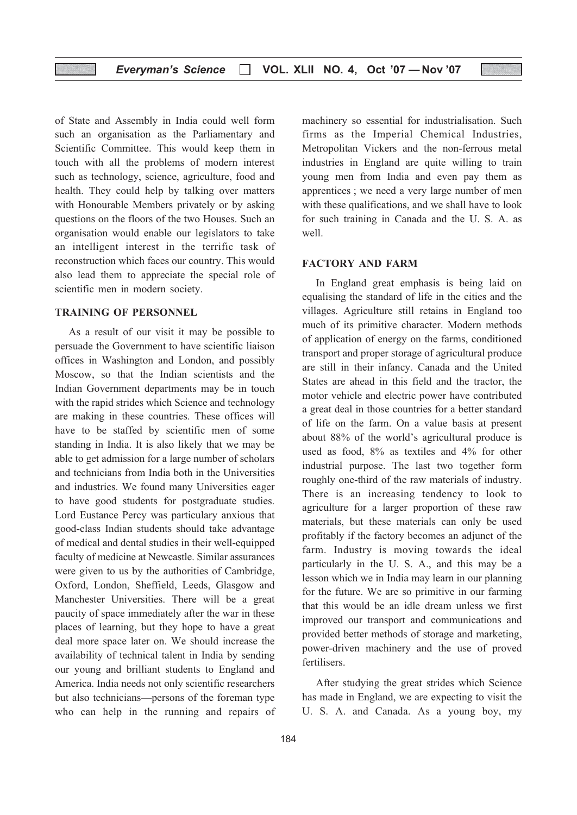### Everyman's Science □ VOL. XLII NO. 4, Oct '07 - Nov '07

of State and Assembly in India could well form such an organisation as the Parliamentary and Scientific Committee. This would keep them in touch with all the problems of modern interest such as technology, science, agriculture, food and health. They could help by talking over matters with Honourable Members privately or by asking questions on the floors of the two Houses. Such an organisation would enable our legislators to take an intelligent interest in the terrific task of reconstruction which faces our country. This would also lead them to appreciate the special role of scientific men in modern society.

#### TRAINING OF PERSONNEL

As a result of our visit it may be possible to persuade the Government to have scientific liaison offices in Washington and London, and possibly Moscow, so that the Indian scientists and the Indian Government departments may be in touch with the rapid strides which Science and technology are making in these countries. These offices will have to be staffed by scientific men of some standing in India. It is also likely that we may be able to get admission for a large number of scholars and technicians from India both in the Universities and industries. We found many Universities eager to have good students for postgraduate studies. Lord Eustance Percy was particulary anxious that good-class Indian students should take advantage of medical and dental studies in their well-equipped faculty of medicine at Newcastle. Similar assurances were given to us by the authorities of Cambridge, Oxford, London, Sheffield, Leeds, Glasgow and Manchester Universities. There will be a great paucity of space immediately after the war in these places of learning, but they hope to have a great deal more space later on. We should increase the availability of technical talent in India by sending our young and brilliant students to England and America. India needs not only scientific researchers but also technicians—persons of the foreman type who can help in the running and repairs of machinery so essential for industrialisation. Such firms as the Imperial Chemical Industries, Metropolitan Vickers and the non-ferrous metal industries in England are quite willing to train young men from India and even pay them as apprentices ; we need a very large number of men with these qualifications, and we shall have to look for such training in Canada and the U. S. A. as well.

#### FACTORY AND FARM

In England great emphasis is being laid on equalising the standard of life in the cities and the villages. Agriculture still retains in England too much of its primitive character. Modern methods of application of energy on the farms, conditioned transport and proper storage of agricultural produce are still in their infancy. Canada and the United States are ahead in this field and the tractor, the motor vehicle and electric power have contributed a great deal in those countries for a better standard of life on the farm. On a value basis at present about 88% of the world's agricultural produce is used as food, 8% as textiles and 4% for other industrial purpose. The last two together form roughly one-third of the raw materials of industry. There is an increasing tendency to look to agriculture for a larger proportion of these raw materials, but these materials can only be used profitably if the factory becomes an adjunct of the farm. Industry is moving towards the ideal particularly in the U. S. A., and this may be a lesson which we in India may learn in our planning for the future. We are so primitive in our farming that this would be an idle dream unless we first improved our transport and communications and provided better methods of storage and marketing, power-driven machinery and the use of proved fertilisers.

After studying the great strides which Science has made in England, we are expecting to visit the U. S. A. and Canada. As a young boy, my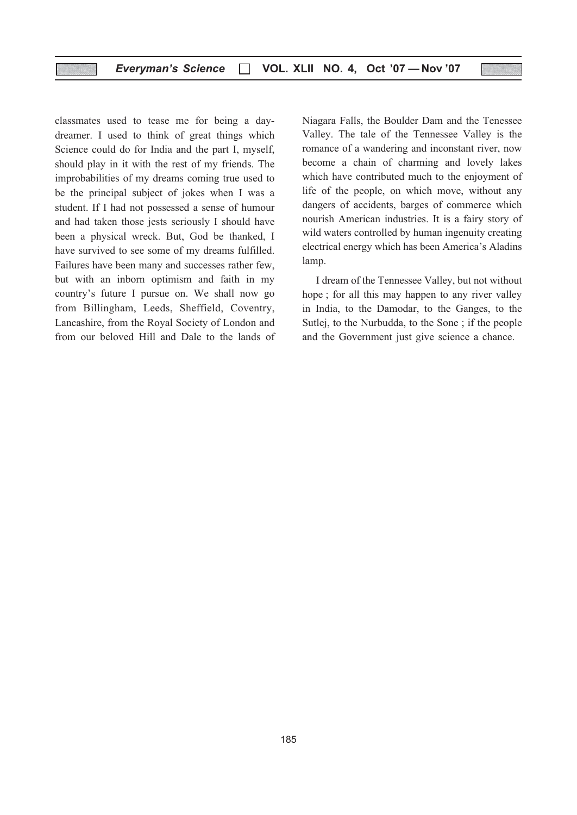### Everyman's Science □ VOL. XLII NO. 4, Oct '07 - Nov '07

classmates used to tease me for being a daydreamer. I used to think of great things which Science could do for India and the part I, myself, should play in it with the rest of my friends. The improbabilities of my dreams coming true used to be the principal subject of jokes when I was a student. If I had not possessed a sense of humour and had taken those jests seriously I should have been a physical wreck. But, God be thanked, I have survived to see some of my dreams fulfilled. Failures have been many and successes rather few, but with an inborn optimism and faith in my country's future I pursue on. We shall now go from Billingham, Leeds, Sheffield, Coventry, Lancashire, from the Royal Society of London and from our beloved Hill and Dale to the lands of Niagara Falls, the Boulder Dam and the Tenessee Valley. The tale of the Tennessee Valley is the romance of a wandering and inconstant river, now become a chain of charming and lovely lakes which have contributed much to the enjoyment of life of the people, on which move, without any dangers of accidents, barges of commerce which nourish American industries. It is a fairy story of wild waters controlled by human ingenuity creating electrical energy which has been America's Aladins lamp.

I dream of the Tennessee Valley, but not without hope ; for all this may happen to any river valley in India, to the Damodar, to the Ganges, to the Sutlej, to the Nurbudda, to the Sone ; if the people and the Government just give science a chance.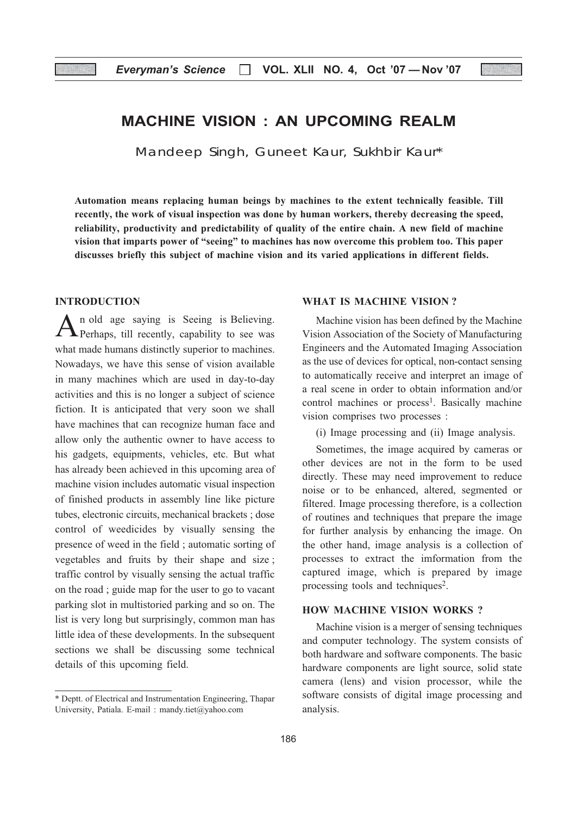### MACHINE VISION : AN UPCOMING REALM

Mandeep Singh, Guneet Kaur, Sukhbir Kaur\*

Automation means replacing human beings by machines to the extent technically feasible. Till recently, the work of visual inspection was done by human workers, thereby decreasing the speed, reliability, productivity and predictability of quality of the entire chain. A new field of machine vision that imparts power of "seeing" to machines has now overcome this problem too. This paper discusses briefly this subject of machine vision and its varied applications in different fields.

### INTRODUCTION

An old age saying is Seeing is Believing. Perhaps, till recently, capability to see was what made humans distinctly superior to machines. Nowadays, we have this sense of vision available in many machines which are used in day-to-day activities and this is no longer a subject of science fiction. It is anticipated that very soon we shall have machines that can recognize human face and allow only the authentic owner to have access to his gadgets, equipments, vehicles, etc. But what has already been achieved in this upcoming area of machine vision includes automatic visual inspection of finished products in assembly line like picture tubes, electronic circuits, mechanical brackets ; dose control of weedicides by visually sensing the presence of weed in the field ; automatic sorting of vegetables and fruits by their shape and size ; traffic control by visually sensing the actual traffic on the road ; guide map for the user to go to vacant parking slot in multistoried parking and so on. The list is very long but surprisingly, common man has little idea of these developments. In the subsequent sections we shall be discussing some technical details of this upcoming field.

### WHAT IS MACHINE VISION ?

Machine vision has been defined by the Machine Vision Association of the Society of Manufacturing Engineers and the Automated Imaging Association as the use of devices for optical, non-contact sensing to automatically receive and interpret an image of a real scene in order to obtain information and/or control machines or process<sup>1</sup>. Basically machine vision comprises two processes :

(i) Image processing and (ii) Image analysis.

Sometimes, the image acquired by cameras or other devices are not in the form to be used directly. These may need improvement to reduce noise or to be enhanced, altered, segmented or filtered. Image processing therefore, is a collection of routines and techniques that prepare the image for further analysis by enhancing the image. On the other hand, image analysis is a collection of processes to extract the imformation from the captured image, which is prepared by image processing tools and techniques<sup>2</sup>.

### HOW MACHINE VISION WORKS ?

Machine vision is a merger of sensing techniques and computer technology. The system consists of both hardware and software components. The basic hardware components are light source, solid state camera (lens) and vision processor, while the software consists of digital image processing and analysis.

<sup>\*</sup> Deptt. of Electrical and Instrumentation Engineering, Thapar University, Patiala. E-mail : mandy.tiet@yahoo.com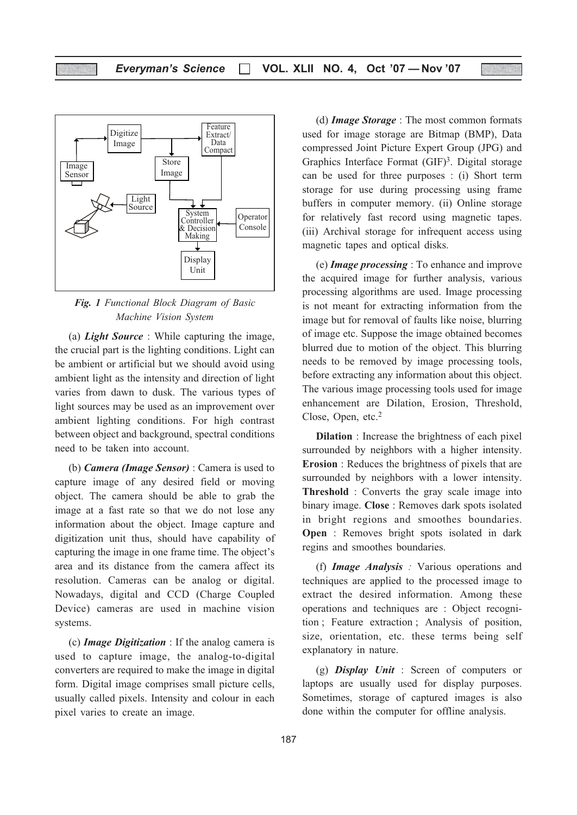

Fig. 1 Functional Block Diagram of Basic Machine Vision System

(a) Light Source : While capturing the image, the crucial part is the lighting conditions. Light can be ambient or artificial but we should avoid using ambient light as the intensity and direction of light varies from dawn to dusk. The various types of light sources may be used as an improvement over ambient lighting conditions. For high contrast between object and background, spectral conditions need to be taken into account.

(b) Camera (Image Sensor) : Camera is used to capture image of any desired field or moving object. The camera should be able to grab the image at a fast rate so that we do not lose any information about the object. Image capture and digitization unit thus, should have capability of capturing the image in one frame time. The object's area and its distance from the camera affect its resolution. Cameras can be analog or digital. Nowadays, digital and CCD (Charge Coupled Device) cameras are used in machine vision systems.

(c) Image Digitization : If the analog camera is used to capture image, the analog-to-digital converters are required to make the image in digital form. Digital image comprises small picture cells, usually called pixels. Intensity and colour in each pixel varies to create an image.

(d) Image Storage : The most common formats used for image storage are Bitmap (BMP), Data compressed Joint Picture Expert Group (JPG) and Graphics Interface Format  $(GIF)^3$ . Digital storage can be used for three purposes : (i) Short term storage for use during processing using frame buffers in computer memory. (ii) Online storage for relatively fast record using magnetic tapes. (iii) Archival storage for infrequent access using magnetic tapes and optical disks.

(e) Image processing : To enhance and improve the acquired image for further analysis, various processing algorithms are used. Image processing is not meant for extracting information from the image but for removal of faults like noise, blurring of image etc. Suppose the image obtained becomes blurred due to motion of the object. This blurring needs to be removed by image processing tools, before extracting any information about this object. The various image processing tools used for image enhancement are Dilation, Erosion, Threshold, Close, Open, etc.2

Dilation : Increase the brightness of each pixel surrounded by neighbors with a higher intensity. Erosion : Reduces the brightness of pixels that are surrounded by neighbors with a lower intensity. Threshold : Converts the gray scale image into binary image. Close : Removes dark spots isolated in bright regions and smoothes boundaries. Open : Removes bright spots isolated in dark regins and smoothes boundaries.

(f) Image Analysis : Various operations and techniques are applied to the processed image to extract the desired information. Among these operations and techniques are : Object recognition ; Feature extraction ; Analysis of position, size, orientation, etc. these terms being self explanatory in nature.

(g) **Display Unit** : Screen of computers or laptops are usually used for display purposes. Sometimes, storage of captured images is also done within the computer for offline analysis.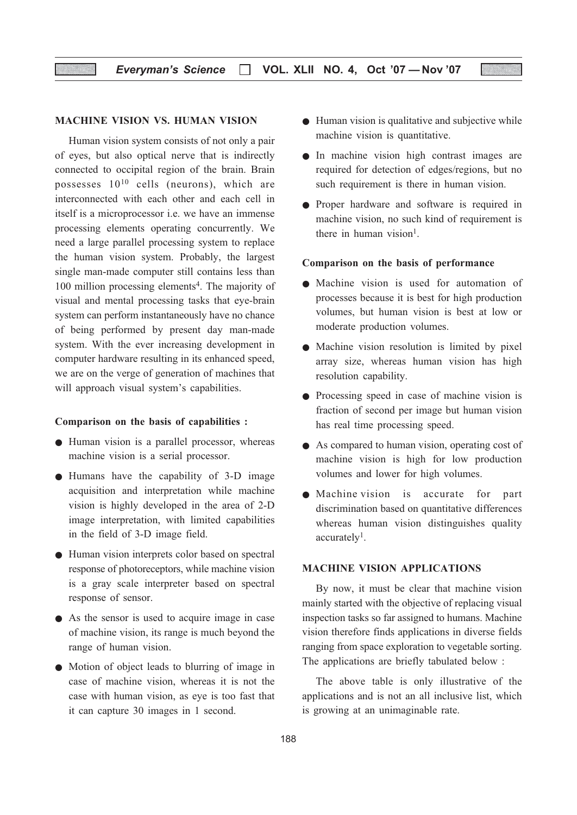### Everyman's Science  $\Box$  VOL. XLII NO. 4, Oct '07 - Nov '07

### MACHINE VISION VS. HUMAN VISION

Human vision system consists of not only a pair of eyes, but also optical nerve that is indirectly connected to occipital region of the brain. Brain possesses 1010 cells (neurons), which are interconnected with each other and each cell in itself is a microprocessor i.e. we have an immense processing elements operating concurrently. We need a large parallel processing system to replace the human vision system. Probably, the largest single man-made computer still contains less than 100 million processing elements<sup>4</sup>. The majority of visual and mental processing tasks that eye-brain system can perform instantaneously have no chance of being performed by present day man-made system. With the ever increasing development in computer hardware resulting in its enhanced speed, we are on the verge of generation of machines that will approach visual system's capabilities.

#### Comparison on the basis of capabilities :

- Human vision is a parallel processor, whereas machine vision is a serial processor.
- Humans have the capability of 3-D image acquisition and interpretation while machine vision is highly developed in the area of 2-D image interpretation, with limited capabilities in the field of 3-D image field.
- Human vision interprets color based on spectral response of photoreceptors, while machine vision is a gray scale interpreter based on spectral response of sensor.
- As the sensor is used to acquire image in case of machine vision, its range is much beyond the range of human vision.
- Motion of object leads to blurring of image in case of machine vision, whereas it is not the case with human vision, as eye is too fast that it can capture 30 images in 1 second.
- Human vision is qualitative and subjective while machine vision is quantitative.
- In machine vision high contrast images are required for detection of edges/regions, but no such requirement is there in human vision.
- Proper hardware and software is required in machine vision, no such kind of requirement is there in human vision<sup>1</sup>.

#### Comparison on the basis of performance

- Machine vision is used for automation of processes because it is best for high production volumes, but human vision is best at low or moderate production volumes.
- Machine vision resolution is limited by pixel array size, whereas human vision has high resolution capability.
- Processing speed in case of machine vision is fraction of second per image but human vision has real time processing speed.
- As compared to human vision, operating cost of machine vision is high for low production volumes and lower for high volumes.
- Machine vision is accurate for part discrimination based on quantitative differences whereas human vision distinguishes quality accurately<sup>1</sup>.

### MACHINE VISION APPLICATIONS

By now, it must be clear that machine vision mainly started with the objective of replacing visual inspection tasks so far assigned to humans. Machine vision therefore finds applications in diverse fields ranging from space exploration to vegetable sorting. The applications are briefly tabulated below :

The above table is only illustrative of the applications and is not an all inclusive list, which is growing at an unimaginable rate.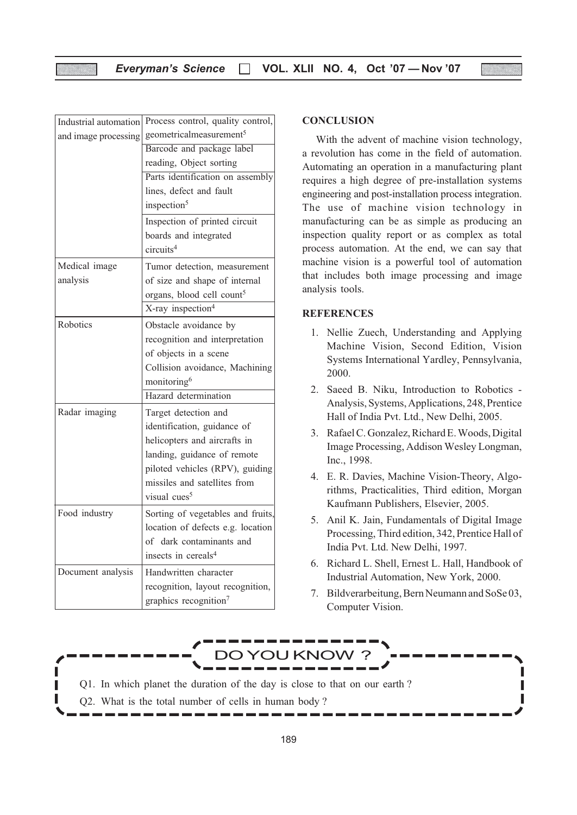| Industrial automation | Process control, quality control,     |
|-----------------------|---------------------------------------|
| and image processing  | geometricalmeasurement <sup>5</sup>   |
|                       | Barcode and package label             |
|                       | reading, Object sorting               |
|                       | Parts identification on assembly      |
|                       | lines, defect and fault               |
|                       | inspection <sup>5</sup>               |
|                       | Inspection of printed circuit         |
|                       | boards and integrated                 |
|                       | circuits <sup>4</sup>                 |
| Medical image         | Tumor detection, measurement          |
| analysis              | of size and shape of internal         |
|                       | organs, blood cell count <sup>5</sup> |
|                       | X-ray inspection <sup>4</sup>         |
| Robotics              | Obstacle avoidance by                 |
|                       | recognition and interpretation        |
|                       | of objects in a scene                 |
|                       | Collision avoidance, Machining        |
|                       | monitoring <sup>6</sup>               |
|                       | Hazard determination                  |
| Radar imaging         | Target detection and                  |
|                       | identification, guidance of           |
|                       | helicopters and aircrafts in          |
|                       | landing, guidance of remote           |
|                       | piloted vehicles (RPV), guiding       |
|                       | missiles and satellites from          |
|                       | visual cues <sup>5</sup>              |
| Food industry         | Sorting of vegetables and fruits,     |
|                       | location of defects e.g. location     |
|                       | of dark contaminants and              |
|                       | insects in cereals <sup>4</sup>       |
| Document analysis     | Handwritten character                 |
|                       | recognition, layout recognition,      |
|                       | graphics recognition <sup>7</sup>     |
|                       |                                       |

#### **CONCLUSION**

With the advent of machine vision technology, a revolution has come in the field of automation. Automating an operation in a manufacturing plant requires a high degree of pre-installation systems engineering and post-installation process integration. The use of machine vision technology in manufacturing can be as simple as producing an inspection quality report or as complex as total process automation. At the end, we can say that machine vision is a powerful tool of automation that includes both image processing and image analysis tools.

### **REFERENCES**

- 1. Nellie Zuech, Understanding and Applying Machine Vision, Second Edition, Vision Systems International Yardley, Pennsylvania, 2000.
- 2. Saeed B. Niku, Introduction to Robotics Analysis, Systems, Applications, 248, Prentice Hall of India Pvt. Ltd., New Delhi, 2005.
- 3. Rafael C. Gonzalez, Richard E. Woods, Digital Image Processing, Addison Wesley Longman, Inc., 1998.
- 4. E. R. Davies, Machine Vision-Theory, Algorithms, Practicalities, Third edition, Morgan Kaufmann Publishers, Elsevier, 2005.
- 5. Anil K. Jain, Fundamentals of Digital Image Processing, Third edition, 342, Prentice Hall of India Pvt. Ltd. New Delhi, 1997.
- 6. Richard L. Shell, Ernest L. Hall, Handbook of Industrial Automation, New York, 2000.
- 7. Bildverarbeitung, Bern Neumann and SoSe 03, Computer Vision.

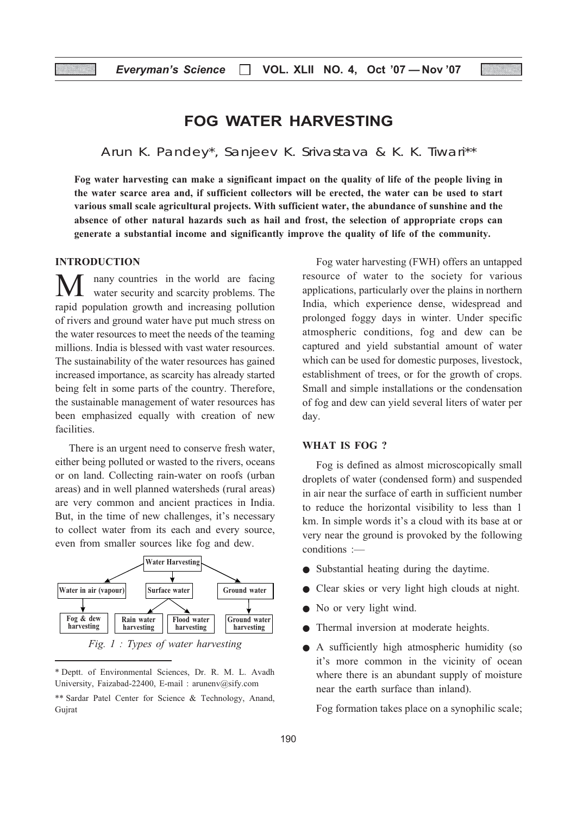### FOG WATER HARVESTING

Arun K. Pandey\*, Sanjeev K. Srivastava & K. K. Tiwari\*\*

Fog water harvesting can make a significant impact on the quality of life of the people living in the water scarce area and, if sufficient collectors will be erected, the water can be used to start various small scale agricultural projects. With sufficient water, the abundance of sunshine and the absence of other natural hazards such as hail and frost, the selection of appropriate crops can generate a substantial income and significantly improve the quality of life of the community.

### **INTRODUCTION**

nany countries in the world are facing water security and scarcity problems. The rapid population growth and increasing pollution of rivers and ground water have put much stress on the water resources to meet the needs of the teaming millions. India is blessed with vast water resources. The sustainability of the water resources has gained increased importance, as scarcity has already started being felt in some parts of the country. Therefore, the sustainable management of water resources has been emphasized equally with creation of new facilities.

There is an urgent need to conserve fresh water, either being polluted or wasted to the rivers, oceans or on land. Collecting rain-water on roofs (urban areas) and in well planned watersheds (rural areas) are very common and ancient practices in India. But, in the time of new challenges, it's necessary to collect water from its each and every source, even from smaller sources like fog and dew.



\* Deptt. of Environmental Sciences, Dr. R. M. L. Avadh University, Faizabad-22400, E-mail : arunenv@sify.com \*\* Sardar Patel Center for Science & Technology, Anand, Gujrat

Fog water harvesting (FWH) offers an untapped resource of water to the society for various applications, particularly over the plains in northern India, which experience dense, widespread and prolonged foggy days in winter. Under specific atmospheric conditions, fog and dew can be captured and yield substantial amount of water which can be used for domestic purposes, livestock, establishment of trees, or for the growth of crops. Small and simple installations or the condensation of fog and dew can yield several liters of water per day.

### WHAT IS FOG ?

Fog is defined as almost microscopically small droplets of water (condensed form) and suspended in air near the surface of earth in sufficient number to reduce the horizontal visibility to less than 1 km. In simple words it's a cloud with its base at or very near the ground is provoked by the following conditions :—

- Substantial heating during the daytime.
- Clear skies or very light high clouds at night.
- No or very light wind.
- Thermal inversion at moderate heights.
- A sufficiently high atmospheric humidity (so it's more common in the vicinity of ocean where there is an abundant supply of moisture near the earth surface than inland).

Fog formation takes place on a synophilic scale;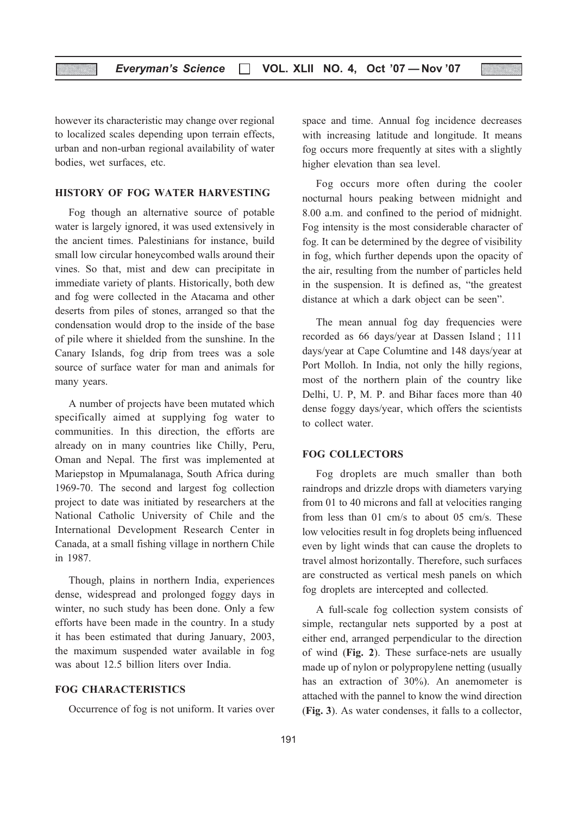however its characteristic may change over regional to localized scales depending upon terrain effects, urban and non-urban regional availability of water bodies, wet surfaces, etc.

### HISTORY OF FOG WATER HARVESTING

Fog though an alternative source of potable water is largely ignored, it was used extensively in the ancient times. Palestinians for instance, build small low circular honeycombed walls around their vines. So that, mist and dew can precipitate in immediate variety of plants. Historically, both dew and fog were collected in the Atacama and other deserts from piles of stones, arranged so that the condensation would drop to the inside of the base of pile where it shielded from the sunshine. In the Canary Islands, fog drip from trees was a sole source of surface water for man and animals for many years.

A number of projects have been mutated which specifically aimed at supplying fog water to communities. In this direction, the efforts are already on in many countries like Chilly, Peru, Oman and Nepal. The first was implemented at Mariepstop in Mpumalanaga, South Africa during 1969-70. The second and largest fog collection project to date was initiated by researchers at the National Catholic University of Chile and the International Development Research Center in Canada, at a small fishing village in northern Chile in 1987.

Though, plains in northern India, experiences dense, widespread and prolonged foggy days in winter, no such study has been done. Only a few efforts have been made in the country. In a study it has been estimated that during January, 2003, the maximum suspended water available in fog was about 12.5 billion liters over India.

### FOG CHARACTERISTICS

Occurrence of fog is not uniform. It varies over

space and time. Annual fog incidence decreases with increasing latitude and longitude. It means fog occurs more frequently at sites with a slightly higher elevation than sea level.

Fog occurs more often during the cooler nocturnal hours peaking between midnight and 8.00 a.m. and confined to the period of midnight. Fog intensity is the most considerable character of fog. It can be determined by the degree of visibility in fog, which further depends upon the opacity of the air, resulting from the number of particles held in the suspension. It is defined as, "the greatest distance at which a dark object can be seen".

The mean annual fog day frequencies were recorded as 66 days/year at Dassen Island ; 111 days/year at Cape Columtine and 148 days/year at Port Molloh. In India, not only the hilly regions, most of the northern plain of the country like Delhi, U. P, M. P. and Bihar faces more than 40 dense foggy days/year, which offers the scientists to collect water.

### FOG COLLECTORS

Fog droplets are much smaller than both raindrops and drizzle drops with diameters varying from 01 to 40 microns and fall at velocities ranging from less than 01 cm/s to about 05 cm/s. These low velocities result in fog droplets being influenced even by light winds that can cause the droplets to travel almost horizontally. Therefore, such surfaces are constructed as vertical mesh panels on which fog droplets are intercepted and collected.

A full-scale fog collection system consists of simple, rectangular nets supported by a post at either end, arranged perpendicular to the direction of wind (Fig. 2). These surface-nets are usually made up of nylon or polypropylene netting (usually has an extraction of 30%). An anemometer is attached with the pannel to know the wind direction (Fig. 3). As water condenses, it falls to a collector,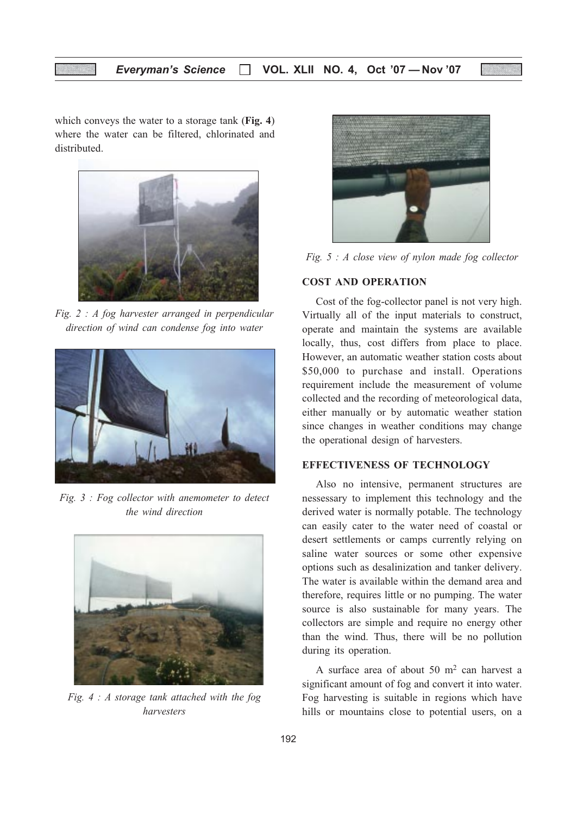which conveys the water to a storage tank (Fig. 4) where the water can be filtered, chlorinated and distributed.



Fig. 2 : A fog harvester arranged in perpendicular direction of wind can condense fog into water



Fig. 3 : Fog collector with anemometer to detect the wind direction



Fig.  $4 : A$  storage tank attached with the fog harvesters



Fig. 5 : A close view of nylon made fog collector

### COST AND OPERATION

Cost of the fog-collector panel is not very high. Virtually all of the input materials to construct, operate and maintain the systems are available locally, thus, cost differs from place to place. However, an automatic weather station costs about \$50,000 to purchase and install. Operations requirement include the measurement of volume collected and the recording of meteorological data, either manually or by automatic weather station since changes in weather conditions may change the operational design of harvesters.

### EFFECTIVENESS OF TECHNOLOGY

Also no intensive, permanent structures are nessessary to implement this technology and the derived water is normally potable. The technology can easily cater to the water need of coastal or desert settlements or camps currently relying on saline water sources or some other expensive options such as desalinization and tanker delivery. The water is available within the demand area and therefore, requires little or no pumping. The water source is also sustainable for many years. The collectors are simple and require no energy other than the wind. Thus, there will be no pollution during its operation.

A surface area of about 50 m2 can harvest a significant amount of fog and convert it into water. Fog harvesting is suitable in regions which have hills or mountains close to potential users, on a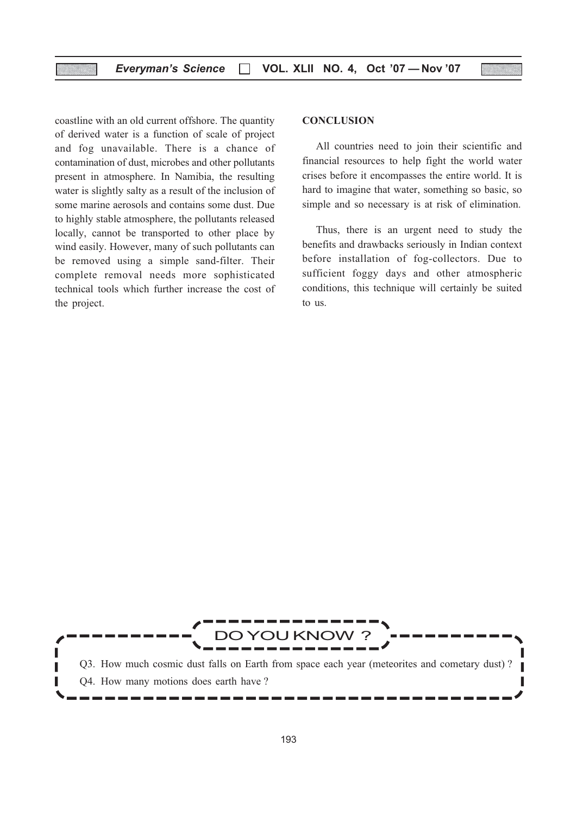coastline with an old current offshore. The quantity of derived water is a function of scale of project and fog unavailable. There is a chance of contamination of dust, microbes and other pollutants present in atmosphere. In Namibia, the resulting water is slightly salty as a result of the inclusion of some marine aerosols and contains some dust. Due to highly stable atmosphere, the pollutants released locally, cannot be transported to other place by wind easily. However, many of such pollutants can be removed using a simple sand-filter. Their complete removal needs more sophisticated technical tools which further increase the cost of the project.

#### **CONCLUSION**

All countries need to join their scientific and financial resources to help fight the world water crises before it encompasses the entire world. It is hard to imagine that water, something so basic, so simple and so necessary is at risk of elimination.

Thus, there is an urgent need to study the benefits and drawbacks seriously in Indian context before installation of fog-collectors. Due to sufficient foggy days and other atmospheric conditions, this technique will certainly be suited to us.

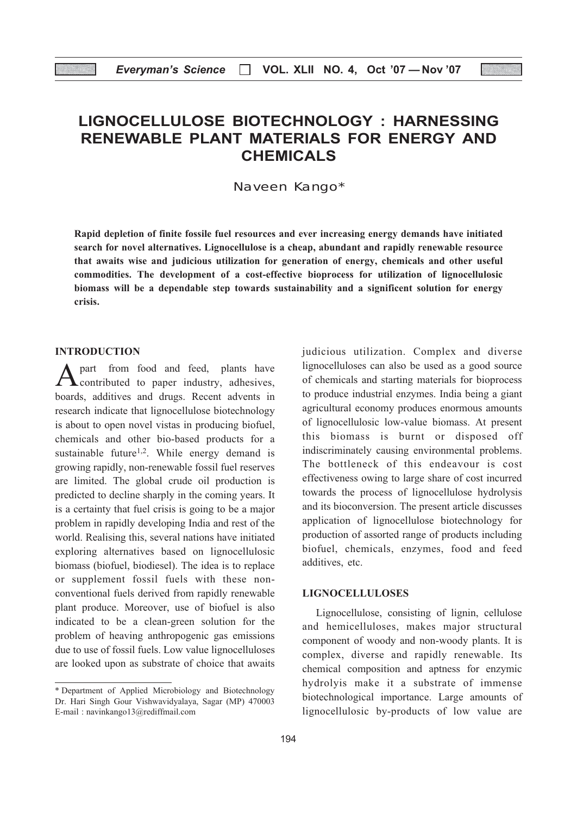### LIGNOCELLULOSE BIOTECHNOLOGY : HARNESSING RENEWABLE PLANT MATERIALS FOR ENERGY AND CHEMICALS

Naveen Kango\*

Rapid depletion of finite fossile fuel resources and ever increasing energy demands have initiated search for novel alternatives. Lignocellulose is a cheap, abundant and rapidly renewable resource that awaits wise and judicious utilization for generation of energy, chemicals and other useful commodities. The development of a cost-effective bioprocess for utilization of lignocellulosic biomass will be a dependable step towards sustainability and a significent solution for energy crisis.

### INTRODUCTION

A part from food and feed, plants have<br>contributed to paper industry, adhesives, boards, additives and drugs. Recent advents in research indicate that lignocellulose biotechnology is about to open novel vistas in producing biofuel, chemicals and other bio-based products for a sustainable future<sup>1,2</sup>. While energy demand is growing rapidly, non-renewable fossil fuel reserves are limited. The global crude oil production is predicted to decline sharply in the coming years. It is a certainty that fuel crisis is going to be a major problem in rapidly developing India and rest of the world. Realising this, several nations have initiated exploring alternatives based on lignocellulosic biomass (biofuel, biodiesel). The idea is to replace or supplement fossil fuels with these nonconventional fuels derived from rapidly renewable plant produce. Moreover, use of biofuel is also indicated to be a clean-green solution for the problem of heaving anthropogenic gas emissions due to use of fossil fuels. Low value lignocelluloses are looked upon as substrate of choice that awaits judicious utilization. Complex and diverse lignocelluloses can also be used as a good source of chemicals and starting materials for bioprocess to produce industrial enzymes. India being a giant agricultural economy produces enormous amounts of lignocellulosic low-value biomass. At present this biomass is burnt or disposed off indiscriminately causing environmental problems. The bottleneck of this endeavour is cost effectiveness owing to large share of cost incurred towards the process of lignocellulose hydrolysis and its bioconversion. The present article discusses application of lignocellulose biotechnology for production of assorted range of products including biofuel, chemicals, enzymes, food and feed additives, etc.

### LIGNOCELLULOSES

Lignocellulose, consisting of lignin, cellulose and hemicelluloses, makes major structural component of woody and non-woody plants. It is complex, diverse and rapidly renewable. Its chemical composition and aptness for enzymic hydrolyis make it a substrate of immense biotechnological importance. Large amounts of lignocellulosic by-products of low value are

<sup>\*</sup> Department of Applied Microbiology and Biotechnology Dr. Hari Singh Gour Vishwavidyalaya, Sagar (MP) 470003 E-mail : navinkango13@rediffmail.com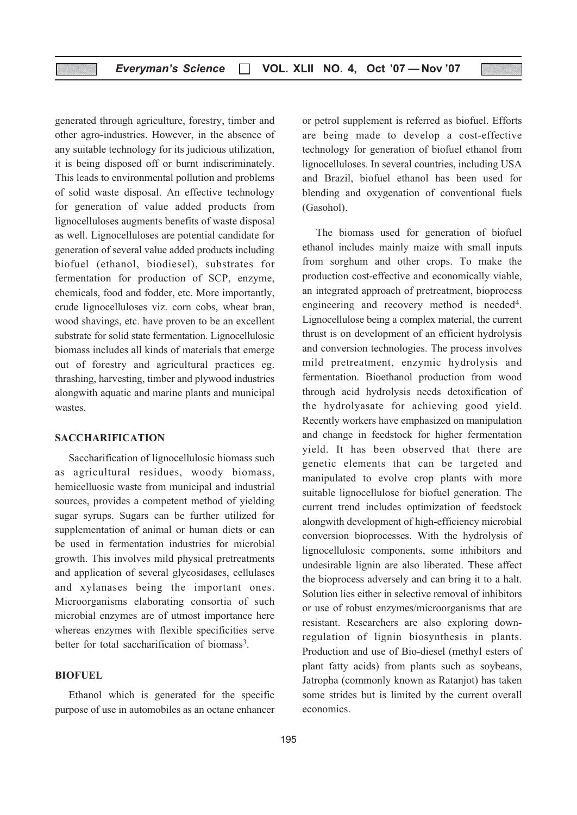generated through agriculture, forestry, timber and other agro-industries. However, in the absence of any suitable technology for its judicious utilization, it is being disposed off or burnt indiscriminately. This leads to environmental pollution and problems of solid waste disposal. An effective technology for generation of value added products from lignocelluloses augments benefits of waste disposal as well. Lignocelluloses are potential candidate for generation of several value added products including biofuel (ethanol, biodiesel), substrates for fermentation for production of SCP, enzyme, chemicals, food and fodder, etc. More importantly, crude lignocelluloses viz. corn cobs, wheat bran, wood shavings, etc. have proven to be an excellent substrate for solid state fermentation. Lignocellulosic biomass includes all kinds of materials that emerge out of forestry and agricultural practices eg. thrashing, harvesting, timber and plywood industries alongwith aquatic and marine plants and municipal wastes.

### **SACCHARIFICATION**

Saccharification of lignocellulosic biomass such as agricultural residues, woody biomass, hemicelluosic waste from municipal and industrial sources, provides a competent method of yielding sugar syrups. Sugars can be further utilized for supplementation of animal or human diets or can be used in fermentation industries for microbial growth. This involves mild physical pretreatments and application of several glycosidases, cellulases and xylanases being the important ones. Microorganisms elaborating consortia of such microbial enzymes are of utmost importance here whereas enzymes with flexible specificities serve better for total saccharification of biomass<sup>3</sup>.

### **BIOFUEL**

Ethanol which is generated for the specific purpose of use in automobiles as an octane enhancer or petrol supplement is referred as biofuel. Efforts are being made to develop a cost-effective technology for generation of biofuel ethanol from lignocelluloses. In several countries, including USA and Brazil, biofuel ethanol has been used for blending and oxygenation of conventional fuels (Gasohol).

The biomass used for generation of biofuel ethanol includes mainly maize with small inputs from sorghum and other crops. To make the production cost-effective and economically viable, an integrated approach of pretreatment, bioprocess engineering and recovery method is needed<sup>4</sup>. Lignocellulose being a complex material, the current thrust is on development of an efficient hydrolysis and conversion technologies. The process involves mild pretreatment, enzymic hydrolysis and fermentation. Bioethanol production from wood through acid hydrolysis needs detoxification of the hydrolyasate for achieving good yield. Recently workers have emphasized on manipulation and change in feedstock for higher fermentation yield. It has been observed that there are genetic elements that can be targeted and manipulated to evolve crop plants with more suitable lignocellulose for biofuel generation. The current trend includes optimization of feedstock alongwith development of high-efficiency microbial conversion bioprocesses. With the hydrolysis of lignocellulosic components, some inhibitors and undesirable lignin are also liberated. These affect the bioprocess adversely and can bring it to a halt. Solution lies either in selective removal of inhibitors or use of robust enzymes/microorganisms that are resistant. Researchers are also exploring downregulation of lignin biosynthesis in plants. Production and use of Bio-diesel (methyl esters of plant fatty acids) from plants such as soybeans, Jatropha (commonly known as Ratanjot) has taken some strides but is limited by the current overall economics.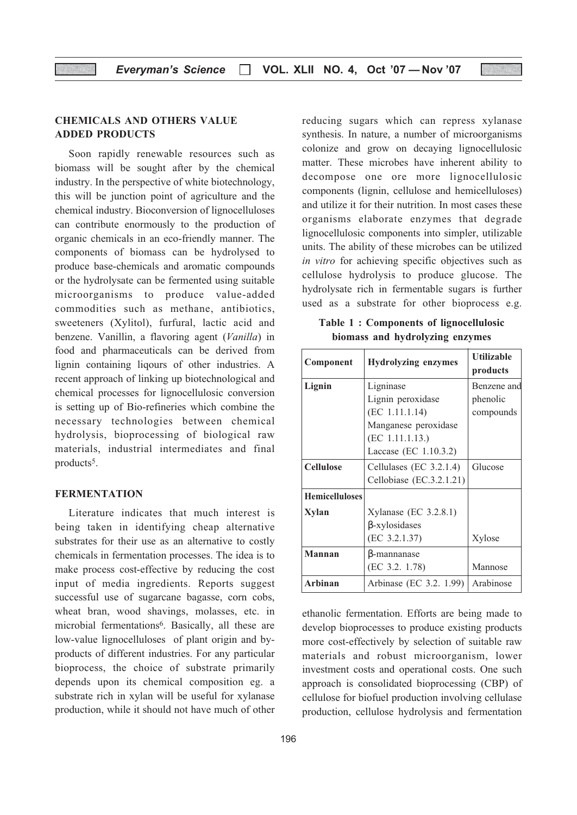### CHEMICALS AND OTHERS VALUE ADDED PRODUCTS

Soon rapidly renewable resources such as biomass will be sought after by the chemical industry. In the perspective of white biotechnology, this will be junction point of agriculture and the chemical industry. Bioconversion of lignocelluloses can contribute enormously to the production of organic chemicals in an eco-friendly manner. The components of biomass can be hydrolysed to produce base-chemicals and aromatic compounds or the hydrolysate can be fermented using suitable microorganisms to produce value-added commodities such as methane, antibiotics, sweeteners (Xylitol), furfural, lactic acid and benzene. Vanillin, a flavoring agent (Vanilla) in food and pharmaceuticals can be derived from lignin containing liqours of other industries. A recent approach of linking up biotechnological and chemical processes for lignocellulosic conversion is setting up of Bio-refineries which combine the necessary technologies between chemical hydrolysis, bioprocessing of biological raw materials, industrial intermediates and final products<sup>5</sup>.

### **FERMENTATION**

Literature indicates that much interest is being taken in identifying cheap alternative substrates for their use as an alternative to costly chemicals in fermentation processes. The idea is to make process cost-effective by reducing the cost input of media ingredients. Reports suggest successful use of sugarcane bagasse, corn cobs, wheat bran, wood shavings, molasses, etc. in microbial fermentations<sup>6</sup>. Basically, all these are low-value lignocelluloses of plant origin and byproducts of different industries. For any particular bioprocess, the choice of substrate primarily depends upon its chemical composition eg. a substrate rich in xylan will be useful for xylanase production, while it should not have much of other reducing sugars which can repress xylanase synthesis. In nature, a number of microorganisms colonize and grow on decaying lignocellulosic matter. These microbes have inherent ability to decompose one ore more lignocellulosic components (lignin, cellulose and hemicelluloses) and utilize it for their nutrition. In most cases these organisms elaborate enzymes that degrade lignocellulosic components into simpler, utilizable units. The ability of these microbes can be utilized in vitro for achieving specific objectives such as cellulose hydrolysis to produce glucose. The hydrolysate rich in fermentable sugars is further used as a substrate for other bioprocess e.g.

Table 1 : Components of lignocellulosic biomass and hydrolyzing enzymes

| Component             | <b>Hydrolyzing enzymes</b> | <b>Utilizable</b> |  |  |
|-----------------------|----------------------------|-------------------|--|--|
|                       |                            | products          |  |  |
| Lignin                | Ligninase                  | Benzene and       |  |  |
|                       | Lignin peroxidase          | phenolic          |  |  |
|                       | (EC 1.11.1.14)             | compounds         |  |  |
|                       | Manganese peroxidase       |                   |  |  |
|                       | (EC 1.11.1.13.)            |                   |  |  |
|                       | Laccase (EC 1.10.3.2)      |                   |  |  |
| <b>Cellulose</b>      | Cellulases (EC 3.2.1.4)    | Glucose           |  |  |
|                       | Cellobiase (EC.3.2.1.21)   |                   |  |  |
| <b>Hemicelluloses</b> |                            |                   |  |  |
| Xylan                 | Xylanase (EC 3.2.8.1)      |                   |  |  |
|                       | $\beta$ -xylosidases       |                   |  |  |
|                       | (EC 3.2.1.37)              | Xylose            |  |  |
| <b>Mannan</b>         | B-mannanase                |                   |  |  |
|                       | (EC 3.2. 1.78)             | Mannose           |  |  |
| Arbinan               | Arbinase (EC 3.2. 1.99)    | Arabinose         |  |  |

ethanolic fermentation. Efforts are being made to develop bioprocesses to produce existing products more cost-effectively by selection of suitable raw materials and robust microorganism, lower investment costs and operational costs. One such approach is consolidated bioprocessing (CBP) of cellulose for biofuel production involving cellulase production, cellulose hydrolysis and fermentation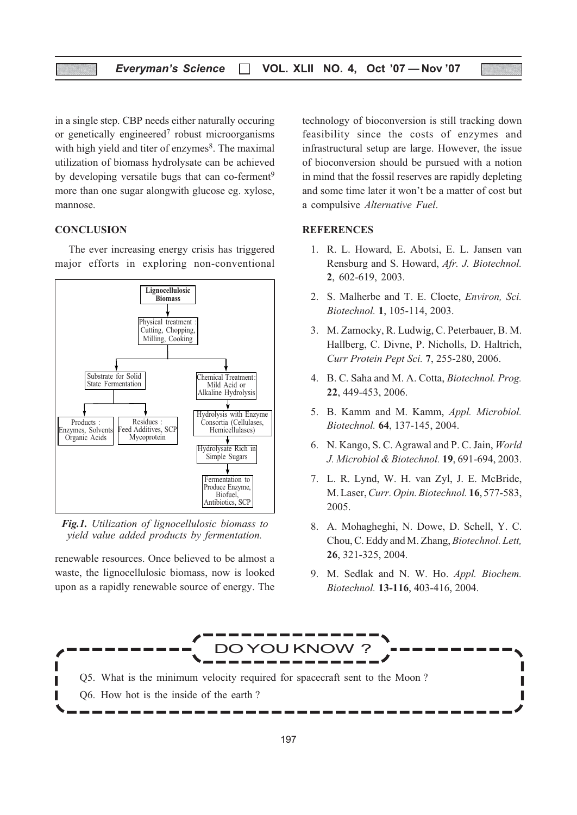in a single step. CBP needs either naturally occuring or genetically engineered<sup>7</sup> robust microorganisms with high yield and titer of enzymes<sup>8</sup>. The maximal utilization of biomass hydrolysate can be achieved by developing versatile bugs that can co-ferment<sup>9</sup> more than one sugar alongwith glucose eg. xylose, mannose.

### **CONCLUSION**

The ever increasing energy crisis has triggered major efforts in exploring non-conventional



Fig.1. Utilization of lignocellulosic biomass to yield value added products by fermentation.

renewable resources. Once believed to be almost a waste, the lignocellulosic biomass, now is looked upon as a rapidly renewable source of energy. The technology of bioconversion is still tracking down feasibility since the costs of enzymes and infrastructural setup are large. However, the issue of bioconversion should be pursued with a notion in mind that the fossil reserves are rapidly depleting and some time later it won't be a matter of cost but a compulsive Alternative Fuel.

### **REFERENCES**

- 1. R. L. Howard, E. Abotsi, E. L. Jansen van Rensburg and S. Howard, Afr. J. Biotechnol. 2, 602-619, 2003.
- 2. S. Malherbe and T. E. Cloete, Environ, Sci. Biotechnol. 1, 105-114, 2003.
- 3. M. Zamocky, R. Ludwig, C. Peterbauer, B. M. Hallberg, C. Divne, P. Nicholls, D. Haltrich, Curr Protein Pept Sci. 7, 255-280, 2006.
- 4. B. C. Saha and M. A. Cotta, Biotechnol. Prog. 22, 449-453, 2006.
- 5. B. Kamm and M. Kamm, Appl. Microbiol. Biotechnol. 64, 137-145, 2004.
- 6. N. Kango, S. C. Agrawal and P. C. Jain, World J. Microbiol & Biotechnol. 19, 691-694, 2003.
- 7. L. R. Lynd, W. H. van Zyl, J. E. McBride, M. Laser, Curr. Opin. Biotechnol. 16, 577-583, 2005.
- 8. A. Mohagheghi, N. Dowe, D. Schell, Y. C. Chou, C. Eddy and M. Zhang, Biotechnol. Lett, 26, 321-325, 2004.
- 9. M. Sedlak and N. W. Ho. Appl. Biochem. Biotechnol. 13-116, 403-416, 2004.

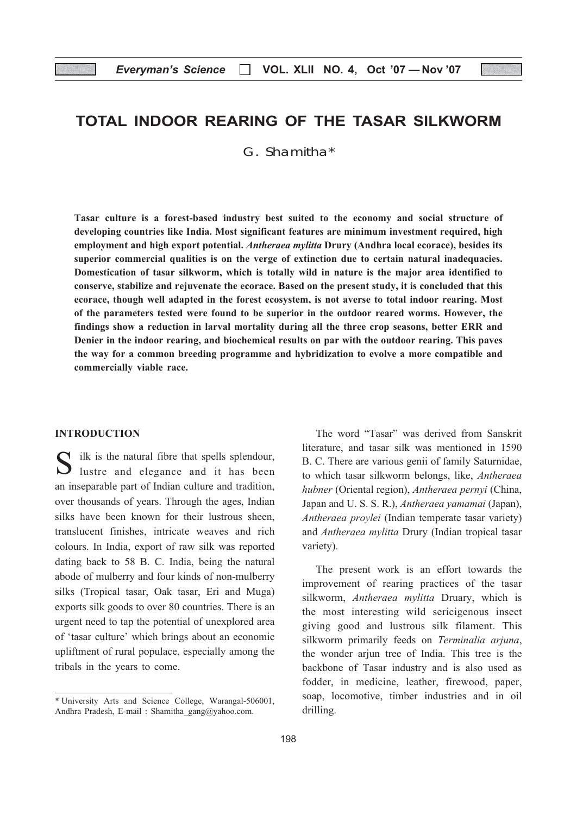### TOTAL INDOOR REARING OF THE TASAR SILKWORM

G. Shamitha\*

Tasar culture is a forest-based industry best suited to the economy and social structure of developing countries like India. Most significant features are minimum investment required, high employment and high export potential. Antheraea mylitta Drury (Andhra local ecorace), besides its superior commercial qualities is on the verge of extinction due to certain natural inadequacies. Domestication of tasar silkworm, which is totally wild in nature is the major area identified to conserve, stabilize and rejuvenate the ecorace. Based on the present study, it is concluded that this ecorace, though well adapted in the forest ecosystem, is not averse to total indoor rearing. Most of the parameters tested were found to be superior in the outdoor reared worms. However, the findings show a reduction in larval mortality during all the three crop seasons, better ERR and Denier in the indoor rearing, and biochemical results on par with the outdoor rearing. This paves the way for a common breeding programme and hybridization to evolve a more compatible and commercially viable race.

### INTRODUCTION

 $\sum$  ilk is the natural fibre that spells splendour,  $\bigcup$  lustre and elegance and it has been an inseparable part of Indian culture and tradition, over thousands of years. Through the ages, Indian silks have been known for their lustrous sheen, translucent finishes, intricate weaves and rich colours. In India, export of raw silk was reported dating back to 58 B. C. India, being the natural abode of mulberry and four kinds of non-mulberry silks (Tropical tasar, Oak tasar, Eri and Muga) exports silk goods to over 80 countries. There is an urgent need to tap the potential of unexplored area of 'tasar culture' which brings about an economic upliftment of rural populace, especially among the tribals in the years to come.

The word "Tasar" was derived from Sanskrit literature, and tasar silk was mentioned in 1590 B. C. There are various genii of family Saturnidae, to which tasar silkworm belongs, like, Antheraea hubner (Oriental region), Antheraea pernyi (China, Japan and U. S. S. R.), Antheraea yamamai (Japan), Antheraea proylei (Indian temperate tasar variety) and Antheraea mylitta Drury (Indian tropical tasar variety).

The present work is an effort towards the improvement of rearing practices of the tasar silkworm, Antheraea mylitta Druary, which is the most interesting wild sericigenous insect giving good and lustrous silk filament. This silkworm primarily feeds on Terminalia arjuna, the wonder arjun tree of India. This tree is the backbone of Tasar industry and is also used as fodder, in medicine, leather, firewood, paper, soap, locomotive, timber industries and in oil drilling.

<sup>\*</sup> University Arts and Science College, Warangal-506001, Andhra Pradesh, E-mail : Shamitha\_gang@yahoo.com.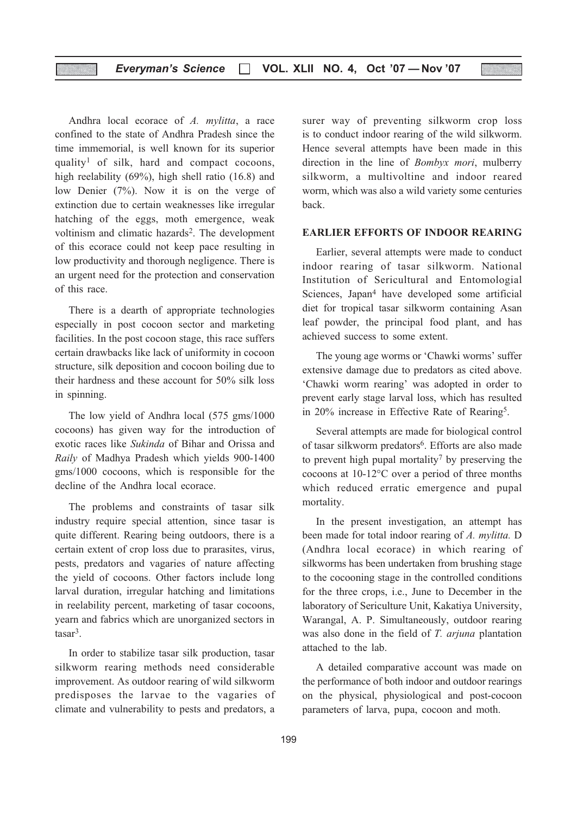### Everyman's Science □ VOL. XLII NO. 4, Oct '07 - Nov '07

Andhra local ecorace of A. mylitta, a race confined to the state of Andhra Pradesh since the time immemorial, is well known for its superior quality<sup>1</sup> of silk, hard and compact cocoons, high reelability (69%), high shell ratio (16.8) and low Denier (7%). Now it is on the verge of extinction due to certain weaknesses like irregular hatching of the eggs, moth emergence, weak voltinism and climatic hazards<sup>2</sup>. The development of this ecorace could not keep pace resulting in low productivity and thorough negligence. There is an urgent need for the protection and conservation of this race.

There is a dearth of appropriate technologies especially in post cocoon sector and marketing facilities. In the post cocoon stage, this race suffers certain drawbacks like lack of uniformity in cocoon structure, silk deposition and cocoon boiling due to their hardness and these account for 50% silk loss in spinning.

The low yield of Andhra local (575 gms/1000 cocoons) has given way for the introduction of exotic races like Sukinda of Bihar and Orissa and Raily of Madhya Pradesh which yields 900-1400 gms/1000 cocoons, which is responsible for the decline of the Andhra local ecorace.

The problems and constraints of tasar silk industry require special attention, since tasar is quite different. Rearing being outdoors, there is a certain extent of crop loss due to prarasites, virus, pests, predators and vagaries of nature affecting the yield of cocoons. Other factors include long larval duration, irregular hatching and limitations in reelability percent, marketing of tasar cocoons, yearn and fabrics which are unorganized sectors in tasar<sup>3</sup>.

In order to stabilize tasar silk production, tasar silkworm rearing methods need considerable improvement. As outdoor rearing of wild silkworm predisposes the larvae to the vagaries of climate and vulnerability to pests and predators, a

surer way of preventing silkworm crop loss is to conduct indoor rearing of the wild silkworm. Hence several attempts have been made in this direction in the line of Bombyx mori, mulberry silkworm, a multivoltine and indoor reared worm, which was also a wild variety some centuries back.

#### EARLIER EFFORTS OF INDOOR REARING

Earlier, several attempts were made to conduct indoor rearing of tasar silkworm. National Institution of Sericultural and Entomologial Sciences, Japan<sup>4</sup> have developed some artificial diet for tropical tasar silkworm containing Asan leaf powder, the principal food plant, and has achieved success to some extent.

The young age worms or 'Chawki worms' suffer extensive damage due to predators as cited above. 'Chawki worm rearing' was adopted in order to prevent early stage larval loss, which has resulted in 20% increase in Effective Rate of Rearing5.

Several attempts are made for biological control of tasar silkworm predators<sup>6</sup>. Efforts are also made to prevent high pupal mortality<sup>7</sup> by preserving the cocoons at 10-12°C over a period of three months which reduced erratic emergence and pupal mortality.

In the present investigation, an attempt has been made for total indoor rearing of A. mylitta. D (Andhra local ecorace) in which rearing of silkworms has been undertaken from brushing stage to the cocooning stage in the controlled conditions for the three crops, i.e., June to December in the laboratory of Sericulture Unit, Kakatiya University, Warangal, A. P. Simultaneously, outdoor rearing was also done in the field of T. arjuna plantation attached to the lab.

A detailed comparative account was made on the performance of both indoor and outdoor rearings on the physical, physiological and post-cocoon parameters of larva, pupa, cocoon and moth.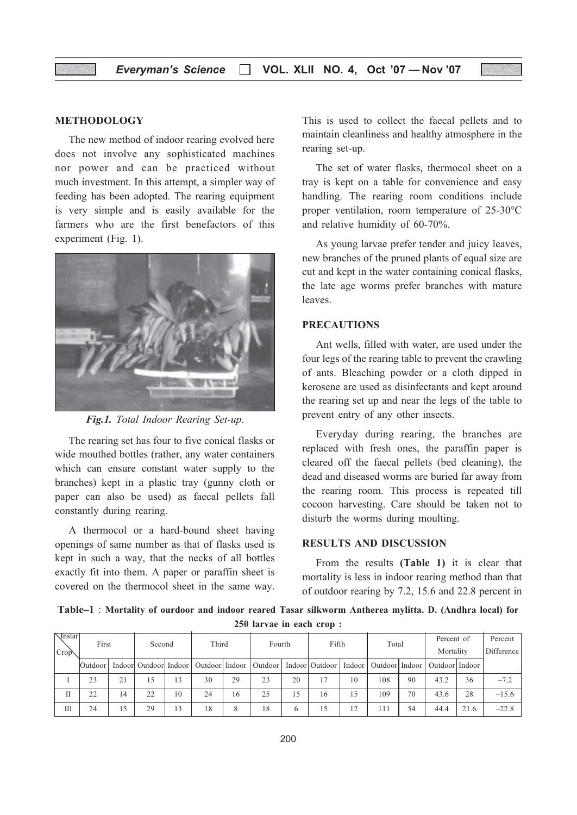### METHODOLOGY

The new method of indoor rearing evolved here does not involve any sophisticated machines nor power and can be practiced without much investment. In this attempt, a simpler way of feeding has been adopted. The rearing equipment is very simple and is easily available for the farmers who are the first benefactors of this experiment (Fig. 1).



Fig.1. Total Indoor Rearing Set-up.

The rearing set has four to five conical flasks or wide mouthed bottles (rather, any water containers which can ensure constant water supply to the branches) kept in a plastic tray (gunny cloth or paper can also be used) as faecal pellets fall constantly during rearing.

A thermocol or a hard-bound sheet having openings of same number as that of flasks used is kept in such a way, that the necks of all bottles exactly fit into them. A paper or paraffin sheet is covered on the thermocol sheet in the same way.

This is used to collect the faecal pellets and to maintain cleanliness and healthy atmosphere in the rearing set-up.

The set of water flasks, thermocol sheet on a tray is kept on a table for convenience and easy handling. The rearing room conditions include proper ventilation, room temperature of 25-30°C and relative humidity of 60-70%.

As young larvae prefer tender and juicy leaves, new branches of the pruned plants of equal size are cut and kept in the water containing conical flasks, the late age worms prefer branches with mature leaves.

### PRECAUTIONS

Ant wells, filled with water, are used under the four legs of the rearing table to prevent the crawling of ants. Bleaching powder or a cloth dipped in kerosene are used as disinfectants and kept around the rearing set up and near the legs of the table to prevent entry of any other insects.

Everyday during rearing, the branches are replaced with fresh ones, the paraffin paper is cleared off the faecal pellets (bed cleaning), the dead and diseased worms are buried far away from the rearing room. This process is repeated till cocoon harvesting. Care should be taken not to disturb the worms during moulting.

### RESULTS AND DISCUSSION

From the results (Table 1) it is clear that mortality is less in indoor rearing method than that of outdoor rearing by 7.2, 15.6 and 22.8 percent in

Table–1 : Mortality of ourdoor and indoor reared Tasar silkworm Antherea mylitta. D. (Andhra local) for 250 larvae in each crop :

| <b>M</b> nstarl | First   |    | Second                  |    |    |    | Third<br>Fourth                               |    | Fifth |        | Total        |    | Percent of                          |      | Percent    |
|-----------------|---------|----|-------------------------|----|----|----|-----------------------------------------------|----|-------|--------|--------------|----|-------------------------------------|------|------------|
| Crop            |         |    |                         |    |    |    |                                               |    |       |        |              |    | Mortality                           |      | Difference |
|                 | Outdoor |    | Indoorl Outdoorl Indoor |    |    |    | Outdoor   Indoor   Outdoor   Indoor   Outdoor |    |       | Indoor |              |    | Outdoor   Indoor   Outdoor   Indoor |      |            |
|                 | 23      | 21 | 15                      | 3  | 30 | 29 | 23                                            | 20 |       | 10     | 108          | 90 | 43.2                                | 36   | $-7.2$     |
| П               | 22      | 14 | 22                      | 10 | 24 | 16 | 25                                            | ٠5 | 16    | 15     | 109          | 70 | 43.6                                | 28   | $-15.6$    |
| Ш               | 24      | 15 | 29                      | 13 | 18 | 8  | 18                                            | 6  | 15    | 12     | $11^{\circ}$ | 54 | 44.4                                | 21.6 | $-22.8$    |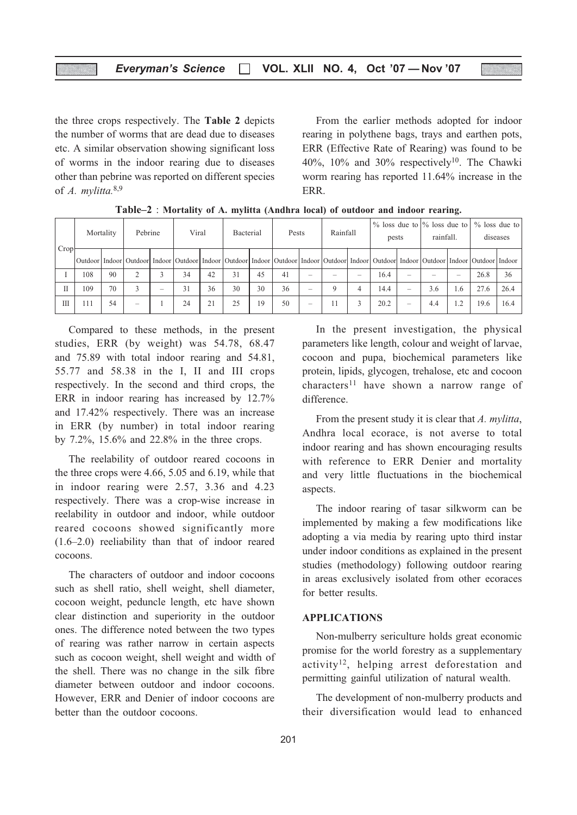the three crops respectively. The Table 2 depicts the number of worms that are dead due to diseases etc. A similar observation showing significant loss of worms in the indoor rearing due to diseases other than pebrine was reported on different species of A. mylitta.<sup>8,9</sup>

From the earlier methods adopted for indoor rearing in polythene bags, trays and earthen pots, ERR (Effective Rate of Rearing) was found to be 40%, 10% and 30% respectively<sup>10</sup>. The Chawki worm rearing has reported 11.64% increase in the ERR.

|      |     | Mortality | Pebrine                  |   | Viral                                                                                                                                                                |    | <b>Bacterial</b> |    | Pests |   | Rainfall |                          | $\%$ loss due to $\%$ loss due to<br>pests |                          | rainfall. |        | $\%$ loss due to | diseases |
|------|-----|-----------|--------------------------|---|----------------------------------------------------------------------------------------------------------------------------------------------------------------------|----|------------------|----|-------|---|----------|--------------------------|--------------------------------------------|--------------------------|-----------|--------|------------------|----------|
| Crop |     |           |                          |   | Outdoor Indoor Outdoor Indoor Outdoor Indoor Outdoor Indoor Outdoor Indoor Outdoor Indoor Outdoor Indoor Outdoor Indoor Outdoor Indoor Outdoor Indoor Outdoor Indoor |    |                  |    |       |   |          |                          |                                            |                          |           |        |                  |          |
|      | 108 | 90        |                          |   | 34                                                                                                                                                                   | 42 | 31               | 45 | 41    | - |          | $\overline{\phantom{a}}$ | 16.4                                       |                          |           | -      | 26.8             | 36       |
| П    | 109 | 70        | 3                        | - | 31                                                                                                                                                                   | 36 | 30               | 30 | 36    | - |          |                          | 14.4                                       | $\overline{\phantom{a}}$ | 3.6       | . . 6  | 27.6             | 26.4     |
| III  | 111 | 54        | $\overline{\phantom{a}}$ |   | 24                                                                                                                                                                   | 21 | 25               | 19 | 50    | - |          |                          | 20.2                                       | $\overline{\phantom{a}}$ | 4.4       | $\sim$ | 19.6             | 16.4     |

Table–2 : Mortality of A. mylitta (Andhra local) of outdoor and indoor rearing.

Compared to these methods, in the present studies, ERR (by weight) was 54.78, 68.47 and 75.89 with total indoor rearing and 54.81, 55.77 and 58.38 in the I, II and III crops respectively. In the second and third crops, the ERR in indoor rearing has increased by 12.7% and 17.42% respectively. There was an increase in ERR (by number) in total indoor rearing by 7.2%, 15.6% and 22.8% in the three crops.

The reelability of outdoor reared cocoons in the three crops were 4.66, 5.05 and 6.19, while that in indoor rearing were 2.57, 3.36 and 4.23 respectively. There was a crop-wise increase in reelability in outdoor and indoor, while outdoor reared cocoons showed significantly more (1.6–2.0) reeliability than that of indoor reared cocoons.

The characters of outdoor and indoor cocoons such as shell ratio, shell weight, shell diameter, cocoon weight, peduncle length, etc have shown clear distinction and superiority in the outdoor ones. The difference noted between the two types of rearing was rather narrow in certain aspects such as cocoon weight, shell weight and width of the shell. There was no change in the silk fibre diameter between outdoor and indoor cocoons. However, ERR and Denier of indoor cocoons are better than the outdoor cocoons.

In the present investigation, the physical parameters like length, colour and weight of larvae, cocoon and pupa, biochemical parameters like protein, lipids, glycogen, trehalose, etc and cocoon characters<sup>11</sup> have shown a narrow range of difference.

From the present study it is clear that A. mylitta, Andhra local ecorace, is not averse to total indoor rearing and has shown encouraging results with reference to ERR Denier and mortality and very little fluctuations in the biochemical aspects.

The indoor rearing of tasar silkworm can be implemented by making a few modifications like adopting a via media by rearing upto third instar under indoor conditions as explained in the present studies (methodology) following outdoor rearing in areas exclusively isolated from other ecoraces for better results.

#### APPLICATIONS

Non-mulberry sericulture holds great economic promise for the world forestry as a supplementary activity<sup>12</sup>, helping arrest deforestation and permitting gainful utilization of natural wealth.

The development of non-mulberry products and their diversification would lead to enhanced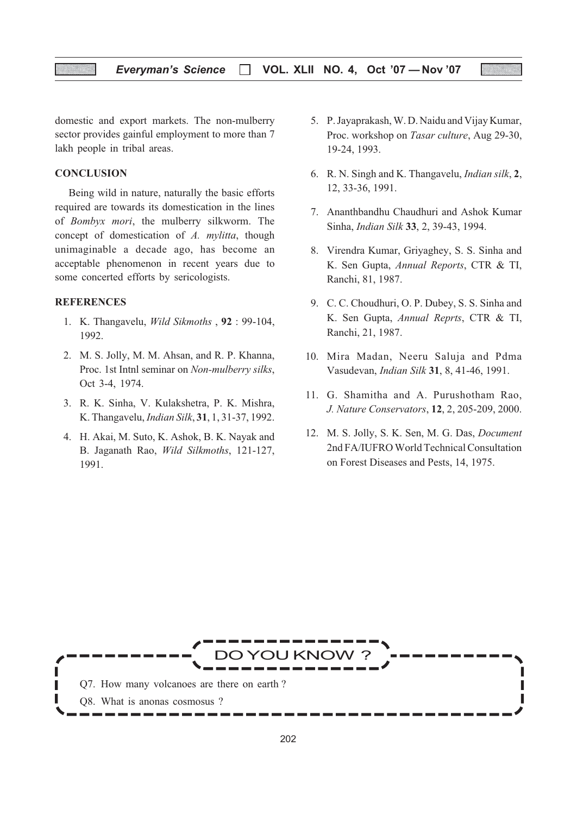### Everyman's Science  $\Box$  VOL. XLII NO. 4, Oct '07 - Nov '07

domestic and export markets. The non-mulberry sector provides gainful employment to more than 7 lakh people in tribal areas.

### **CONCLUSION**

Being wild in nature, naturally the basic efforts required are towards its domestication in the lines of Bombyx mori, the mulberry silkworm. The concept of domestication of A. mylitta, though unimaginable a decade ago, has become an acceptable phenomenon in recent years due to some concerted efforts by sericologists.

#### **REFERENCES**

- 1. K. Thangavelu, Wild Sikmoths , 92 : 99-104, 1992.
- 2. M. S. Jolly, M. M. Ahsan, and R. P. Khanna, Proc. 1st Intnl seminar on Non-mulberry silks, Oct 3-4, 1974.
- 3. R. K. Sinha, V. Kulakshetra, P. K. Mishra, K. Thangavelu, Indian Silk, 31, 1, 31-37, 1992.
- 4. H. Akai, M. Suto, K. Ashok, B. K. Nayak and B. Jaganath Rao, Wild Silkmoths, 121-127, 1991.
- 5. P. Jayaprakash, W. D. Naidu and Vijay Kumar, Proc. workshop on Tasar culture, Aug 29-30, 19-24, 1993.
- 6. R. N. Singh and K. Thangavelu, Indian silk, 2, 12, 33-36, 1991.
- 7. Ananthbandhu Chaudhuri and Ashok Kumar Sinha, Indian Silk 33, 2, 39-43, 1994.
- 8. Virendra Kumar, Griyaghey, S. S. Sinha and K. Sen Gupta, Annual Reports, CTR & TI, Ranchi, 81, 1987.
- 9. C. C. Choudhuri, O. P. Dubey, S. S. Sinha and K. Sen Gupta, Annual Reprts, CTR & TI, Ranchi, 21, 1987.
- 10. Mira Madan, Neeru Saluja and Pdma Vasudevan, Indian Silk 31, 8, 41-46, 1991.
- 11. G. Shamitha and A. Purushotham Rao, J. Nature Conservators, 12, 2, 205-209, 2000.
- 12. M. S. Jolly, S. K. Sen, M. G. Das, Document 2nd FA/IUFRO World Technical Consultation on Forest Diseases and Pests, 14, 1975.

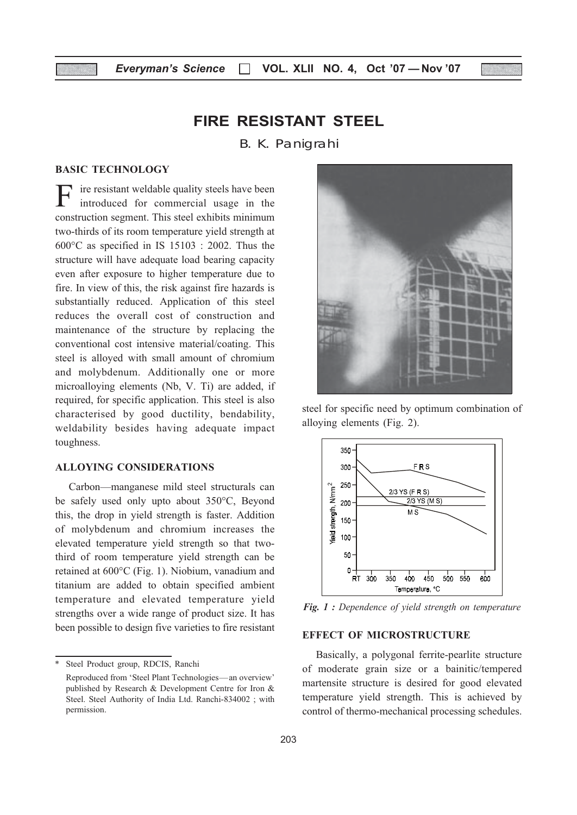### FIRE RESISTANT STEEL

B. K. Panigrahi

#### BASIC TECHNOLOGY

F ire resistant weldable quality steels have been<br>introduced for commercial usage in the construction segment. This steel exhibits minimum two-thirds of its room temperature yield strength at 600°C as specified in IS 15103 : 2002. Thus the structure will have adequate load bearing capacity even after exposure to higher temperature due to fire. In view of this, the risk against fire hazards is substantially reduced. Application of this steel reduces the overall cost of construction and maintenance of the structure by replacing the conventional cost intensive material/coating. This steel is alloyed with small amount of chromium and molybdenum. Additionally one or more microalloying elements (Nb, V. Ti) are added, if required, for specific application. This steel is also characterised by good ductility, bendability, weldability besides having adequate impact toughness.

### ALLOYING CONSIDERATIONS

Carbon—manganese mild steel structurals can be safely used only upto about 350°C, Beyond this, the drop in yield strength is faster. Addition of molybdenum and chromium increases the elevated temperature yield strength so that twothird of room temperature yield strength can be retained at 600°C (Fig. 1). Niobium, vanadium and titanium are added to obtain specified ambient temperature and elevated temperature yield strengths over a wide range of product size. It has been possible to design five varieties to fire resistant



steel for specific need by optimum combination of alloying elements (Fig. 2).



Fig. 1 : Dependence of yield strength on temperature

### EFFECT OF MICROSTRUCTURE

Basically, a polygonal ferrite-pearlite structure of moderate grain size or a bainitic/tempered martensite structure is desired for good elevated temperature yield strength. This is achieved by control of thermo-mechanical processing schedules.

Steel Product group, RDCIS, Ranchi Reproduced from 'Steel Plant Technologies—an overview' published by Research & Development Centre for Iron & Steel. Steel Authority of India Ltd. Ranchi-834002 ; with permission.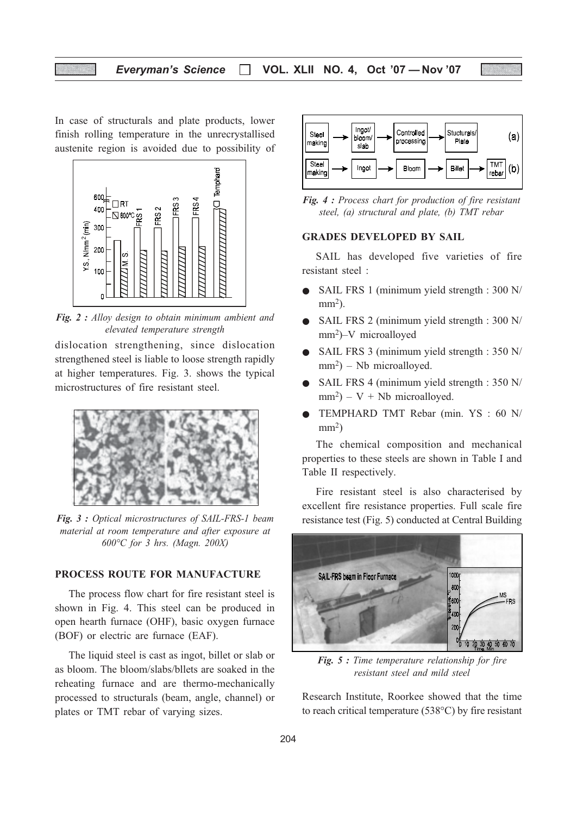### Everyman's Science  $\Box$  VOL. XLII NO. 4, Oct '07 - Nov '07

In case of structurals and plate products, lower finish rolling temperature in the unrecrystallised austenite region is avoided due to possibility of



Fig. 2 : Alloy design to obtain minimum ambient and elevated temperature strength

dislocation strengthening, since dislocation strengthened steel is liable to loose strength rapidly at higher temperatures. Fig. 3. shows the typical microstructures of fire resistant steel.



Fig. 3 : Optical microstructures of SAIL-FRS-1 beam material at room temperature and after exposure at 600°C for 3 hrs. (Magn. 200X)

### PROCESS ROUTE FOR MANUFACTURE

The process flow chart for fire resistant steel is shown in Fig. 4. This steel can be produced in open hearth furnace (OHF), basic oxygen furnace (BOF) or electric are furnace (EAF).

The liquid steel is cast as ingot, billet or slab or as bloom. The bloom/slabs/bllets are soaked in the reheating furnace and are thermo-mechanically processed to structurals (beam, angle, channel) or plates or TMT rebar of varying sizes.



Fig. 4 : Process chart for production of fire resistant steel, (a) structural and plate, (b) TMT rebar

### GRADES DEVELOPED BY SAIL

SAIL has developed five varieties of fire resistant steel :

- SAIL FRS 1 (minimum yield strength : 300 N/  $mm<sup>2</sup>$ ).
- SAIL FRS 2 (minimum yield strength : 300 N/ mm2)–V microalloyed
- SAIL FRS 3 (minimum yield strength : 350 N/  $mm<sup>2</sup>$ ) – Nb microalloyed.
- SAIL FRS 4 (minimum yield strength : 350 N/  $mm<sup>2</sup>$ ) – V + Nb microalloyed.
- TEMPHARD TMT Rebar (min. YS : 60 N/  $mm<sup>2</sup>$ )

The chemical composition and mechanical properties to these steels are shown in Table I and Table II respectively.

Fire resistant steel is also characterised by excellent fire resistance properties. Full scale fire resistance test (Fig. 5) conducted at Central Building



Fig. 5 : Time temperature relationship for fire resistant steel and mild steel

Research Institute, Roorkee showed that the time to reach critical temperature (538°C) by fire resistant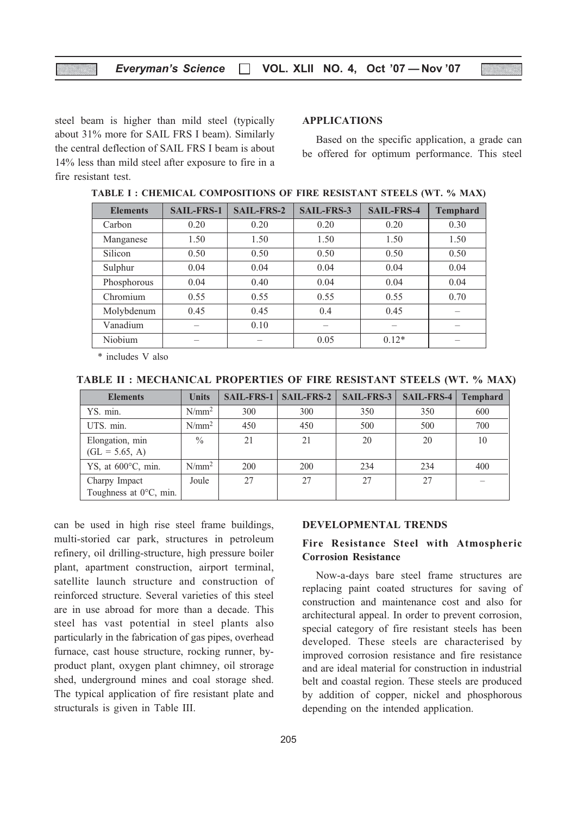steel beam is higher than mild steel (typically about 31% more for SAIL FRS I beam). Similarly the central deflection of SAIL FRS I beam is about 14% less than mild steel after exposure to fire in a fire resistant test.

### APPLICATIONS

Based on the specific application, a grade can be offered for optimum performance. This steel

| <b>Elements</b> | <b>SAIL-FRS-1</b> | <b>SAIL-FRS-2</b> | <b>SAIL-FRS-3</b> | <b>SAIL-FRS-4</b> | <b>Temphard</b> |
|-----------------|-------------------|-------------------|-------------------|-------------------|-----------------|
| Carbon          | 0.20              | 0.20              | 0.20              | 0.20              | 0.30            |
| Manganese       | 1.50              | 1.50              | 1.50              | 1.50              | 1.50            |
| Silicon         | 0.50              | 0.50              | 0.50              | 0.50              | 0.50            |
| Sulphur         | 0.04              | 0.04              | 0.04              | 0.04              | 0.04            |
| Phosphorous     | 0.04              | 0.40              | 0.04              | 0.04              | 0.04            |
| Chromium        | 0.55              | 0.55              | 0.55              | 0.55              | 0.70            |
| Molybdenum      | 0.45              | 0.45              | 0.4               | 0.45              |                 |
| Vanadium        |                   | 0.10              |                   |                   |                 |
| Niobium         |                   |                   | 0.05              | $0.12*$           |                 |

TABLE I : CHEMICAL COMPOSITIONS OF FIRE RESISTANT STEELS (WT. % MAX)

\* includes V also

| TABLE II : MECHANICAL PROPERTIES OF FIRE RESISTANT STEELS (WT. % MAX) |  |  |  |  |
|-----------------------------------------------------------------------|--|--|--|--|
|-----------------------------------------------------------------------|--|--|--|--|

| <b>Elements</b>                                   | <b>Units</b>  | $SAIL-FRS-1$ | <b>SAIL-FRS-2</b> | SAIL-FRS-3 | $SAIL-FRS-4$ | <b>Temphard</b> |
|---------------------------------------------------|---------------|--------------|-------------------|------------|--------------|-----------------|
| YS. min.                                          | $N/mm^2$      | 300          | 300               | 350        | 350          | 600             |
| UTS. min.                                         | $N/mm^2$      | 450          | 450               | 500        | 500          | 700             |
| Elongation, min<br>$(GL = 5.65, A)$               | $\frac{0}{0}$ | 21           | 21                | 20         | 20           | 10              |
| YS, at $600^{\circ}$ C, min.                      | $N/mm^2$      | <b>200</b>   | <b>200</b>        | 234        | 234          | 400             |
| Charpy Impact<br>Toughness at $0^{\circ}$ C, min. | Joule         | 27           | 27                | 27         | 27           |                 |

can be used in high rise steel frame buildings, multi-storied car park, structures in petroleum refinery, oil drilling-structure, high pressure boiler plant, apartment construction, airport terminal, satellite launch structure and construction of reinforced structure. Several varieties of this steel are in use abroad for more than a decade. This steel has vast potential in steel plants also particularly in the fabrication of gas pipes, overhead furnace, cast house structure, rocking runner, byproduct plant, oxygen plant chimney, oil strorage shed, underground mines and coal storage shed. The typical application of fire resistant plate and structurals is given in Table III.

#### DEVELOPMENTAL TRENDS

### Fire Resistance Steel with Atmospheric Corrosion Resistance

Now-a-days bare steel frame structures are replacing paint coated structures for saving of construction and maintenance cost and also for architectural appeal. In order to prevent corrosion, special category of fire resistant steels has been developed. These steels are characterised by improved corrosion resistance and fire resistance and are ideal material for construction in industrial belt and coastal region. These steels are produced by addition of copper, nickel and phosphorous depending on the intended application.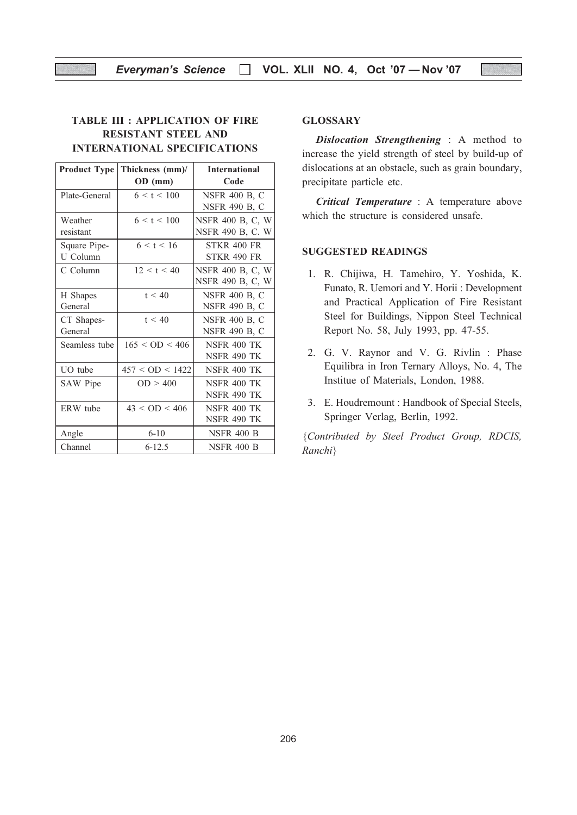### TABLE III : APPLICATION OF FIRE RESISTANT STEEL AND INTERNATIONAL SPECIFICATIONS

| <b>Product Type</b> | Thickness (mm)/     | <b>International</b> |  |  |  |
|---------------------|---------------------|----------------------|--|--|--|
|                     | OD (mm)             | Code                 |  |  |  |
| Plate-General       | 6 < t < 100         | <b>NSFR 400 B, C</b> |  |  |  |
|                     |                     | <b>NSFR 490 B, C</b> |  |  |  |
| Weather             | 6 < t < 100         | NSFR 400 B, C, W     |  |  |  |
| resistant           |                     | NSFR 490 B, C. W     |  |  |  |
| Square Pipe-        | 6 < t < 16          | <b>STKR 400 FR</b>   |  |  |  |
| U Column            |                     | <b>STKR 490 FR</b>   |  |  |  |
| C Column            | 12 < t < 40         | NSFR 400 B, C, W     |  |  |  |
|                     |                     | NSFR 490 B, C, W     |  |  |  |
| H Shapes            | t < 40              | <b>NSFR 400 B, C</b> |  |  |  |
| General             |                     | <b>NSFR 490 B, C</b> |  |  |  |
| CT Shapes-          | t < 40              | <b>NSFR 400 B, C</b> |  |  |  |
| General             |                     | <b>NSFR 490 B, C</b> |  |  |  |
| Seamless tube       | 165 < OD < 406      | <b>NSFR 400 TK</b>   |  |  |  |
|                     |                     | <b>NSFR 490 TK</b>   |  |  |  |
| UO tube             | $457 <$ OD $<$ 1422 | NSFR 400 TK          |  |  |  |
| SAW Pipe            | OD > 400            | <b>NSFR 400 TK</b>   |  |  |  |
|                     |                     | <b>NSFR 490 TK</b>   |  |  |  |
| ERW tube            | $43 <$ OD $< 406$   | <b>NSFR 400 TK</b>   |  |  |  |
|                     |                     | <b>NSFR 490 TK</b>   |  |  |  |
| Angle               | $6-10$              | <b>NSFR 400 B</b>    |  |  |  |
| Channel             | $6 - 12.5$          | <b>NSFR 400 B</b>    |  |  |  |

### **GLOSSARY**

Dislocation Strengthening : A method to increase the yield strength of steel by build-up of dislocations at an obstacle, such as grain boundary, precipitate particle etc.

Critical Temperature : A temperature above which the structure is considered unsafe.

### SUGGESTED READINGS

- 1. R. Chijiwa, H. Tamehiro, Y. Yoshida, K. Funato, R. Uemori and Y. Horii : Development and Practical Application of Fire Resistant Steel for Buildings, Nippon Steel Technical Report No. 58, July 1993, pp. 47-55.
- 2. G. V. Raynor and V. G. Rivlin : Phase Equilibra in Iron Ternary Alloys, No. 4, The Institue of Materials, London, 1988.
- 3. E. Houdremount : Handbook of Special Steels, Springer Verlag, Berlin, 1992.

{Contributed by Steel Product Group, RDCIS, Ranchi}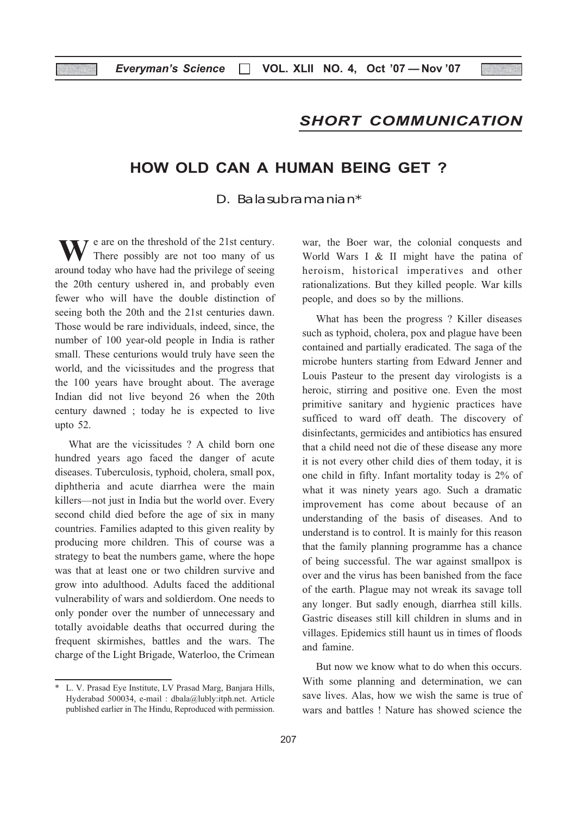### SHORT COMMUNICATION

### HOW OLD CAN A HUMAN BEING GET ?

D. Balasubramanian\*

W There possibly are not too many of us around today who have had the privilege of seeing  $\overline{z}$  are on the threshold of the 21st century. There possibly are not too many of us the 20th century ushered in, and probably even fewer who will have the double distinction of seeing both the 20th and the 21st centuries dawn. Those would be rare individuals, indeed, since, the number of 100 year-old people in India is rather small. These centurions would truly have seen the world, and the vicissitudes and the progress that the 100 years have brought about. The average Indian did not live beyond 26 when the 20th century dawned ; today he is expected to live upto 52.

What are the vicissitudes ? A child born one hundred years ago faced the danger of acute diseases. Tuberculosis, typhoid, cholera, small pox, diphtheria and acute diarrhea were the main killers—not just in India but the world over. Every second child died before the age of six in many countries. Families adapted to this given reality by producing more children. This of course was a strategy to beat the numbers game, where the hope was that at least one or two children survive and grow into adulthood. Adults faced the additional vulnerability of wars and soldierdom. One needs to only ponder over the number of unnecessary and totally avoidable deaths that occurred during the frequent skirmishes, battles and the wars. The charge of the Light Brigade, Waterloo, the Crimean

war, the Boer war, the colonial conquests and World Wars I & II might have the patina of heroism, historical imperatives and other rationalizations. But they killed people. War kills people, and does so by the millions.

What has been the progress ? Killer diseases such as typhoid, cholera, pox and plague have been contained and partially eradicated. The saga of the microbe hunters starting from Edward Jenner and Louis Pasteur to the present day virologists is a heroic, stirring and positive one. Even the most primitive sanitary and hygienic practices have sufficed to ward off death. The discovery of disinfectants, germicides and antibiotics has ensured that a child need not die of these disease any more it is not every other child dies of them today, it is one child in fifty. Infant mortality today is 2% of what it was ninety years ago. Such a dramatic improvement has come about because of an understanding of the basis of diseases. And to understand is to control. It is mainly for this reason that the family planning programme has a chance of being successful. The war against smallpox is over and the virus has been banished from the face of the earth. Plague may not wreak its savage toll any longer. But sadly enough, diarrhea still kills. Gastric diseases still kill children in slums and in villages. Epidemics still haunt us in times of floods and famine.

But now we know what to do when this occurs. With some planning and determination, we can save lives. Alas, how we wish the same is true of wars and battles ! Nature has showed science the

<sup>\*</sup> L. V. Prasad Eye Institute, LV Prasad Marg, Banjara Hills, Hyderabad 500034, e-mail : dbala@lubly:itph.net. Article published earlier in The Hindu, Reproduced with permission.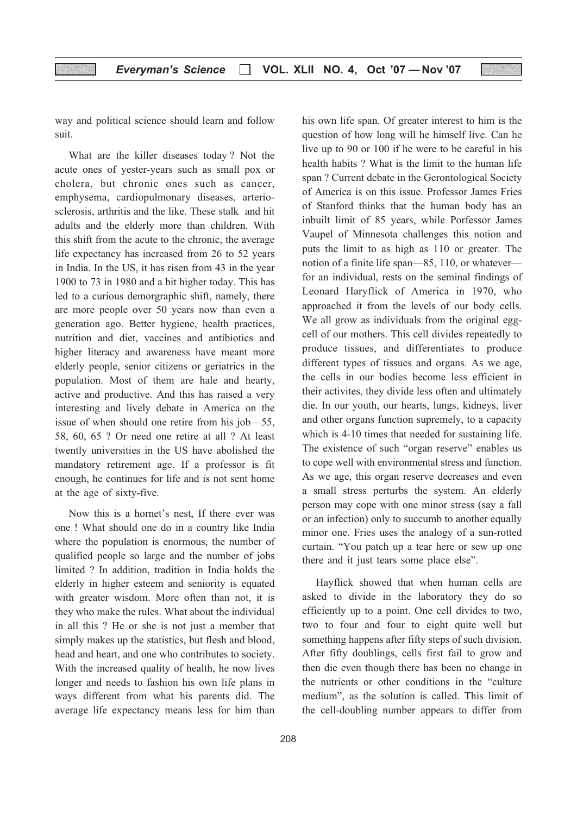way and political science should learn and follow suit.

What are the killer diseases today ? Not the acute ones of yester-years such as small pox or cholera, but chronic ones such as cancer, emphysema, cardiopulmonary diseases, arteriosclerosis, arthritis and the like. These stalk and hit adults and the elderly more than children. With this shift from the acute to the chronic, the average life expectancy has increased from 26 to 52 years in India. In the US, it has risen from 43 in the year 1900 to 73 in 1980 and a bit higher today. This has led to a curious demorgraphic shift, namely, there are more people over 50 years now than even a generation ago. Better hygiene, health practices, nutrition and diet, vaccines and antibiotics and higher literacy and awareness have meant more elderly people, senior citizens or geriatrics in the population. Most of them are hale and hearty, active and productive. And this has raised a very interesting and lively debate in America on the issue of when should one retire from his job—55, 58, 60, 65 ? Or need one retire at all ? At least twently universities in the US have abolished the mandatory retirement age. If a professor is fit enough, he continues for life and is not sent home at the age of sixty-five.

Now this is a hornet's nest, If there ever was one ! What should one do in a country like India where the population is enormous, the number of qualified people so large and the number of jobs limited ? In addition, tradition in India holds the elderly in higher esteem and seniority is equated with greater wisdom. More often than not, it is they who make the rules. What about the individual in all this ? He or she is not just a member that simply makes up the statistics, but flesh and blood, head and heart, and one who contributes to society. With the increased quality of health, he now lives longer and needs to fashion his own life plans in ways different from what his parents did. The average life expectancy means less for him than

his own life span. Of greater interest to him is the question of how long will he himself live. Can he live up to 90 or 100 if he were to be careful in his health habits ? What is the limit to the human life span ? Current debate in the Gerontological Society of America is on this issue. Professor James Fries of Stanford thinks that the human body has an inbuilt limit of 85 years, while Porfessor James Vaupel of Minnesota challenges this notion and puts the limit to as high as 110 or greater. The notion of a finite life span—85, 110, or whatever for an individual, rests on the seminal findings of Leonard Haryflick of America in 1970, who approached it from the levels of our body cells. We all grow as individuals from the original eggcell of our mothers. This cell divides repeatedly to produce tissues, and differentiates to produce different types of tissues and organs. As we age, the cells in our bodies become less efficient in their activites, they divide less often and ultimately die. In our youth, our hearts, lungs, kidneys, liver and other organs function supremely, to a capacity which is 4-10 times that needed for sustaining life. The existence of such "organ reserve" enables us to cope well with environmental stress and function. As we age, this organ reserve decreases and even a small stress perturbs the system. An elderly person may cope with one minor stress (say a fall or an infection) only to succumb to another equally minor one. Fries uses the analogy of a sun-rotted curtain. "You patch up a tear here or sew up one there and it just tears some place else".

Hayflick showed that when human cells are asked to divide in the laboratory they do so efficiently up to a point. One cell divides to two, two to four and four to eight quite well but something happens after fifty steps of such division. After fifty doublings, cells first fail to grow and then die even though there has been no change in the nutrients or other conditions in the "culture medium", as the solution is called. This limit of the cell-doubling number appears to differ from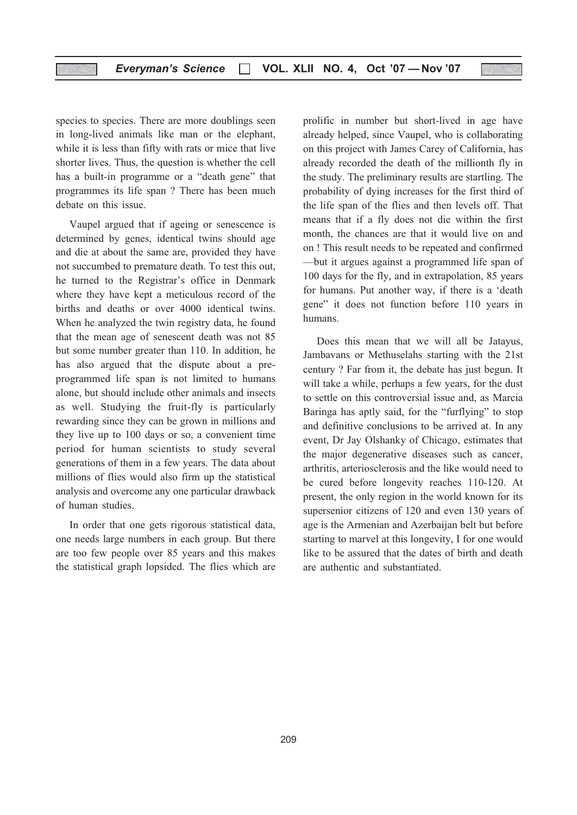species to species. There are more doublings seen in long-lived animals like man or the elephant, while it is less than fifty with rats or mice that live shorter lives. Thus, the question is whether the cell has a built-in programme or a "death gene" that programmes its life span ? There has been much debate on this issue.

Vaupel argued that if ageing or senescence is determined by genes, identical twins should age and die at about the same are, provided they have not succumbed to premature death. To test this out, he turned to the Registrar's office in Denmark where they have kept a meticulous record of the births and deaths or over 4000 identical twins. When he analyzed the twin registry data, he found that the mean age of senescent death was not 85 but some number greater than 110. In addition, he has also argued that the dispute about a preprogrammed life span is not limited to humans alone, but should include other animals and insects as well. Studying the fruit-fly is particularly rewarding since they can be grown in millions and they live up to 100 days or so, a convenient time period for human scientists to study several generations of them in a few years. The data about millions of flies would also firm up the statistical analysis and overcome any one particular drawback of human studies.

In order that one gets rigorous statistical data, one needs large numbers in each group. But there are too few people over 85 years and this makes the statistical graph lopsided. The flies which are

prolific in number but short-lived in age have already helped, since Vaupel, who is collaborating on this project with James Carey of California, has already recorded the death of the millionth fly in the study. The preliminary results are startling. The probability of dying increases for the first third of the life span of the flies and then levels off. That means that if a fly does not die within the first month, the chances are that it would live on and on ! This result needs to be repeated and confirmed —but it argues against a programmed life span of 100 days for the fly, and in extrapolation, 85 years for humans. Put another way, if there is a 'death gene" it does not function before 110 years in humans.

Does this mean that we will all be Jatayus, Jambavans or Methuselahs starting with the 21st century ? Far from it, the debate has just begun. It will take a while, perhaps a few years, for the dust to settle on this controversial issue and, as Marcia Baringa has aptly said, for the "furflying" to stop and definitive conclusions to be arrived at. In any event, Dr Jay Olshanky of Chicago, estimates that the major degenerative diseases such as cancer, arthritis, arteriosclerosis and the like would need to be cured before longevity reaches 110-120. At present, the only region in the world known for its supersenior citizens of 120 and even 130 years of age is the Armenian and Azerbaijan belt but before starting to marvel at this longevity, I for one would like to be assured that the dates of birth and death are authentic and substantiated.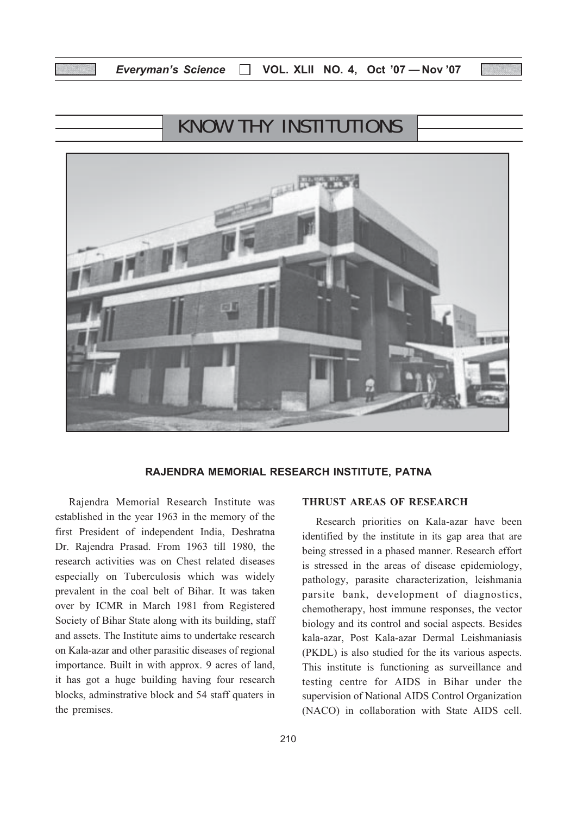# KNOW THY INSTITUTIONS



#### RAJENDRA MEMORIAL RESEARCH INSTITUTE, PATNA

Rajendra Memorial Research Institute was established in the year 1963 in the memory of the first President of independent India, Deshratna Dr. Rajendra Prasad. From 1963 till 1980, the research activities was on Chest related diseases especially on Tuberculosis which was widely prevalent in the coal belt of Bihar. It was taken over by ICMR in March 1981 from Registered Society of Bihar State along with its building, staff and assets. The Institute aims to undertake research on Kala-azar and other parasitic diseases of regional importance. Built in with approx. 9 acres of land, it has got a huge building having four research blocks, adminstrative block and 54 staff quaters in the premises.

being stressed in a phased manner. Research effort is stressed in the areas of disease epidemiology, pathology, parasite characterization, leishmania parsite bank, development of diagnostics, chemotherapy, host immune responses, the vector biology and its control and social aspects. Besides kala-azar, Post Kala-azar Dermal Leishmaniasis (PKDL) is also studied for the its various aspects. This institute is functioning as surveillance and testing centre for AIDS in Bihar under the supervision of National AIDS Control Organization (NACO) in collaboration with State AIDS cell.

Research priorities on Kala-azar have been identified by the institute in its gap area that are

THRUST AREAS OF RESEARCH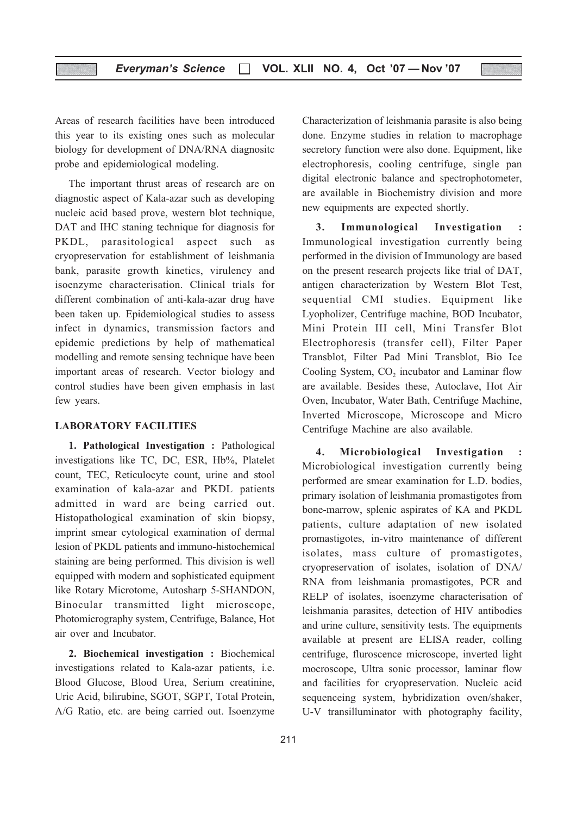Areas of research facilities have been introduced this year to its existing ones such as molecular biology for development of DNA/RNA diagnositc probe and epidemiological modeling.

The important thrust areas of research are on diagnostic aspect of Kala-azar such as developing nucleic acid based prove, western blot technique, DAT and IHC staning technique for diagnosis for PKDL, parasitological aspect such as cryopreservation for establishment of leishmania bank, parasite growth kinetics, virulency and isoenzyme characterisation. Clinical trials for different combination of anti-kala-azar drug have been taken up. Epidemiological studies to assess infect in dynamics, transmission factors and epidemic predictions by help of mathematical modelling and remote sensing technique have been important areas of research. Vector biology and control studies have been given emphasis in last few years.

#### LABORATORY FACILITIES

1. Pathological Investigation : Pathological investigations like TC, DC, ESR, Hb%, Platelet count, TEC, Reticulocyte count, urine and stool examination of kala-azar and PKDL patients admitted in ward are being carried out. Histopathological examination of skin biopsy, imprint smear cytological examination of dermal lesion of PKDL patients and immuno-histochemical staining are being performed. This division is well equipped with modern and sophisticated equipment like Rotary Microtome, Autosharp 5-SHANDON, Binocular transmitted light microscope, Photomicrography system, Centrifuge, Balance, Hot air over and Incubator.

2. Biochemical investigation : Biochemical investigations related to Kala-azar patients, i.e. Blood Glucose, Blood Urea, Serium creatinine, Uric Acid, bilirubine, SGOT, SGPT, Total Protein, A/G Ratio, etc. are being carried out. Isoenzyme

Characterization of leishmania parasite is also being done. Enzyme studies in relation to macrophage secretory function were also done. Equipment, like electrophoresis, cooling centrifuge, single pan digital electronic balance and spectrophotometer, are available in Biochemistry division and more new equipments are expected shortly.

3. Immunological Investigation : Immunological investigation currently being performed in the division of Immunology are based on the present research projects like trial of DAT, antigen characterization by Western Blot Test, sequential CMI studies. Equipment like Lyopholizer, Centrifuge machine, BOD Incubator, Mini Protein III cell, Mini Transfer Blot Electrophoresis (transfer cell), Filter Paper Transblot, Filter Pad Mini Transblot, Bio Ice Cooling System, CO<sub>2</sub> incubator and Laminar flow are available. Besides these, Autoclave, Hot Air Oven, Incubator, Water Bath, Centrifuge Machine, Inverted Microscope, Microscope and Micro Centrifuge Machine are also available.

4. Microbiological Investigation : Microbiological investigation currently being performed are smear examination for L.D. bodies, primary isolation of leishmania promastigotes from bone-marrow, splenic aspirates of KA and PKDL patients, culture adaptation of new isolated promastigotes, in-vitro maintenance of different isolates, mass culture of promastigotes, cryopreservation of isolates, isolation of DNA/ RNA from leishmania promastigotes, PCR and RELP of isolates, isoenzyme characterisation of leishmania parasites, detection of HIV antibodies and urine culture, sensitivity tests. The equipments available at present are ELISA reader, colling centrifuge, fluroscence microscope, inverted light mocroscope, Ultra sonic processor, laminar flow and facilities for cryopreservation. Nucleic acid sequenceing system, hybridization oven/shaker, U-V transilluminator with photography facility,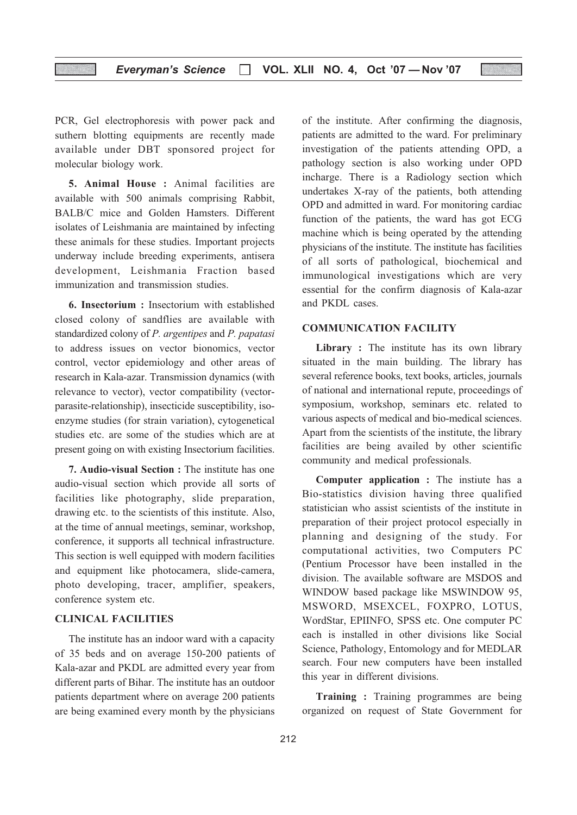PCR, Gel electrophoresis with power pack and suthern blotting equipments are recently made available under DBT sponsored project for molecular biology work.

5. Animal House : Animal facilities are available with 500 animals comprising Rabbit, BALB/C mice and Golden Hamsters. Different isolates of Leishmania are maintained by infecting these animals for these studies. Important projects underway include breeding experiments, antisera development, Leishmania Fraction based immunization and transmission studies.

6. Insectorium : Insectorium with established closed colony of sandflies are available with standardized colony of P. argentipes and P. papatasi to address issues on vector bionomics, vector control, vector epidemiology and other areas of research in Kala-azar. Transmission dynamics (with relevance to vector), vector compatibility (vectorparasite-relationship), insecticide susceptibility, isoenzyme studies (for strain variation), cytogenetical studies etc. are some of the studies which are at present going on with existing Insectorium facilities.

7. Audio-visual Section : The institute has one audio-visual section which provide all sorts of facilities like photography, slide preparation, drawing etc. to the scientists of this institute. Also, at the time of annual meetings, seminar, workshop, conference, it supports all technical infrastructure. This section is well equipped with modern facilities and equipment like photocamera, slide-camera, photo developing, tracer, amplifier, speakers, conference system etc.

#### CLINICAL FACILITIES

The institute has an indoor ward with a capacity of 35 beds and on average 150-200 patients of Kala-azar and PKDL are admitted every year from different parts of Bihar. The institute has an outdoor patients department where on average 200 patients are being examined every month by the physicians

of the institute. After confirming the diagnosis, patients are admitted to the ward. For preliminary investigation of the patients attending OPD, a pathology section is also working under OPD incharge. There is a Radiology section which undertakes X-ray of the patients, both attending OPD and admitted in ward. For monitoring cardiac function of the patients, the ward has got ECG machine which is being operated by the attending physicians of the institute. The institute has facilities of all sorts of pathological, biochemical and immunological investigations which are very essential for the confirm diagnosis of Kala-azar and PKDL cases.

#### COMMUNICATION FACILITY

Library : The institute has its own library situated in the main building. The library has several reference books, text books, articles, journals of national and international repute, proceedings of symposium, workshop, seminars etc. related to various aspects of medical and bio-medical sciences. Apart from the scientists of the institute, the library facilities are being availed by other scientific community and medical professionals.

Computer application : The instiute has a Bio-statistics division having three qualified statistician who assist scientists of the institute in preparation of their project protocol especially in planning and designing of the study. For computational activities, two Computers PC (Pentium Processor have been installed in the division. The available software are MSDOS and WINDOW based package like MSWINDOW 95, MSWORD, MSEXCEL, FOXPRO, LOTUS, WordStar, EPIINFO, SPSS etc. One computer PC each is installed in other divisions like Social Science, Pathology, Entomology and for MEDLAR search. Four new computers have been installed this year in different divisions.

Training : Training programmes are being organized on request of State Government for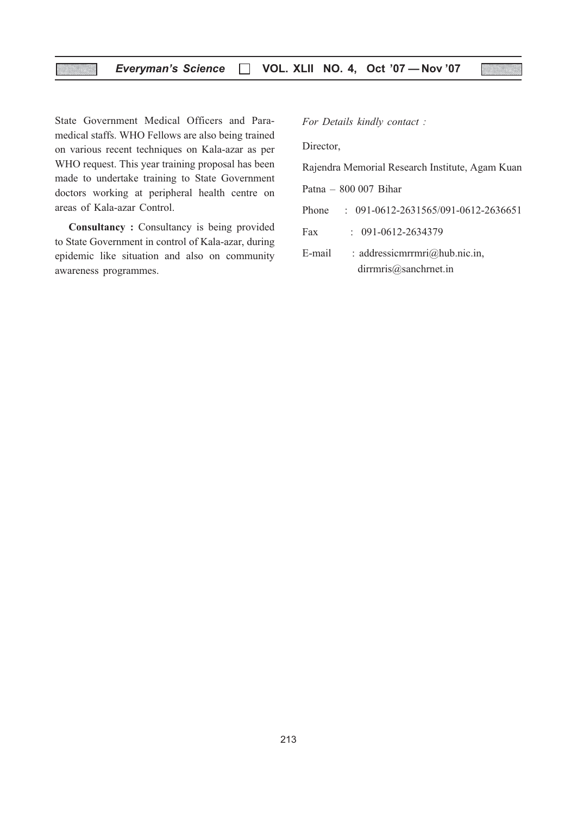State Government Medical Officers and Paramedical staffs. WHO Fellows are also being trained on various recent techniques on Kala-azar as per WHO request. This year training proposal has been made to undertake training to State Government doctors working at peripheral health centre on areas of Kala-azar Control.

Consultancy : Consultancy is being provided to State Government in control of Kala-azar, during epidemic like situation and also on community awareness programmes.

For Details kindly contact :

Director,

Rajendra Memorial Research Institute, Agam Kuan

Patna – 800 007 Bihar

Phone : 091-0612-2631565/091-0612-2636651

Fax : 091-0612-2634379

E-mail : addressicmrrmri@hub.nic.in, dirrmris@sanchrnet.in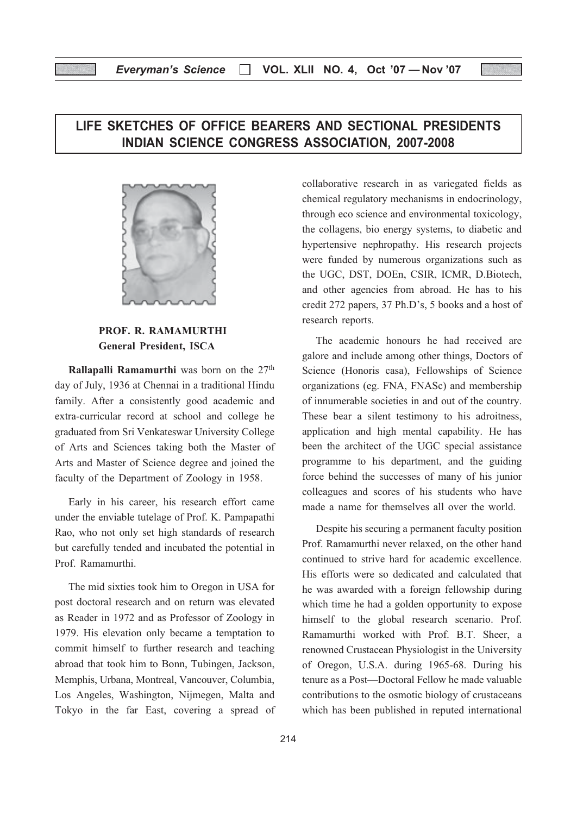## LIFE SKETCHES OF OFFICE BEARERS AND SECTIONAL PRESIDENTS INDIAN SCIENCE CONGRESS ASSOCIATION, 2007-2008



#### PROF. R. RAMAMURTHI General President, ISCA

Rallapalli Ramamurthi was born on the 27<sup>th</sup> day of July, 1936 at Chennai in a traditional Hindu family. After a consistently good academic and extra-curricular record at school and college he graduated from Sri Venkateswar University College of Arts and Sciences taking both the Master of Arts and Master of Science degree and joined the faculty of the Department of Zoology in 1958.

Early in his career, his research effort came under the enviable tutelage of Prof. K. Pampapathi Rao, who not only set high standards of research but carefully tended and incubated the potential in Prof. Ramamurthi.

The mid sixties took him to Oregon in USA for post doctoral research and on return was elevated as Reader in 1972 and as Professor of Zoology in 1979. His elevation only became a temptation to commit himself to further research and teaching abroad that took him to Bonn, Tubingen, Jackson, Memphis, Urbana, Montreal, Vancouver, Columbia, Los Angeles, Washington, Nijmegen, Malta and Tokyo in the far East, covering a spread of collaborative research in as variegated fields as chemical regulatory mechanisms in endocrinology, through eco science and environmental toxicology, the collagens, bio energy systems, to diabetic and hypertensive nephropathy. His research projects were funded by numerous organizations such as the UGC, DST, DOEn, CSIR, ICMR, D.Biotech, and other agencies from abroad. He has to his credit 272 papers, 37 Ph.D's, 5 books and a host of research reports.

The academic honours he had received are galore and include among other things, Doctors of Science (Honoris casa), Fellowships of Science organizations (eg. FNA, FNASc) and membership of innumerable societies in and out of the country. These bear a silent testimony to his adroitness, application and high mental capability. He has been the architect of the UGC special assistance programme to his department, and the guiding force behind the successes of many of his junior colleagues and scores of his students who have made a name for themselves all over the world.

Despite his securing a permanent faculty position Prof. Ramamurthi never relaxed, on the other hand continued to strive hard for academic excellence. His efforts were so dedicated and calculated that he was awarded with a foreign fellowship during which time he had a golden opportunity to expose himself to the global research scenario. Prof. Ramamurthi worked with Prof. B.T. Sheer, a renowned Crustacean Physiologist in the University of Oregon, U.S.A. during 1965-68. During his tenure as a Post—Doctoral Fellow he made valuable contributions to the osmotic biology of crustaceans which has been published in reputed international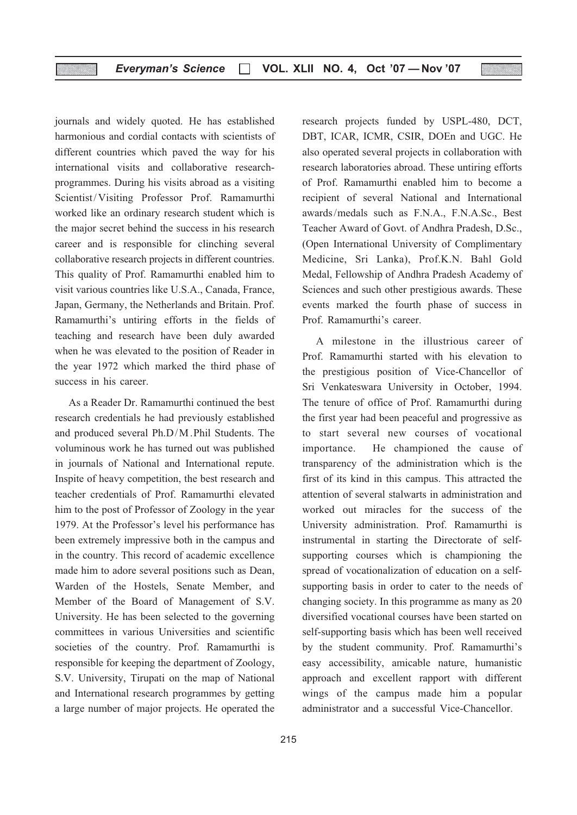journals and widely quoted. He has established harmonious and cordial contacts with scientists of different countries which paved the way for his international visits and collaborative researchprogrammes. During his visits abroad as a visiting Scientist/ Visiting Professor Prof. Ramamurthi worked like an ordinary research student which is the major secret behind the success in his research career and is responsible for clinching several collaborative research projects in different countries. This quality of Prof. Ramamurthi enabled him to visit various countries like U.S.A., Canada, France, Japan, Germany, the Netherlands and Britain. Prof. Ramamurthi's untiring efforts in the fields of teaching and research have been duly awarded when he was elevated to the position of Reader in the year 1972 which marked the third phase of success in his career.

As a Reader Dr. Ramamurthi continued the best research credentials he had previously established and produced several Ph.D/M .Phil Students. The voluminous work he has turned out was published in journals of National and International repute. Inspite of heavy competition, the best research and teacher credentials of Prof. Ramamurthi elevated him to the post of Professor of Zoology in the year 1979. At the Professor's level his performance has been extremely impressive both in the campus and in the country. This record of academic excellence made him to adore several positions such as Dean, Warden of the Hostels, Senate Member, and Member of the Board of Management of S.V. University. He has been selected to the governing committees in various Universities and scientific societies of the country. Prof. Ramamurthi is responsible for keeping the department of Zoology, S.V. University, Tirupati on the map of National and International research programmes by getting a large number of major projects. He operated the

research projects funded by USPL-480, DCT, DBT, ICAR, ICMR, CSIR, DOEn and UGC. He also operated several projects in collaboration with research laboratories abroad. These untiring efforts of Prof. Ramamurthi enabled him to become a recipient of several National and International awards/medals such as F.N.A., F.N.A.Sc., Best Teacher Award of Govt. of Andhra Pradesh, D.Sc., (Open International University of Complimentary Medicine, Sri Lanka), Prof.K.N. Bahl Gold Medal, Fellowship of Andhra Pradesh Academy of Sciences and such other prestigious awards. These events marked the fourth phase of success in Prof. Ramamurthi's career.

A milestone in the illustrious career of Prof. Ramamurthi started with his elevation to the prestigious position of Vice-Chancellor of Sri Venkateswara University in October, 1994. The tenure of office of Prof. Ramamurthi during the first year had been peaceful and progressive as to start several new courses of vocational importance. He championed the cause of transparency of the administration which is the first of its kind in this campus. This attracted the attention of several stalwarts in administration and worked out miracles for the success of the University administration. Prof. Ramamurthi is instrumental in starting the Directorate of selfsupporting courses which is championing the spread of vocationalization of education on a selfsupporting basis in order to cater to the needs of changing society. In this programme as many as 20 diversified vocational courses have been started on self-supporting basis which has been well received by the student community. Prof. Ramamurthi's easy accessibility, amicable nature, humanistic approach and excellent rapport with different wings of the campus made him a popular administrator and a successful Vice-Chancellor.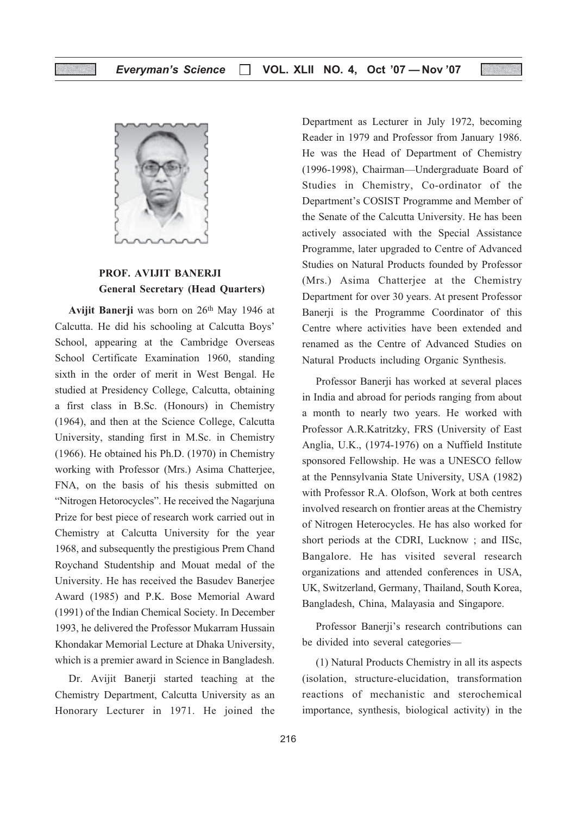

### PROF. AVIJIT BANERJI General Secretary (Head Quarters)

Avijit Banerji was born on 26th May 1946 at Calcutta. He did his schooling at Calcutta Boys' School, appearing at the Cambridge Overseas School Certificate Examination 1960, standing sixth in the order of merit in West Bengal. He studied at Presidency College, Calcutta, obtaining a first class in B.Sc. (Honours) in Chemistry (1964), and then at the Science College, Calcutta University, standing first in M.Sc. in Chemistry (1966). He obtained his Ph.D. (1970) in Chemistry working with Professor (Mrs.) Asima Chatterjee, FNA, on the basis of his thesis submitted on "Nitrogen Hetorocycles". He received the Nagarjuna Prize for best piece of research work carried out in Chemistry at Calcutta University for the year 1968, and subsequently the prestigious Prem Chand Roychand Studentship and Mouat medal of the University. He has received the Basudev Banerjee Award (1985) and P.K. Bose Memorial Award (1991) of the Indian Chemical Society. In December 1993, he delivered the Professor Mukarram Hussain Khondakar Memorial Lecture at Dhaka University, which is a premier award in Science in Bangladesh.

Dr. Avijit Banerji started teaching at the Chemistry Department, Calcutta University as an Honorary Lecturer in 1971. He joined the Department as Lecturer in July 1972, becoming Reader in 1979 and Professor from January 1986. He was the Head of Department of Chemistry (1996-1998), Chairman—Undergraduate Board of Studies in Chemistry, Co-ordinator of the Department's COSIST Programme and Member of the Senate of the Calcutta University. He has been actively associated with the Special Assistance Programme, later upgraded to Centre of Advanced Studies on Natural Products founded by Professor (Mrs.) Asima Chatterjee at the Chemistry Department for over 30 years. At present Professor Banerji is the Programme Coordinator of this Centre where activities have been extended and renamed as the Centre of Advanced Studies on Natural Products including Organic Synthesis.

Professor Banerji has worked at several places in India and abroad for periods ranging from about a month to nearly two years. He worked with Professor A.R.Katritzky, FRS (University of East Anglia, U.K., (1974-1976) on a Nuffield Institute sponsored Fellowship. He was a UNESCO fellow at the Pennsylvania State University, USA (1982) with Professor R.A. Olofson, Work at both centres involved research on frontier areas at the Chemistry of Nitrogen Heterocycles. He has also worked for short periods at the CDRI, Lucknow ; and IISc, Bangalore. He has visited several research organizations and attended conferences in USA, UK, Switzerland, Germany, Thailand, South Korea, Bangladesh, China, Malayasia and Singapore.

Professor Banerji's research contributions can be divided into several categories—

(1) Natural Products Chemistry in all its aspects (isolation, structure-elucidation, transformation reactions of mechanistic and sterochemical importance, synthesis, biological activity) in the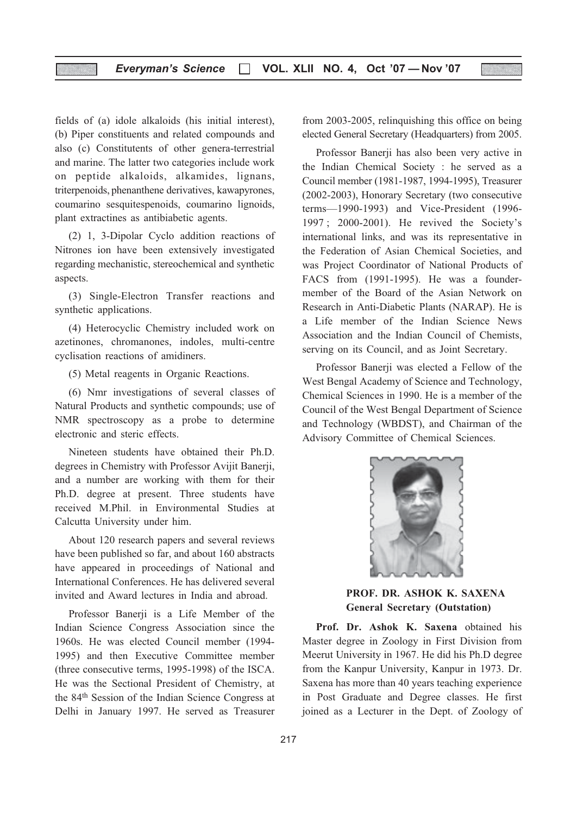fields of (a) idole alkaloids (his initial interest), (b) Piper constituents and related compounds and also (c) Constitutents of other genera-terrestrial and marine. The latter two categories include work on peptide alkaloids, alkamides, lignans, triterpenoids, phenanthene derivatives, kawapyrones, coumarino sesquitespenoids, coumarino lignoids, plant extractines as antibiabetic agents.

(2) 1, 3-Dipolar Cyclo addition reactions of Nitrones ion have been extensively investigated regarding mechanistic, stereochemical and synthetic aspects.

(3) Single-Electron Transfer reactions and synthetic applications.

(4) Heterocyclic Chemistry included work on azetinones, chromanones, indoles, multi-centre cyclisation reactions of amidiners.

(5) Metal reagents in Organic Reactions.

(6) Nmr investigations of several classes of Natural Products and synthetic compounds; use of NMR spectroscopy as a probe to determine electronic and steric effects.

Nineteen students have obtained their Ph.D. degrees in Chemistry with Professor Avijit Banerji, and a number are working with them for their Ph.D. degree at present. Three students have received M.Phil. in Environmental Studies at Calcutta University under him.

About 120 research papers and several reviews have been published so far, and about 160 abstracts have appeared in proceedings of National and International Conferences. He has delivered several invited and Award lectures in India and abroad.

Professor Banerji is a Life Member of the Indian Science Congress Association since the 1960s. He was elected Council member (1994- 1995) and then Executive Committee member (three consecutive terms, 1995-1998) of the ISCA. He was the Sectional President of Chemistry, at the 84th Session of the Indian Science Congress at Delhi in January 1997. He served as Treasurer

from 2003-2005, relinquishing this office on being elected General Secretary (Headquarters) from 2005.

Professor Banerji has also been very active in the Indian Chemical Society : he served as a Council member (1981-1987, 1994-1995), Treasurer (2002-2003), Honorary Secretary (two consecutive terms—1990-1993) and Vice-President (1996- 1997 ; 2000-2001). He revived the Society's international links, and was its representative in the Federation of Asian Chemical Societies, and was Project Coordinator of National Products of FACS from (1991-1995). He was a foundermember of the Board of the Asian Network on Research in Anti-Diabetic Plants (NARAP). He is a Life member of the Indian Science News Association and the Indian Council of Chemists, serving on its Council, and as Joint Secretary.

Professor Banerji was elected a Fellow of the West Bengal Academy of Science and Technology, Chemical Sciences in 1990. He is a member of the Council of the West Bengal Department of Science and Technology (WBDST), and Chairman of the Advisory Committee of Chemical Sciences.



PROF. DR. ASHOK K. SAXENA General Secretary (Outstation)

Prof. Dr. Ashok K. Saxena obtained his Master degree in Zoology in First Division from Meerut University in 1967. He did his Ph.D degree from the Kanpur University, Kanpur in 1973. Dr. Saxena has more than 40 years teaching experience in Post Graduate and Degree classes. He first joined as a Lecturer in the Dept. of Zoology of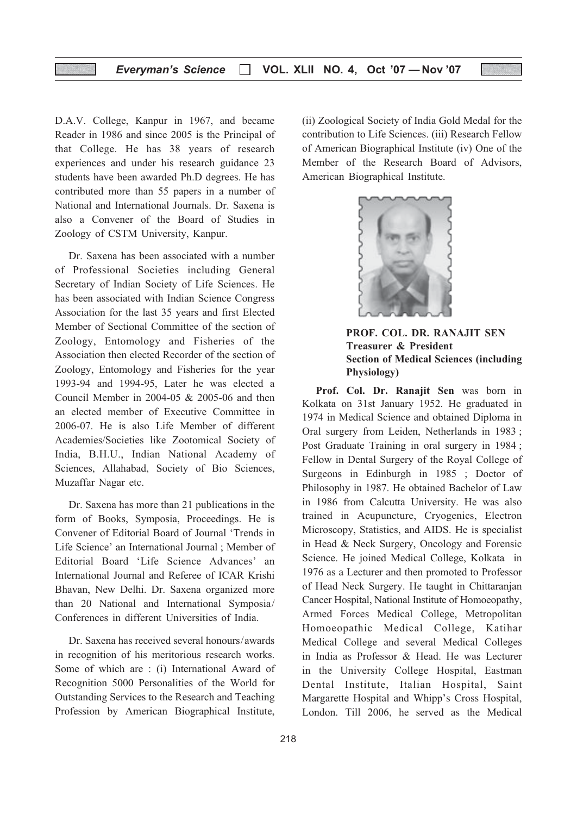D.A.V. College, Kanpur in 1967, and became Reader in 1986 and since 2005 is the Principal of that College. He has 38 years of research experiences and under his research guidance 23 students have been awarded Ph.D degrees. He has contributed more than 55 papers in a number of National and International Journals. Dr. Saxena is also a Convener of the Board of Studies in Zoology of CSTM University, Kanpur.

Dr. Saxena has been associated with a number of Professional Societies including General Secretary of Indian Society of Life Sciences. He has been associated with Indian Science Congress Association for the last 35 years and first Elected Member of Sectional Committee of the section of Zoology, Entomology and Fisheries of the Association then elected Recorder of the section of Zoology, Entomology and Fisheries for the year 1993-94 and 1994-95, Later he was elected a Council Member in 2004-05 & 2005-06 and then an elected member of Executive Committee in 2006-07. He is also Life Member of different Academies/Societies like Zootomical Society of India, B.H.U., Indian National Academy of Sciences, Allahabad, Society of Bio Sciences, Muzaffar Nagar etc.

Dr. Saxena has more than 21 publications in the form of Books, Symposia, Proceedings. He is Convener of Editorial Board of Journal 'Trends in Life Science' an International Journal ; Member of Editorial Board 'Life Science Advances' an International Journal and Referee of ICAR Krishi Bhavan, New Delhi. Dr. Saxena organized more than 20 National and International Symposia/ Conferences in different Universities of India.

Dr. Saxena has received several honours/awards in recognition of his meritorious research works. Some of which are : (i) International Award of Recognition 5000 Personalities of the World for Outstanding Services to the Research and Teaching Profession by American Biographical Institute, (ii) Zoological Society of India Gold Medal for the contribution to Life Sciences. (iii) Research Fellow of American Biographical Institute (iv) One of the Member of the Research Board of Advisors, American Biographical Institute.



PROF. COL. DR. RANAJIT SEN Treasurer & President Section of Medical Sciences (including Physiology)

Prof. Col. Dr. Ranajit Sen was born in Kolkata on 31st January 1952. He graduated in 1974 in Medical Science and obtained Diploma in Oral surgery from Leiden, Netherlands in 1983 ; Post Graduate Training in oral surgery in 1984 ; Fellow in Dental Surgery of the Royal College of Surgeons in Edinburgh in 1985 ; Doctor of Philosophy in 1987. He obtained Bachelor of Law in 1986 from Calcutta University. He was also trained in Acupuncture, Cryogenics, Electron Microscopy, Statistics, and AIDS. He is specialist in Head & Neck Surgery, Oncology and Forensic Science. He joined Medical College, Kolkata in 1976 as a Lecturer and then promoted to Professor of Head Neck Surgery. He taught in Chittaranjan Cancer Hospital, National Institute of Homoeopathy, Armed Forces Medical College, Metropolitan Homoeopathic Medical College, Katihar Medical College and several Medical Colleges in India as Professor & Head. He was Lecturer in the University College Hospital, Eastman Dental Institute, Italian Hospital, Saint Margarette Hospital and Whipp's Cross Hospital, London. Till 2006, he served as the Medical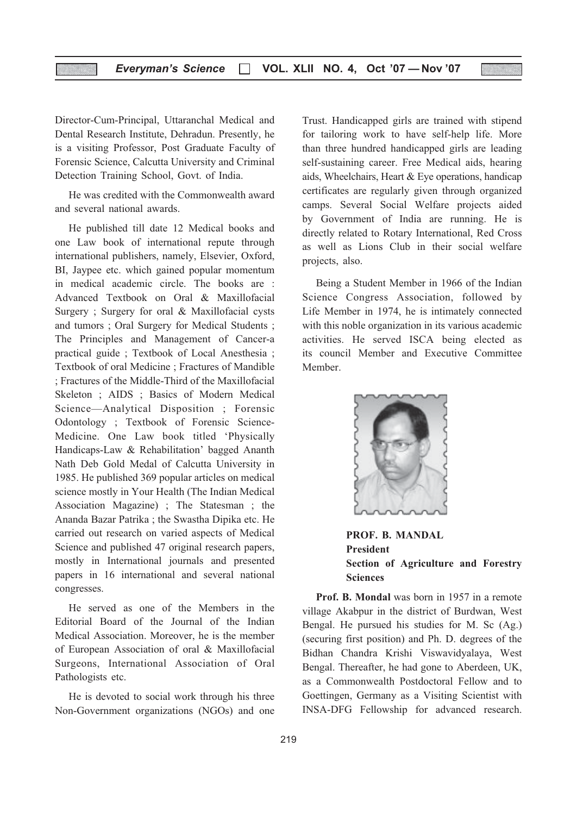Director-Cum-Principal, Uttaranchal Medical and Dental Research Institute, Dehradun. Presently, he is a visiting Professor, Post Graduate Faculty of Forensic Science, Calcutta University and Criminal Detection Training School, Govt. of India.

He was credited with the Commonwealth award and several national awards.

He published till date 12 Medical books and one Law book of international repute through international publishers, namely, Elsevier, Oxford, BI, Jaypee etc. which gained popular momentum in medical academic circle. The books are : Advanced Textbook on Oral & Maxillofacial Surgery ; Surgery for oral & Maxillofacial cysts and tumors ; Oral Surgery for Medical Students ; The Principles and Management of Cancer-a practical guide ; Textbook of Local Anesthesia ; Textbook of oral Medicine ; Fractures of Mandible ; Fractures of the Middle-Third of the Maxillofacial Skeleton ; AIDS ; Basics of Modern Medical Science—Analytical Disposition ; Forensic Odontology ; Textbook of Forensic Science-Medicine. One Law book titled 'Physically Handicaps-Law & Rehabilitation' bagged Ananth Nath Deb Gold Medal of Calcutta University in 1985. He published 369 popular articles on medical science mostly in Your Health (The Indian Medical Association Magazine) ; The Statesman ; the Ananda Bazar Patrika ; the Swastha Dipika etc. He carried out research on varied aspects of Medical Science and published 47 original research papers, mostly in International journals and presented papers in 16 international and several national congresses.

He served as one of the Members in the Editorial Board of the Journal of the Indian Medical Association. Moreover, he is the member of European Association of oral & Maxillofacial Surgeons, International Association of Oral Pathologists etc.

He is devoted to social work through his three Non-Government organizations (NGOs) and one

Trust. Handicapped girls are trained with stipend for tailoring work to have self-help life. More than three hundred handicapped girls are leading self-sustaining career. Free Medical aids, hearing aids, Wheelchairs, Heart & Eye operations, handicap certificates are regularly given through organized camps. Several Social Welfare projects aided by Government of India are running. He is directly related to Rotary International, Red Cross as well as Lions Club in their social welfare projects, also.

Being a Student Member in 1966 of the Indian Science Congress Association, followed by Life Member in 1974, he is intimately connected with this noble organization in its various academic activities. He served ISCA being elected as its council Member and Executive Committee Member.



PROF. B. MANDAL President Section of Agriculture and Forestry **Sciences** 

Prof. B. Mondal was born in 1957 in a remote village Akabpur in the district of Burdwan, West Bengal. He pursued his studies for M. Sc (Ag.) (securing first position) and Ph. D. degrees of the Bidhan Chandra Krishi Viswavidyalaya, West Bengal. Thereafter, he had gone to Aberdeen, UK, as a Commonwealth Postdoctoral Fellow and to Goettingen, Germany as a Visiting Scientist with INSA-DFG Fellowship for advanced research.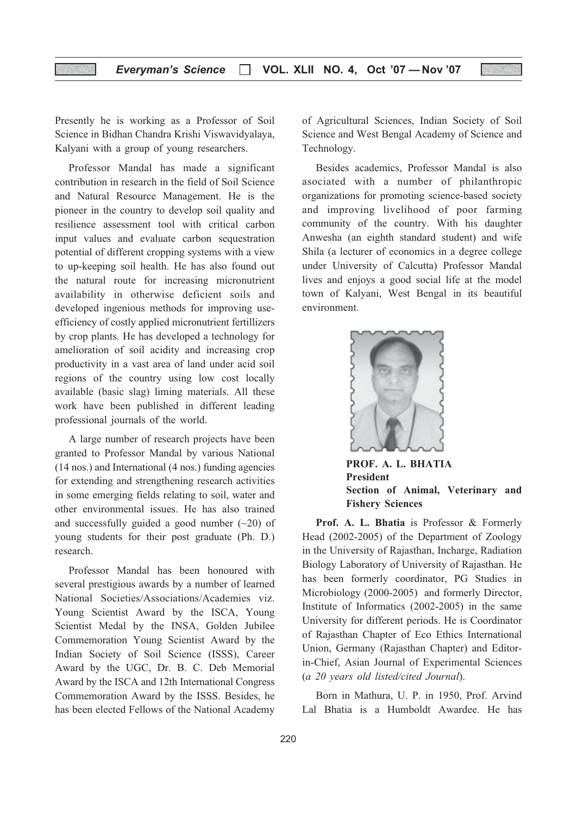Presently he is working as a Professor of Soil Science in Bidhan Chandra Krishi Viswavidyalaya, Kalyani with a group of young researchers.

Professor Mandal has made a significant contribution in research in the field of Soil Science and Natural Resource Management. He is the pioneer in the country to develop soil quality and resilience assessment tool with critical carbon input values and evaluate carbon sequestration potential of different cropping systems with a view to up-keeping soil health. He has also found out the natural route for increasing micronutrient availability in otherwise deficient soils and developed ingenious methods for improving useefficiency of costly applied micronutrient fertillizers by crop plants. He has developed a technology for amelioration of soil acidity and increasing crop productivity in a vast area of land under acid soil regions of the country using low cost locally available (basic slag) liming materials. All these work have been published in different leading professional journals of the world.

A large number of research projects have been granted to Professor Mandal by various National (14 nos.) and International (4 nos.) funding agencies for extending and strengthening research activities in some emerging fields relating to soil, water and other environmental issues. He has also trained and successfully guided a good number  $(\sim 20)$  of young students for their post graduate (Ph. D.) research.

Professor Mandal has been honoured with several prestigious awards by a number of learned National Societies/Associations/Academies viz. Young Scientist Award by the ISCA, Young Scientist Medal by the INSA, Golden Jubilee Commemoration Young Scientist Award by the Indian Society of Soil Science (ISSS), Career Award by the UGC, Dr. B. C. Deb Memorial Award by the ISCA and 12th International Congress Commemoration Award by the ISSS. Besides, he has been elected Fellows of the National Academy

of Agricultural Sciences, Indian Society of Soil Science and West Bengal Academy of Science and Technology.

Besides academics, Professor Mandal is also asociated with a number of philanthropic organizations for promoting science-based society and improving livelihood of poor farming community of the country. With his daughter Anwesha (an eighth standard student) and wife Shila (a lecturer of economics in a degree college under University of Calcutta) Professor Mandal lives and enjoys a good social life at the model town of Kalyani, West Bengal in its beautiful environment.



PROF. A. L. BHATIA President Section of Animal, Veterinary and Fishery Sciences

Prof. A. L. Bhatia is Professor & Formerly Head (2002-2005) of the Department of Zoology in the University of Rajasthan, Incharge, Radiation Biology Laboratory of University of Rajasthan. He has been formerly coordinator, PG Studies in Microbiology (2000-2005) and formerly Director, Institute of Informatics (2002-2005) in the same University for different periods. He is Coordinator of Rajasthan Chapter of Eco Ethics International Union, Germany (Rajasthan Chapter) and Editorin-Chief, Asian Journal of Experimental Sciences (a 20 years old listed/cited Journal).

Born in Mathura, U. P. in 1950, Prof. Arvind Lal Bhatia is a Humboldt Awardee. He has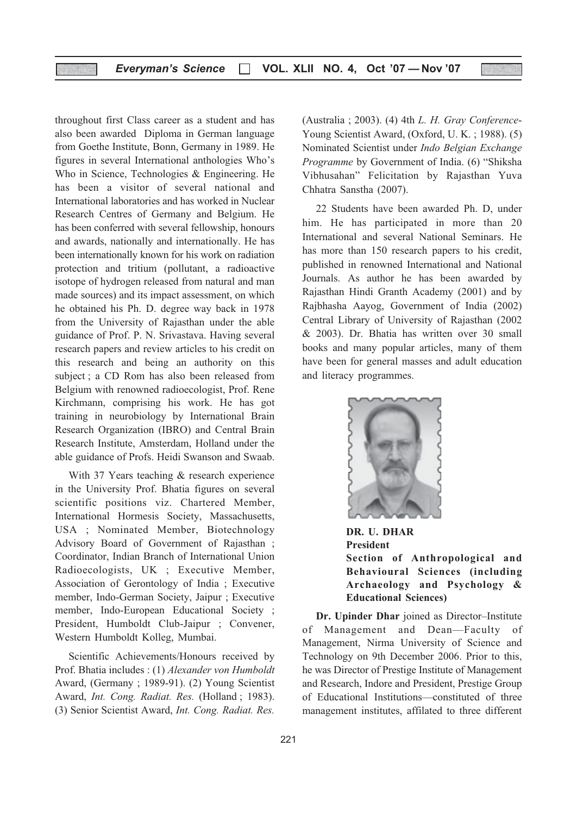throughout first Class career as a student and has also been awarded Diploma in German language from Goethe Institute, Bonn, Germany in 1989. He figures in several International anthologies Who's Who in Science, Technologies & Engineering. He has been a visitor of several national and International laboratories and has worked in Nuclear Research Centres of Germany and Belgium. He has been conferred with several fellowship, honours and awards, nationally and internationally. He has been internationally known for his work on radiation protection and tritium (pollutant, a radioactive isotope of hydrogen released from natural and man made sources) and its impact assessment, on which he obtained his Ph. D. degree way back in 1978 from the University of Rajasthan under the able guidance of Prof. P. N. Srivastava. Having several research papers and review articles to his credit on this research and being an authority on this subject ; a CD Rom has also been released from Belgium with renowned radioecologist, Prof. Rene Kirchmann, comprising his work. He has got training in neurobiology by International Brain Research Organization (IBRO) and Central Brain Research Institute, Amsterdam, Holland under the able guidance of Profs. Heidi Swanson and Swaab.

With 37 Years teaching & research experience in the University Prof. Bhatia figures on several scientific positions viz. Chartered Member, International Hormesis Society, Massachusetts, USA ; Nominated Member, Biotechnology Advisory Board of Government of Rajasthan ; Coordinator, Indian Branch of International Union Radioecologists, UK ; Executive Member, Association of Gerontology of India ; Executive member, Indo-German Society, Jaipur ; Executive member, Indo-European Educational Society ; President, Humboldt Club-Jaipur ; Convener, Western Humboldt Kolleg, Mumbai.

Scientific Achievements/Honours received by Prof. Bhatia includes : (1) Alexander von Humboldt Award, (Germany ; 1989-91). (2) Young Scientist Award, Int. Cong. Radiat. Res. (Holland; 1983). (3) Senior Scientist Award, Int. Cong. Radiat. Res.

(Australia ; 2003). (4) 4th L. H. Gray Conference-Young Scientist Award, (Oxford, U. K. ; 1988). (5) Nominated Scientist under Indo Belgian Exchange Programme by Government of India. (6) "Shiksha Vibhusahan" Felicitation by Rajasthan Yuva Chhatra Sanstha (2007).

22 Students have been awarded Ph. D, under him. He has participated in more than 20 International and several National Seminars. He has more than 150 research papers to his credit, published in renowned International and National Journals. As author he has been awarded by Rajasthan Hindi Granth Academy (2001) and by Rajbhasha Aayog, Government of India (2002) Central Library of University of Rajasthan (2002 & 2003). Dr. Bhatia has written over 30 small books and many popular articles, many of them have been for general masses and adult education and literacy programmes.



DR. U. DHAR President Section of Anthropological and Behavioural Sciences (including Archaeology and Psychology & Educational Sciences)

Dr. Upinder Dhar joined as Director–Institute of Management and Dean—Faculty of Management, Nirma University of Science and Technology on 9th December 2006. Prior to this, he was Director of Prestige Institute of Management and Research, Indore and President, Prestige Group of Educational Institutions—constituted of three management institutes, affilated to three different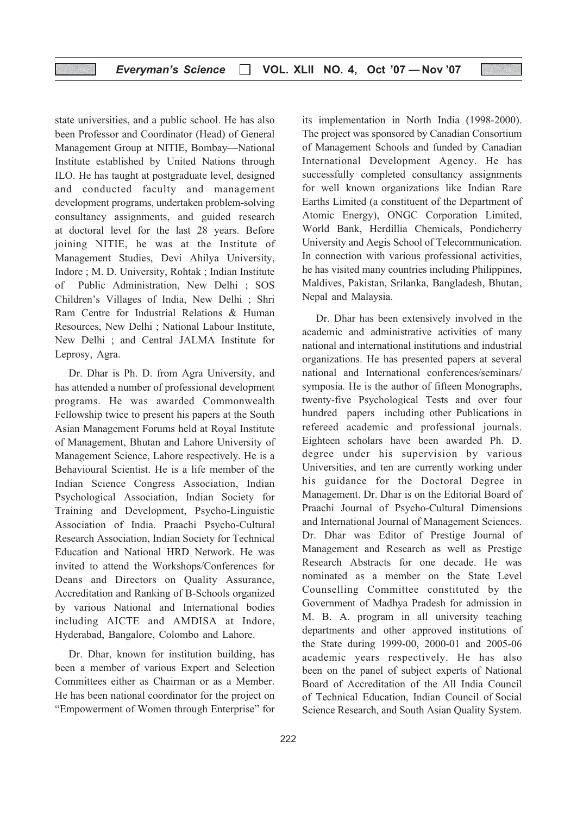state universities, and a public school. He has also been Professor and Coordinator (Head) of General Management Group at NITIE, Bombay—National Institute established by United Nations through ILO. He has taught at postgraduate level, designed and conducted faculty and management development programs, undertaken problem-solving consultancy assignments, and guided research at doctoral level for the last 28 years. Before joining NITIE, he was at the Institute of Management Studies, Devi Ahilya University, Indore ; M. D. University, Rohtak ; Indian Institute of Public Administration, New Delhi ; SOS Children's Villages of India, New Delhi ; Shri Ram Centre for Industrial Relations & Human Resources, New Delhi ; National Labour Institute, New Delhi ; and Central JALMA Institute for Leprosy, Agra.

Dr. Dhar is Ph. D. from Agra University, and has attended a number of professional development programs. He was awarded Commonwealth Fellowship twice to present his papers at the South Asian Management Forums held at Royal Institute of Management, Bhutan and Lahore University of Management Science, Lahore respectively. He is a Behavioural Scientist. He is a life member of the Indian Science Congress Association, Indian Psychological Association, Indian Society for Training and Development, Psycho-Linguistic Association of India. Praachi Psycho-Cultural Research Association, Indian Society for Technical Education and National HRD Network. He was invited to attend the Workshops/Conferences for Deans and Directors on Quality Assurance, Accreditation and Ranking of B-Schools organized by various National and International bodies including AICTE and AMDISA at Indore, Hyderabad, Bangalore, Colombo and Lahore.

Dr. Dhar, known for institution building, has been a member of various Expert and Selection Committees either as Chairman or as a Member. He has been national coordinator for the project on "Empowerment of Women through Enterprise" for

its implementation in North India (1998-2000). The project was sponsored by Canadian Consortium of Management Schools and funded by Canadian International Development Agency. He has successfully completed consultancy assignments for well known organizations like Indian Rare Earths Limited (a constituent of the Department of Atomic Energy), ONGC Corporation Limited, World Bank, Herdillia Chemicals, Pondicherry University and Aegis School of Telecommunication. In connection with various professional activities, he has visited many countries including Philippines, Maldives, Pakistan, Srilanka, Bangladesh, Bhutan, Nepal and Malaysia.

Dr. Dhar has been extensively involved in the academic and administrative activities of many national and international institutions and industrial organizations. He has presented papers at several national and International conferences/seminars/ symposia. He is the author of fifteen Monographs, twenty-five Psychological Tests and over four hundred papers including other Publications in refereed academic and professional journals. Eighteen scholars have been awarded Ph. D. degree under his supervision by various Universities, and ten are currently working under his guidance for the Doctoral Degree in Management. Dr. Dhar is on the Editorial Board of Praachi Journal of Psycho-Cultural Dimensions and International Journal of Management Sciences. Dr. Dhar was Editor of Prestige Journal of Management and Research as well as Prestige Research Abstracts for one decade. He was nominated as a member on the State Level Counselling Committee constituted by the Government of Madhya Pradesh for admission in M. B. A. program in all university teaching departments and other approved institutions of the State during 1999-00, 2000-01 and 2005-06 academic years respectively. He has also been on the panel of subject experts of National Board of Accreditation of the All India Council of Technical Education, Indian Council of Social Science Research, and South Asian Quality System.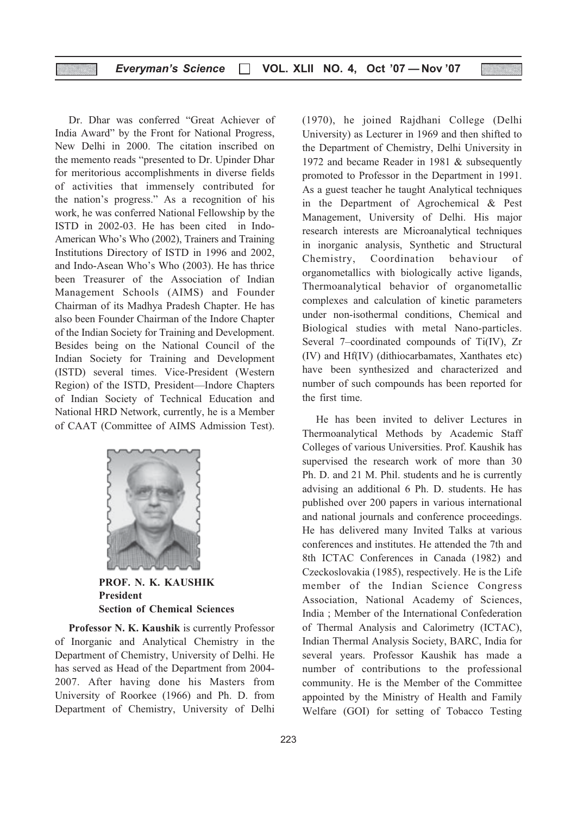Dr. Dhar was conferred "Great Achiever of India Award" by the Front for National Progress, New Delhi in 2000. The citation inscribed on the memento reads "presented to Dr. Upinder Dhar for meritorious accomplishments in diverse fields of activities that immensely contributed for the nation's progress." As a recognition of his work, he was conferred National Fellowship by the ISTD in 2002-03. He has been cited in Indo-American Who's Who (2002), Trainers and Training Institutions Directory of ISTD in 1996 and 2002, and Indo-Asean Who's Who (2003). He has thrice been Treasurer of the Association of Indian Management Schools (AIMS) and Founder Chairman of its Madhya Pradesh Chapter. He has also been Founder Chairman of the Indore Chapter of the Indian Society for Training and Development. Besides being on the National Council of the Indian Society for Training and Development (ISTD) several times. Vice-President (Western Region) of the ISTD, President—Indore Chapters of Indian Society of Technical Education and National HRD Network, currently, he is a Member of CAAT (Committee of AIMS Admission Test).



PROF. N. K. KAUSHIK President Section of Chemical Sciences

Professor N. K. Kaushik is currently Professor of Inorganic and Analytical Chemistry in the Department of Chemistry, University of Delhi. He has served as Head of the Department from 2004- 2007. After having done his Masters from University of Roorkee (1966) and Ph. D. from Department of Chemistry, University of Delhi

(1970), he joined Rajdhani College (Delhi University) as Lecturer in 1969 and then shifted to the Department of Chemistry, Delhi University in 1972 and became Reader in 1981 & subsequently promoted to Professor in the Department in 1991. As a guest teacher he taught Analytical techniques in the Department of Agrochemical & Pest Management, University of Delhi. His major research interests are Microanalytical techniques in inorganic analysis, Synthetic and Structural Chemistry, Coordination behaviour of organometallics with biologically active ligands, Thermoanalytical behavior of organometallic complexes and calculation of kinetic parameters under non-isothermal conditions, Chemical and Biological studies with metal Nano-particles. Several 7–coordinated compounds of Ti(IV), Zr (IV) and Hf(IV) (dithiocarbamates, Xanthates etc) have been synthesized and characterized and number of such compounds has been reported for the first time.

He has been invited to deliver Lectures in Thermoanalytical Methods by Academic Staff Colleges of various Universities. Prof. Kaushik has supervised the research work of more than 30 Ph. D. and 21 M. Phil. students and he is currently advising an additional 6 Ph. D. students. He has published over 200 papers in various international and national journals and conference proceedings. He has delivered many Invited Talks at various conferences and institutes. He attended the 7th and 8th ICTAC Conferences in Canada (1982) and Czeckoslovakia (1985), respectively. He is the Life member of the Indian Science Congress Association, National Academy of Sciences, India ; Member of the International Confederation of Thermal Analysis and Calorimetry (ICTAC), Indian Thermal Analysis Society, BARC, India for several years. Professor Kaushik has made a number of contributions to the professional community. He is the Member of the Committee appointed by the Ministry of Health and Family Welfare (GOI) for setting of Tobacco Testing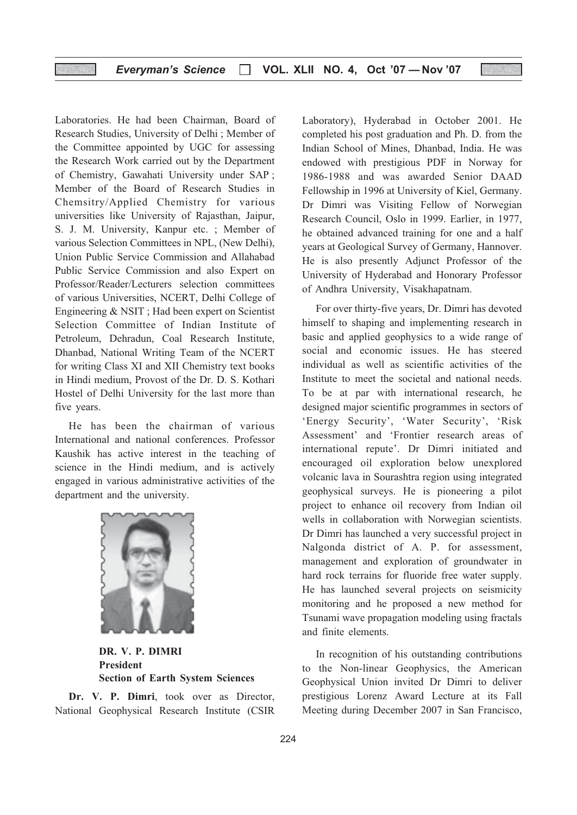Laboratories. He had been Chairman, Board of Research Studies, University of Delhi ; Member of the Committee appointed by UGC for assessing the Research Work carried out by the Department of Chemistry, Gawahati University under SAP ; Member of the Board of Research Studies in Chemsitry/Applied Chemistry for various universities like University of Rajasthan, Jaipur, S. J. M. University, Kanpur etc. ; Member of various Selection Committees in NPL, (New Delhi), Union Public Service Commission and Allahabad Public Service Commission and also Expert on Professor/Reader/Lecturers selection committees of various Universities, NCERT, Delhi College of Engineering & NSIT ; Had been expert on Scientist Selection Committee of Indian Institute of Petroleum, Dehradun, Coal Research Institute, Dhanbad, National Writing Team of the NCERT for writing Class XI and XII Chemistry text books in Hindi medium, Provost of the Dr. D. S. Kothari Hostel of Delhi University for the last more than five years.

He has been the chairman of various International and national conferences. Professor Kaushik has active interest in the teaching of science in the Hindi medium, and is actively engaged in various administrative activities of the department and the university.



DR. V. P. DIMRI President Section of Earth System Sciences

Dr. V. P. Dimri, took over as Director, National Geophysical Research Institute (CSIR

Laboratory), Hyderabad in October 2001. He completed his post graduation and Ph. D. from the Indian School of Mines, Dhanbad, India. He was endowed with prestigious PDF in Norway for 1986-1988 and was awarded Senior DAAD Fellowship in 1996 at University of Kiel, Germany. Dr Dimri was Visiting Fellow of Norwegian Research Council, Oslo in 1999. Earlier, in 1977, he obtained advanced training for one and a half years at Geological Survey of Germany, Hannover. He is also presently Adjunct Professor of the University of Hyderabad and Honorary Professor of Andhra University, Visakhapatnam.

For over thirty-five years, Dr. Dimri has devoted himself to shaping and implementing research in basic and applied geophysics to a wide range of social and economic issues. He has steered individual as well as scientific activities of the Institute to meet the societal and national needs. To be at par with international research, he designed major scientific programmes in sectors of 'Energy Security', 'Water Security', 'Risk Assessment' and 'Frontier research areas of international repute'. Dr Dimri initiated and encouraged oil exploration below unexplored volcanic lava in Sourashtra region using integrated geophysical surveys. He is pioneering a pilot project to enhance oil recovery from Indian oil wells in collaboration with Norwegian scientists. Dr Dimri has launched a very successful project in Nalgonda district of A. P. for assessment, management and exploration of groundwater in hard rock terrains for fluoride free water supply. He has launched several projects on seismicity monitoring and he proposed a new method for Tsunami wave propagation modeling using fractals and finite elements.

In recognition of his outstanding contributions to the Non-linear Geophysics, the American Geophysical Union invited Dr Dimri to deliver prestigious Lorenz Award Lecture at its Fall Meeting during December 2007 in San Francisco,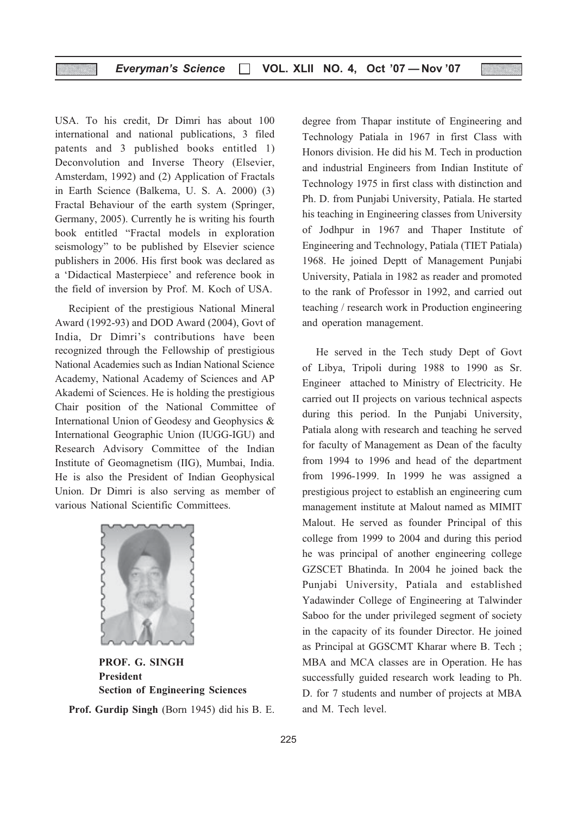USA. To his credit, Dr Dimri has about 100 international and national publications, 3 filed patents and 3 published books entitled 1) Deconvolution and Inverse Theory (Elsevier, Amsterdam, 1992) and (2) Application of Fractals in Earth Science (Balkema, U. S. A. 2000) (3) Fractal Behaviour of the earth system (Springer, Germany, 2005). Currently he is writing his fourth book entitled "Fractal models in exploration seismology" to be published by Elsevier science publishers in 2006. His first book was declared as a 'Didactical Masterpiece' and reference book in the field of inversion by Prof. M. Koch of USA.

Recipient of the prestigious National Mineral Award (1992-93) and DOD Award (2004), Govt of India, Dr Dimri's contributions have been recognized through the Fellowship of prestigious National Academies such as Indian National Science Academy, National Academy of Sciences and AP Akademi of Sciences. He is holding the prestigious Chair position of the National Committee of International Union of Geodesy and Geophysics & International Geographic Union (IUGG-IGU) and Research Advisory Committee of the Indian Institute of Geomagnetism (IIG), Mumbai, India. He is also the President of Indian Geophysical Union. Dr Dimri is also serving as member of various National Scientific Committees.



PROF. G. SINGH President Section of Engineering Sciences

Prof. Gurdip Singh (Born 1945) did his B. E.

degree from Thapar institute of Engineering and Technology Patiala in 1967 in first Class with Honors division. He did his M. Tech in production and industrial Engineers from Indian Institute of Technology 1975 in first class with distinction and Ph. D. from Punjabi University, Patiala. He started his teaching in Engineering classes from University of Jodhpur in 1967 and Thaper Institute of Engineering and Technology, Patiala (TIET Patiala) 1968. He joined Deptt of Management Punjabi University, Patiala in 1982 as reader and promoted to the rank of Professor in 1992, and carried out teaching / research work in Production engineering and operation management.

He served in the Tech study Dept of Govt of Libya, Tripoli during 1988 to 1990 as Sr. Engineer attached to Ministry of Electricity. He carried out II projects on various technical aspects during this period. In the Punjabi University, Patiala along with research and teaching he served for faculty of Management as Dean of the faculty from 1994 to 1996 and head of the department from 1996-1999. In 1999 he was assigned a prestigious project to establish an engineering cum management institute at Malout named as MIMIT Malout. He served as founder Principal of this college from 1999 to 2004 and during this period he was principal of another engineering college GZSCET Bhatinda. In 2004 he joined back the Punjabi University, Patiala and established Yadawinder College of Engineering at Talwinder Saboo for the under privileged segment of society in the capacity of its founder Director. He joined as Principal at GGSCMT Kharar where B. Tech ; MBA and MCA classes are in Operation. He has successfully guided research work leading to Ph. D. for 7 students and number of projects at MBA and M. Tech level.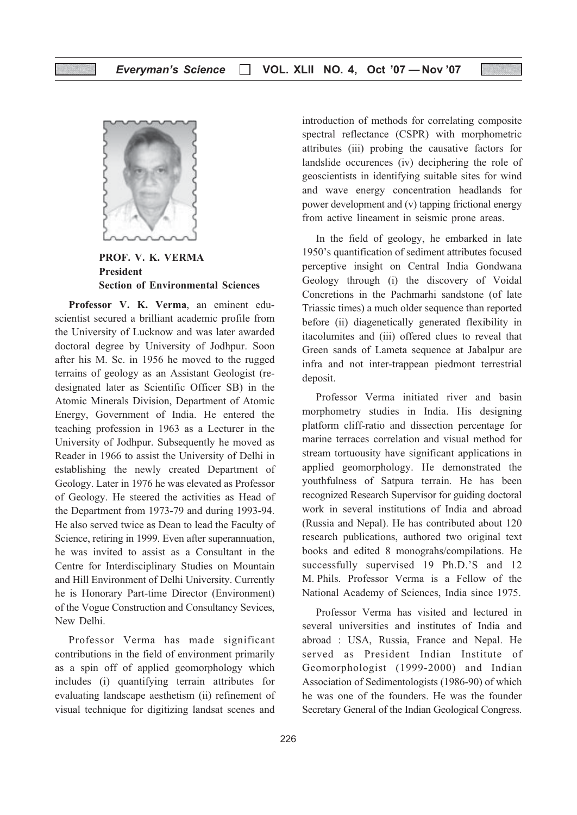

PROF. V. K. VERMA President Section of Environmental Sciences

Professor V. K. Verma, an eminent eduscientist secured a brilliant academic profile from the University of Lucknow and was later awarded doctoral degree by University of Jodhpur. Soon after his M. Sc. in 1956 he moved to the rugged terrains of geology as an Assistant Geologist (redesignated later as Scientific Officer SB) in the Atomic Minerals Division, Department of Atomic Energy, Government of India. He entered the teaching profession in 1963 as a Lecturer in the University of Jodhpur. Subsequently he moved as Reader in 1966 to assist the University of Delhi in establishing the newly created Department of Geology. Later in 1976 he was elevated as Professor of Geology. He steered the activities as Head of the Department from 1973-79 and during 1993-94. He also served twice as Dean to lead the Faculty of Science, retiring in 1999. Even after superannuation, he was invited to assist as a Consultant in the Centre for Interdisciplinary Studies on Mountain and Hill Environment of Delhi University. Currently he is Honorary Part-time Director (Environment) of the Vogue Construction and Consultancy Sevices, New Delhi.

Professor Verma has made significant contributions in the field of environment primarily as a spin off of applied geomorphology which includes (i) quantifying terrain attributes for evaluating landscape aesthetism (ii) refinement of visual technique for digitizing landsat scenes and introduction of methods for correlating composite spectral reflectance (CSPR) with morphometric attributes (iii) probing the causative factors for landslide occurences (iv) deciphering the role of geoscientists in identifying suitable sites for wind and wave energy concentration headlands for power development and (v) tapping frictional energy from active lineament in seismic prone areas.

In the field of geology, he embarked in late 1950's quantification of sediment attributes focused perceptive insight on Central India Gondwana Geology through (i) the discovery of Voidal Concretions in the Pachmarhi sandstone (of late Triassic times) a much older sequence than reported before (ii) diagenetically generated flexibility in itacolumites and (iii) offered clues to reveal that Green sands of Lameta sequence at Jabalpur are infra and not inter-trappean piedmont terrestrial deposit.

Professor Verma initiated river and basin morphometry studies in India. His designing platform cliff-ratio and dissection percentage for marine terraces correlation and visual method for stream tortuousity have significant applications in applied geomorphology. He demonstrated the youthfulness of Satpura terrain. He has been recognized Research Supervisor for guiding doctoral work in several institutions of India and abroad (Russia and Nepal). He has contributed about 120 research publications, authored two original text books and edited 8 monograhs/compilations. He successfully supervised 19 Ph.D.'S and 12 M. Phils. Professor Verma is a Fellow of the National Academy of Sciences, India since 1975.

Professor Verma has visited and lectured in several universities and institutes of India and abroad : USA, Russia, France and Nepal. He served as President Indian Institute of Geomorphologist (1999-2000) and Indian Association of Sedimentologists (1986-90) of which he was one of the founders. He was the founder Secretary General of the Indian Geological Congress.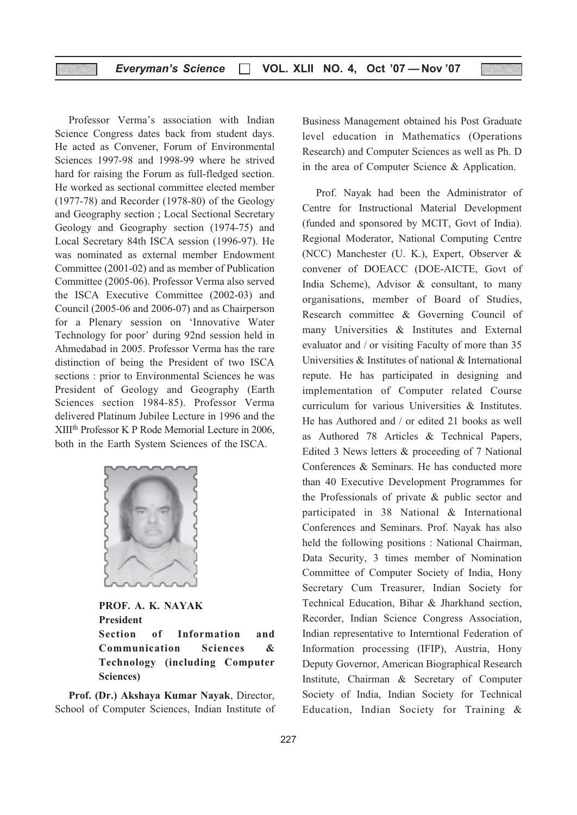Professor Verma's association with Indian Science Congress dates back from student days. He acted as Convener, Forum of Environmental Sciences 1997-98 and 1998-99 where he strived hard for raising the Forum as full-fledged section. He worked as sectional committee elected member (1977-78) and Recorder (1978-80) of the Geology and Geography section ; Local Sectional Secretary Geology and Geography section (1974-75) and Local Secretary 84th ISCA session (1996-97). He was nominated as external member Endowment Committee (2001-02) and as member of Publication Committee (2005-06). Professor Verma also served the ISCA Executive Committee (2002-03) and Council (2005-06 and 2006-07) and as Chairperson for a Plenary session on 'Innovative Water Technology for poor' during 92nd session held in Ahmedabad in 2005. Professor Verma has the rare distinction of being the President of two ISCA sections : prior to Environmental Sciences he was President of Geology and Geography (Earth Sciences section 1984-85). Professor Verma delivered Platinum Jubilee Lecture in 1996 and the XIIIth Professor K P Rode Memorial Lecture in 2006, both in the Earth System Sciences of the ISCA.



PROF. A. K. NAYAK President Section of Information and Communication Sciences & Technology (including Computer Sciences)

Prof. (Dr.) Akshaya Kumar Nayak, Director, School of Computer Sciences, Indian Institute of Business Management obtained his Post Graduate level education in Mathematics (Operations Research) and Computer Sciences as well as Ph. D in the area of Computer Science & Application.

Prof. Nayak had been the Administrator of Centre for Instructional Material Development (funded and sponsored by MCIT, Govt of India). Regional Moderator, National Computing Centre (NCC) Manchester (U. K.), Expert, Observer & convener of DOEACC (DOE-AICTE, Govt of India Scheme), Advisor & consultant, to many organisations, member of Board of Studies, Research committee & Governing Council of many Universities & Institutes and External evaluator and / or visiting Faculty of more than 35 Universities & Institutes of national & International repute. He has participated in designing and implementation of Computer related Course curriculum for various Universities & Institutes. He has Authored and / or edited 21 books as well as Authored 78 Articles & Technical Papers, Edited 3 News letters & proceeding of 7 National Conferences & Seminars. He has conducted more than 40 Executive Development Programmes for the Professionals of private & public sector and participated in 38 National & International Conferences and Seminars. Prof. Nayak has also held the following positions : National Chairman, Data Security, 3 times member of Nomination Committee of Computer Society of India, Hony Secretary Cum Treasurer, Indian Society for Technical Education, Bihar & Jharkhand section, Recorder, Indian Science Congress Association, Indian representative to Interntional Federation of Information processing (IFIP), Austria, Hony Deputy Governor, American Biographical Research Institute, Chairman & Secretary of Computer Society of India, Indian Society for Technical Education, Indian Society for Training &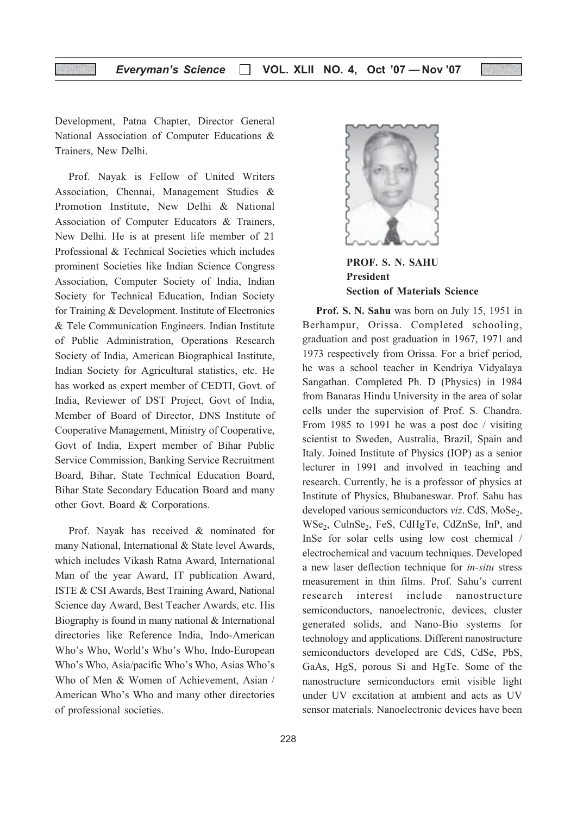Development, Patna Chapter, Director General National Association of Computer Educations & Trainers, New Delhi.

Prof. Nayak is Fellow of United Writers Association, Chennai, Management Studies & Promotion Institute, New Delhi & National Association of Computer Educators & Trainers, New Delhi. He is at present life member of 21 Professional & Technical Societies which includes prominent Societies like Indian Science Congress Association, Computer Society of India, Indian Society for Technical Education, Indian Society for Training & Development. Institute of Electronics & Tele Communication Engineers. Indian Institute of Public Administration, Operations Research Society of India, American Biographical Institute, Indian Society for Agricultural statistics, etc. He has worked as expert member of CEDTI, Govt. of India, Reviewer of DST Project, Govt of India, Member of Board of Director, DNS Institute of Cooperative Management, Ministry of Cooperative, Govt of India, Expert member of Bihar Public Service Commission, Banking Service Recruitment Board, Bihar, State Technical Education Board, Bihar State Secondary Education Board and many other Govt. Board & Corporations.

Prof. Nayak has received & nominated for many National, International & State level Awards, which includes Vikash Ratna Award, International Man of the year Award, IT publication Award, ISTE & CSI Awards, Best Training Award, National Science day Award, Best Teacher Awards, etc. His Biography is found in many national & International directories like Reference India, Indo-American Who's Who, World's Who's Who, Indo-European Who's Who, Asia/pacific Who's Who, Asias Who's Who of Men & Women of Achievement, Asian / American Who's Who and many other directories of professional societies.



PROF. S. N. SAHU President Section of Materials Science

Prof. S. N. Sahu was born on July 15, 1951 in Berhampur, Orissa. Completed schooling, graduation and post graduation in 1967, 1971 and 1973 respectively from Orissa. For a brief period, he was a school teacher in Kendriya Vidyalaya Sangathan. Completed Ph. D (Physics) in 1984 from Banaras Hindu University in the area of solar cells under the supervision of Prof. S. Chandra. From 1985 to 1991 he was a post doc / visiting scientist to Sweden, Australia, Brazil, Spain and Italy. Joined Institute of Physics (IOP) as a senior lecturer in 1991 and involved in teaching and research. Currently, he is a professor of physics at Institute of Physics, Bhubaneswar. Prof. Sahu has developed various semiconductors *viz*. CdS, MoSe<sub>2</sub>, WSe<sub>2</sub>, CulnSe<sub>2</sub>, FeS, CdHgTe, CdZnSe, InP, and InSe for solar cells using low cost chemical / electrochemical and vacuum techniques. Developed a new laser deflection technique for in-situ stress measurement in thin films. Prof. Sahu's current research interest include nanostructure semiconductors, nanoelectronic, devices, cluster generated solids, and Nano-Bio systems for technology and applications. Different nanostructure semiconductors developed are CdS, CdSe, PbS, GaAs, HgS, porous Si and HgTe. Some of the nanostructure semiconductors emit visible light under UV excitation at ambient and acts as UV sensor materials. Nanoelectronic devices have been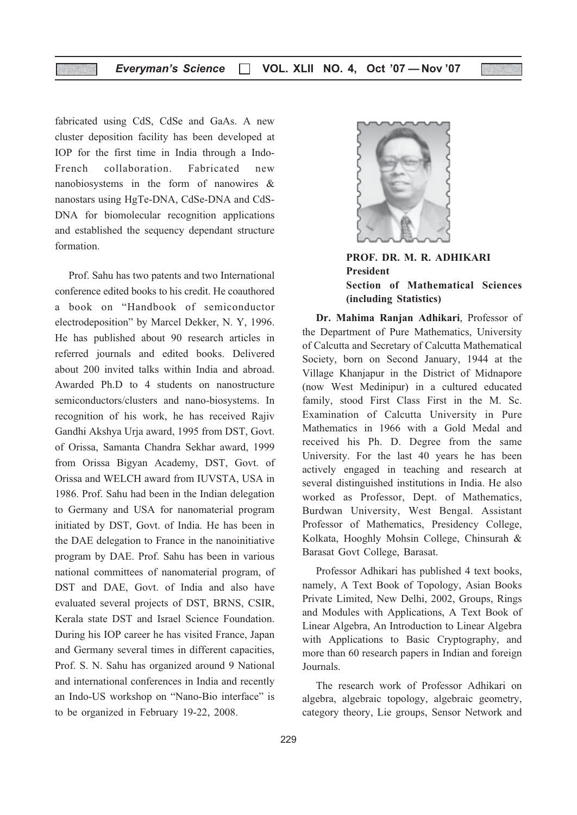fabricated using CdS, CdSe and GaAs. A new cluster deposition facility has been developed at IOP for the first time in India through a Indo-French collaboration. Fabricated new nanobiosystems in the form of nanowires & nanostars using HgTe-DNA, CdSe-DNA and CdS-DNA for biomolecular recognition applications and established the sequency dependant structure formation.

Prof. Sahu has two patents and two International conference edited books to his credit. He coauthored a book on "Handbook of semiconductor electrodeposition" by Marcel Dekker, N. Y, 1996. He has published about 90 research articles in referred journals and edited books. Delivered about 200 invited talks within India and abroad. Awarded Ph.D to 4 students on nanostructure semiconductors/clusters and nano-biosystems. In recognition of his work, he has received Rajiv Gandhi Akshya Urja award, 1995 from DST, Govt. of Orissa, Samanta Chandra Sekhar award, 1999 from Orissa Bigyan Academy, DST, Govt. of Orissa and WELCH award from IUVSTA, USA in 1986. Prof. Sahu had been in the Indian delegation to Germany and USA for nanomaterial program initiated by DST, Govt. of India. He has been in the DAE delegation to France in the nanoinitiative program by DAE. Prof. Sahu has been in various national committees of nanomaterial program, of DST and DAE, Govt. of India and also have evaluated several projects of DST, BRNS, CSIR, Kerala state DST and Israel Science Foundation. During his IOP career he has visited France, Japan and Germany several times in different capacities, Prof. S. N. Sahu has organized around 9 National and international conferences in India and recently an Indo-US workshop on "Nano-Bio interface" is to be organized in February 19-22, 2008.



PROF. DR. M. R. ADHIKARI President Section of Mathematical Sciences (including Statistics)

Dr. Mahima Ranjan Adhikari, Professor of the Department of Pure Mathematics, University of Calcutta and Secretary of Calcutta Mathematical Society, born on Second January, 1944 at the Village Khanjapur in the District of Midnapore (now West Medinipur) in a cultured educated family, stood First Class First in the M. Sc. Examination of Calcutta University in Pure Mathematics in 1966 with a Gold Medal and received his Ph. D. Degree from the same University. For the last 40 years he has been actively engaged in teaching and research at several distinguished institutions in India. He also worked as Professor, Dept. of Mathematics, Burdwan University, West Bengal. Assistant Professor of Mathematics, Presidency College, Kolkata, Hooghly Mohsin College, Chinsurah & Barasat Govt College, Barasat.

Professor Adhikari has published 4 text books, namely, A Text Book of Topology, Asian Books Private Limited, New Delhi, 2002, Groups, Rings and Modules with Applications, A Text Book of Linear Algebra, An Introduction to Linear Algebra with Applications to Basic Cryptography, and more than 60 research papers in Indian and foreign Journals.

The research work of Professor Adhikari on algebra, algebraic topology, algebraic geometry, category theory, Lie groups, Sensor Network and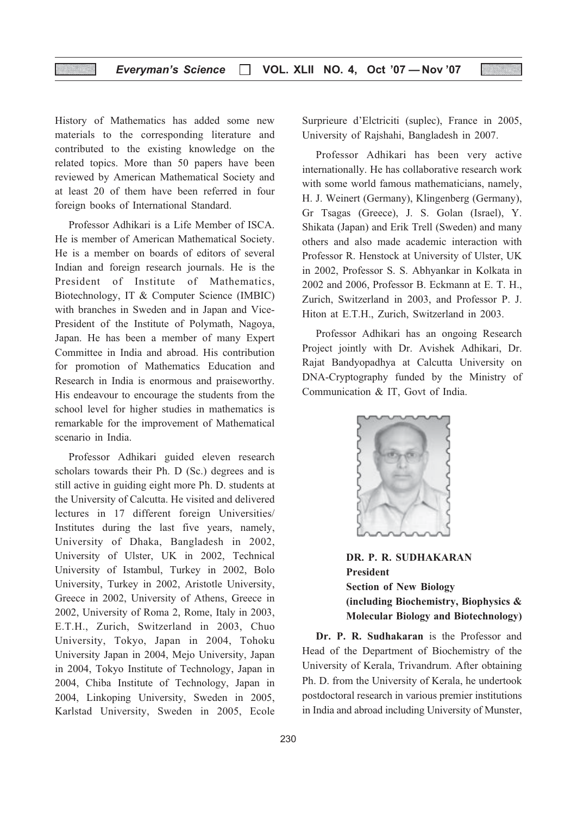History of Mathematics has added some new materials to the corresponding literature and contributed to the existing knowledge on the related topics. More than 50 papers have been reviewed by American Mathematical Society and at least 20 of them have been referred in four foreign books of International Standard.

Professor Adhikari is a Life Member of ISCA. He is member of American Mathematical Society. He is a member on boards of editors of several Indian and foreign research journals. He is the President of Institute of Mathematics, Biotechnology, IT & Computer Science (IMBIC) with branches in Sweden and in Japan and Vice-President of the Institute of Polymath, Nagoya, Japan. He has been a member of many Expert Committee in India and abroad. His contribution for promotion of Mathematics Education and Research in India is enormous and praiseworthy. His endeavour to encourage the students from the school level for higher studies in mathematics is remarkable for the improvement of Mathematical scenario in India.

Professor Adhikari guided eleven research scholars towards their Ph. D (Sc.) degrees and is still active in guiding eight more Ph. D. students at the University of Calcutta. He visited and delivered lectures in 17 different foreign Universities/ Institutes during the last five years, namely, University of Dhaka, Bangladesh in 2002, University of Ulster, UK in 2002, Technical University of Istambul, Turkey in 2002, Bolo University, Turkey in 2002, Aristotle University, Greece in 2002, University of Athens, Greece in 2002, University of Roma 2, Rome, Italy in 2003, E.T.H., Zurich, Switzerland in 2003, Chuo University, Tokyo, Japan in 2004, Tohoku University Japan in 2004, Mejo University, Japan in 2004, Tokyo Institute of Technology, Japan in 2004, Chiba Institute of Technology, Japan in 2004, Linkoping University, Sweden in 2005, Karlstad University, Sweden in 2005, Ecole

Surprieure d'Elctriciti (suplec), France in 2005, University of Rajshahi, Bangladesh in 2007.

Professor Adhikari has been very active internationally. He has collaborative research work with some world famous mathematicians, namely, H. J. Weinert (Germany), Klingenberg (Germany), Gr Tsagas (Greece), J. S. Golan (Israel), Y. Shikata (Japan) and Erik Trell (Sweden) and many others and also made academic interaction with Professor R. Henstock at University of Ulster, UK in 2002, Professor S. S. Abhyankar in Kolkata in 2002 and 2006, Professor B. Eckmann at E. T. H., Zurich, Switzerland in 2003, and Professor P. J. Hiton at E.T.H., Zurich, Switzerland in 2003.

Professor Adhikari has an ongoing Research Project jointly with Dr. Avishek Adhikari, Dr. Rajat Bandyopadhya at Calcutta University on DNA-Cryptography funded by the Ministry of Communication & IT, Govt of India.



DR. P. R. SUDHAKARAN President Section of New Biology (including Biochemistry, Biophysics & Molecular Biology and Biotechnology)

Dr. P. R. Sudhakaran is the Professor and Head of the Department of Biochemistry of the University of Kerala, Trivandrum. After obtaining Ph. D. from the University of Kerala, he undertook postdoctoral research in various premier institutions in India and abroad including University of Munster,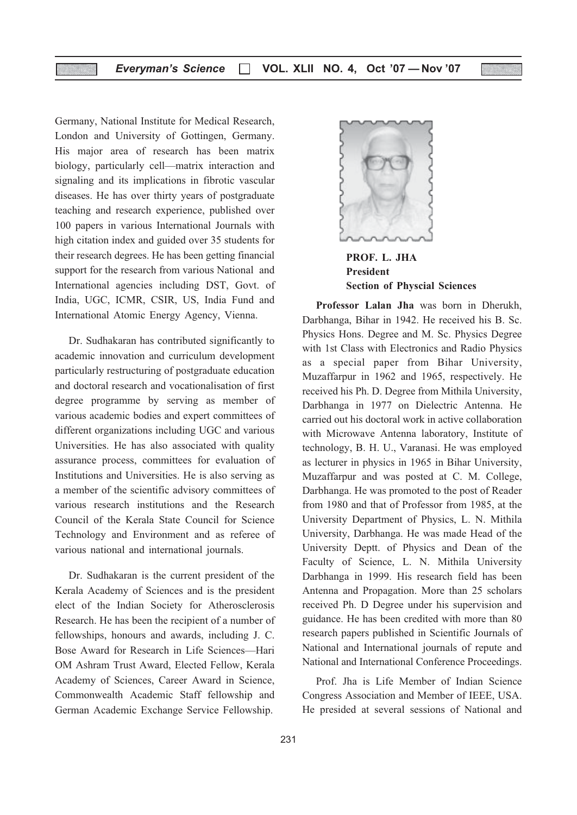Germany, National Institute for Medical Research, London and University of Gottingen, Germany. His major area of research has been matrix biology, particularly cell—matrix interaction and signaling and its implications in fibrotic vascular diseases. He has over thirty years of postgraduate teaching and research experience, published over 100 papers in various International Journals with high citation index and guided over 35 students for their research degrees. He has been getting financial support for the research from various National and International agencies including DST, Govt. of India, UGC, ICMR, CSIR, US, India Fund and International Atomic Energy Agency, Vienna.

Dr. Sudhakaran has contributed significantly to academic innovation and curriculum development particularly restructuring of postgraduate education and doctoral research and vocationalisation of first degree programme by serving as member of various academic bodies and expert committees of different organizations including UGC and various Universities. He has also associated with quality assurance process, committees for evaluation of Institutions and Universities. He is also serving as a member of the scientific advisory committees of various research institutions and the Research Council of the Kerala State Council for Science Technology and Environment and as referee of various national and international journals.

Dr. Sudhakaran is the current president of the Kerala Academy of Sciences and is the president elect of the Indian Society for Atherosclerosis Research. He has been the recipient of a number of fellowships, honours and awards, including J. C. Bose Award for Research in Life Sciences—Hari OM Ashram Trust Award, Elected Fellow, Kerala Academy of Sciences, Career Award in Science, Commonwealth Academic Staff fellowship and German Academic Exchange Service Fellowship.



PROF. L. JHA President Section of Physcial Sciences

Professor Lalan Jha was born in Dherukh, Darbhanga, Bihar in 1942. He received his B. Sc. Physics Hons. Degree and M. Sc. Physics Degree with 1st Class with Electronics and Radio Physics as a special paper from Bihar University, Muzaffarpur in 1962 and 1965, respectively. He received his Ph. D. Degree from Mithila University, Darbhanga in 1977 on Dielectric Antenna. He carried out his doctoral work in active collaboration with Microwave Antenna laboratory, Institute of technology, B. H. U., Varanasi. He was employed as lecturer in physics in 1965 in Bihar University, Muzaffarpur and was posted at C. M. College, Darbhanga. He was promoted to the post of Reader from 1980 and that of Professor from 1985, at the University Department of Physics, L. N. Mithila University, Darbhanga. He was made Head of the University Deptt. of Physics and Dean of the Faculty of Science, L. N. Mithila University Darbhanga in 1999. His research field has been Antenna and Propagation. More than 25 scholars received Ph. D Degree under his supervision and guidance. He has been credited with more than 80 research papers published in Scientific Journals of National and International journals of repute and National and International Conference Proceedings.

Prof. Jha is Life Member of Indian Science Congress Association and Member of IEEE, USA. He presided at several sessions of National and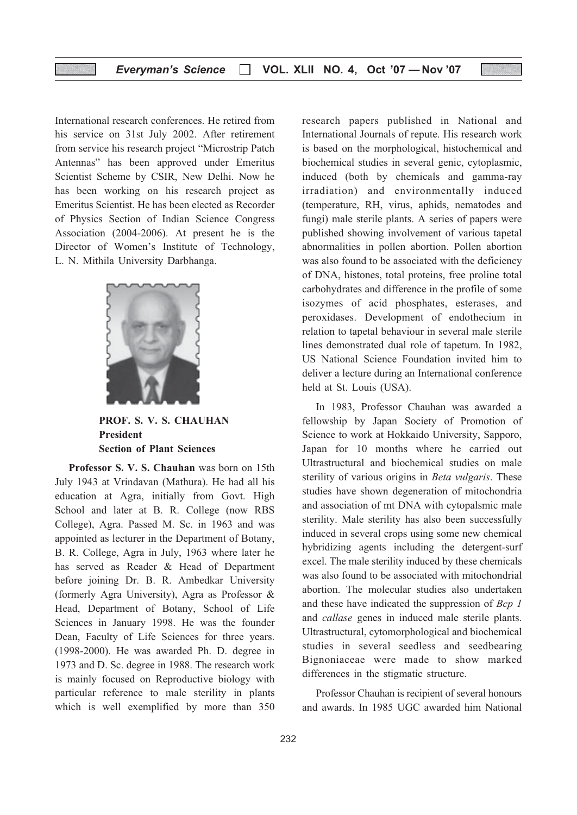International research conferences. He retired from his service on 31st July 2002. After retirement from service his research project "Microstrip Patch Antennas" has been approved under Emeritus Scientist Scheme by CSIR, New Delhi. Now he has been working on his research project as Emeritus Scientist. He has been elected as Recorder of Physics Section of Indian Science Congress Association (2004-2006). At present he is the Director of Women's Institute of Technology, L. N. Mithila University Darbhanga.



PROF. S. V. S. CHAUHAN President Section of Plant Sciences

Professor S. V. S. Chauhan was born on 15th July 1943 at Vrindavan (Mathura). He had all his education at Agra, initially from Govt. High School and later at B. R. College (now RBS College), Agra. Passed M. Sc. in 1963 and was appointed as lecturer in the Department of Botany, B. R. College, Agra in July, 1963 where later he has served as Reader & Head of Department before joining Dr. B. R. Ambedkar University (formerly Agra University), Agra as Professor & Head, Department of Botany, School of Life Sciences in January 1998. He was the founder Dean, Faculty of Life Sciences for three years. (1998-2000). He was awarded Ph. D. degree in 1973 and D. Sc. degree in 1988. The research work is mainly focused on Reproductive biology with particular reference to male sterility in plants which is well exemplified by more than 350 research papers published in National and International Journals of repute. His research work is based on the morphological, histochemical and biochemical studies in several genic, cytoplasmic, induced (both by chemicals and gamma-ray irradiation) and environmentally induced (temperature, RH, virus, aphids, nematodes and fungi) male sterile plants. A series of papers were published showing involvement of various tapetal abnormalities in pollen abortion. Pollen abortion was also found to be associated with the deficiency of DNA, histones, total proteins, free proline total carbohydrates and difference in the profile of some isozymes of acid phosphates, esterases, and peroxidases. Development of endothecium in relation to tapetal behaviour in several male sterile lines demonstrated dual role of tapetum. In 1982, US National Science Foundation invited him to deliver a lecture during an International conference held at St. Louis (USA).

In 1983, Professor Chauhan was awarded a fellowship by Japan Society of Promotion of Science to work at Hokkaido University, Sapporo, Japan for 10 months where he carried out Ultrastructural and biochemical studies on male sterility of various origins in Beta vulgaris. These studies have shown degeneration of mitochondria and association of mt DNA with cytopalsmic male sterility. Male sterility has also been successfully induced in several crops using some new chemical hybridizing agents including the detergent-surf excel. The male sterility induced by these chemicals was also found to be associated with mitochondrial abortion. The molecular studies also undertaken and these have indicated the suppression of Bcp 1 and callase genes in induced male sterile plants. Ultrastructural, cytomorphological and biochemical studies in several seedless and seedbearing Bignoniaceae were made to show marked differences in the stigmatic structure.

Professor Chauhan is recipient of several honours and awards. In 1985 UGC awarded him National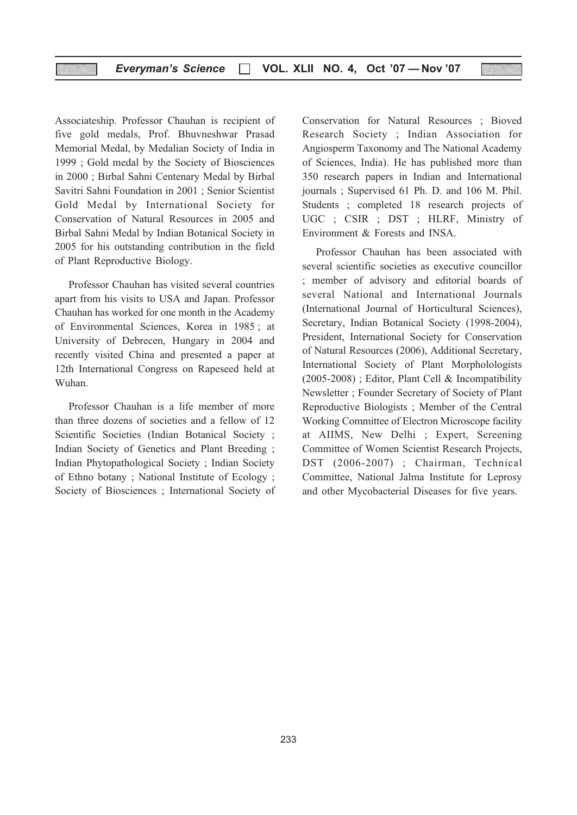Associateship. Professor Chauhan is recipient of five gold medals, Prof. Bhuvneshwar Prasad Memorial Medal, by Medalian Society of India in 1999 ; Gold medal by the Society of Biosciences in 2000 ; Birbal Sahni Centenary Medal by Birbal Savitri Sahni Foundation in 2001 ; Senior Scientist Gold Medal by International Society for Conservation of Natural Resources in 2005 and Birbal Sahni Medal by Indian Botanical Society in 2005 for his outstanding contribution in the field of Plant Reproductive Biology.

Professor Chauhan has visited several countries apart from his visits to USA and Japan. Professor Chauhan has worked for one month in the Academy of Environmental Sciences, Korea in 1985 ; at University of Debrecen, Hungary in 2004 and recently visited China and presented a paper at 12th International Congress on Rapeseed held at Wuhan.

Professor Chauhan is a life member of more than three dozens of societies and a fellow of 12 Scientific Societies (Indian Botanical Society ; Indian Society of Genetics and Plant Breeding ; Indian Phytopathological Society ; Indian Society of Ethno botany ; National Institute of Ecology ; Society of Biosciences ; International Society of Conservation for Natural Resources ; Bioved Research Society ; Indian Association for Angiosperm Taxonomy and The National Academy of Sciences, India). He has published more than 350 research papers in Indian and International journals ; Supervised 61 Ph. D. and 106 M. Phil. Students ; completed 18 research projects of UGC ; CSIR ; DST ; HLRF, Ministry of Environment & Forests and INSA.

Professor Chauhan has been associated with several scientific societies as executive councillor ; member of advisory and editorial boards of several National and International Journals (International Journal of Horticultural Sciences), Secretary, Indian Botanical Society (1998-2004), President, International Society for Conservation of Natural Resources (2006), Additional Secretary, International Society of Plant Morpholologists (2005-2008) ; Editor, Plant Cell & Incompatibility Newsletter ; Founder Secretary of Society of Plant Reproductive Biologists ; Member of the Central Working Committee of Electron Microscope facility at AIIMS, New Delhi ; Expert, Screening Committee of Women Scientist Research Projects, DST (2006-2007) ; Chairman, Technical Committee, National Jalma Institute for Leprosy and other Mycobacterial Diseases for five years.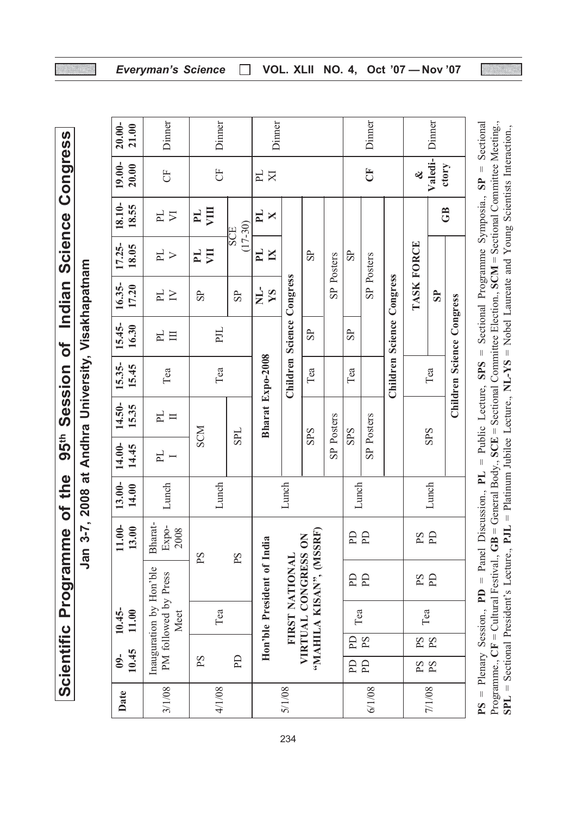Indian Science Congress Scientific Programme of the 95th Session of Indian Science Congress Session of 95<sup>th</sup> Scientific Programme of the

| l<br>ı                        |
|-------------------------------|
| <b>EXECUTES</b>               |
| $\overline{a}$<br>Ē<br>r<br>ಕ |
| cou                           |
| ।<br>८                        |

| $20.00 -$<br>21.00 | Dinner                           | Dinner                  |                         | Dinner                       |                            |                       |            |                       | Dinner         |                           |                                                                  | Dinner                  |                           |    |     |          |                |  |
|--------------------|----------------------------------|-------------------------|-------------------------|------------------------------|----------------------------|-----------------------|------------|-----------------------|----------------|---------------------------|------------------------------------------------------------------|-------------------------|---------------------------|----|-----|----------|----------------|--|
| 19.00-<br>20.00    | FO                               | FO                      |                         | E<br>$\overline{\mathbf{X}}$ |                            |                       |            |                       | Č              |                           | ∛                                                                | Valedi-                 | ctory                     |    |     |          |                |  |
| 18.10-<br>18.55    | $\frac{1}{2}$                    | ξ<br>PL                 | $(17-30)$<br><b>EOS</b> | $\mathbf{L}$<br>X            |                            |                       |            |                       |                |                           |                                                                  |                         | GB                        |    |     |          |                |  |
| $17.25 -$<br>18.05 | $\mathbb{H}$<br>$\triangleright$ | $\mathbb{H}$<br>貝       |                         | $\mathbf{H}$<br>$\mathbb{N}$ |                            | $\overline{\text{S}}$ | SP Posters | $\overline{\text{S}}$ | SP Posters     |                           |                                                                  |                         |                           |    |     |          |                |  |
| 16.35-<br>17.20    | $\mathbb{H}$<br>$\geq$           | S <sub>2</sub>          | $\overline{\text{S}}$   | )<br>N<br>YS                 |                            |                       |            |                       |                |                           | TASK FORCE                                                       | $\overline{\mathbf{S}}$ |                           |    |     |          |                |  |
| 15.45-<br>16.30    | PL<br>目                          | <b>TIG</b>              |                         |                              |                            | S <sub>P</sub>        |            | $\overline{S}$        |                |                           |                                                                  |                         |                           |    |     |          |                |  |
| 15.35-<br>15.45    | Tea                              | Tea                     |                         |                              | Children Science Congress  | Tea                   |            | Tea                   |                | Children Science Congress |                                                                  | Tea                     | Children Science Congress |    |     |          |                |  |
| 14.50-<br>15.35    | PL<br>$\Box$                     | <b>SCM</b>              | <b>SPL</b>              | Bharat Expo-2008             |                            | <b>SPS</b>            | SP Posters | <b>SPS</b>            | SP Posters     |                           |                                                                  | <b>SPS</b>              |                           |    |     |          |                |  |
| 14.00-<br>14.45    | $\mathbb{H}$                     |                         |                         |                              |                            |                       |            |                       |                |                           |                                                                  |                         |                           |    |     |          |                |  |
| 13.00-<br>14.00    | Lunch                            | Lunch                   |                         |                              | Lunch                      |                       | Lunch      |                       |                |                           | Lunch                                                            |                         |                           |    |     |          |                |  |
| $1.00 -$<br>3.00   | Bharat-<br>Expo-<br>2008         | $\mathbf{S} \mathbf{d}$ | PS                      |                              |                            |                       |            | E                     | P <sub>D</sub> |                           | P <sub>S</sub>                                                   | P <sub>D</sub>          |                           |    |     |          |                |  |
|                    | Inauguration by Hon'ble          |                         |                         |                              | Hon'ble President of India |                       |            |                       |                |                           | "MAHILA KISAN", (MSSRF)<br>VIRTUAL CONGRESS ON<br>FIRST NATIONAL |                         | $\mathbf{D}$              | PD |     | $\rm Sd$ | P <sub>D</sub> |  |
| $10.45 -$<br>11.00 | PM followed by Press<br>Meet     | Tea                     |                         |                              |                            |                       |            |                       |                |                           |                                                                  | Tea                     |                           |    | Tea |          |                |  |
| 10.45<br>$09 -$    |                                  | P <sub>S</sub>          | $\Gamma$                |                              |                            |                       |            | Eq                    | P <sub>S</sub> |                           | $\operatorname{S4}$                                              | $\mathbf{S}$            |                           |    |     |          |                |  |
|                    |                                  |                         |                         |                              |                            |                       |            | <b>Qd</b>             | $\mathbf{P}$   |                           | PS<br>PS                                                         |                         |                           |    |     |          |                |  |
| Date               | 3/1/08                           | 4/1/08                  |                         |                              | 5/1/08                     |                       |            |                       | 6/1/08         |                           |                                                                  | 7/1/08                  |                           |    |     |          |                |  |

 $PS =$  Plenary Session.,  $PD =$  Panel Discussion.,  $PL =$  Public Lecture,  $SPS =$  Sectional Programme Symposia.,  $SP =$  Sectional Programme.,  $CF =$  Cultural Festival.,  $GB =$  General Body.,  $SCE =$  Sectional Committee Election.,  $SCM =$  S PS = Plenary Session., PD = Panel Discussion., PL = Public Lecture, SPS = Sectional Programme Symposia., SP = Sectional Programme.,  $CF = Cultural$  Festival.,  $GB = General$  Body.,  $SCE = Sectional$  Committee Election.,  $SCM = Sectional$  Committee Meeting.,  $SPL = Sectional President's Lecture, **PJL** = Patinum Jubiles Lecture, **NL-YS** = Nobel Laureate and Young Scientists Interaction,$ SPL = Sectional President's Lecture., PJL = Platinum Jubilee Lecture., NL-YS = Nobel Laureate and Young Scientists Interaction.,

Everyman's Science □ VOL. XLII NO. 4, Oct '07 - Nov '07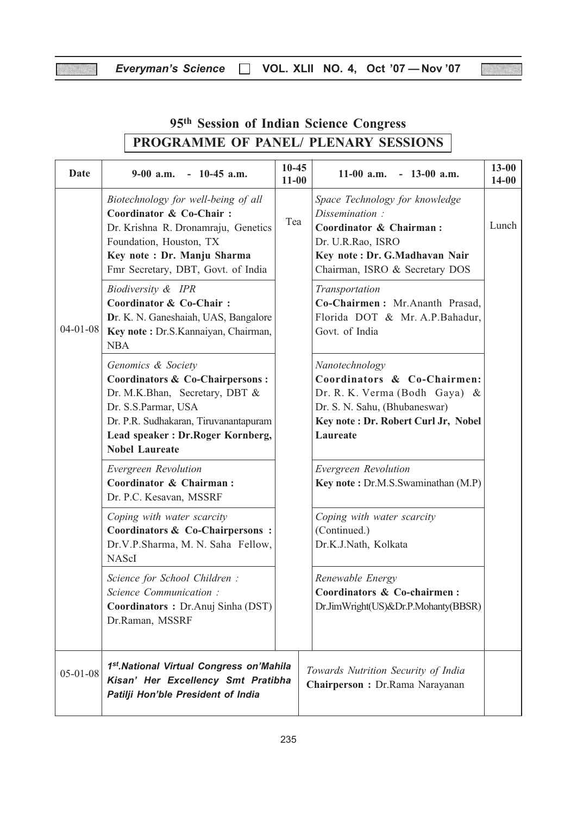X

W.

| Date           | $9-00$ a.m. $-10-45$ a.m.                                                                                                                                                                                            | $10 - 45$<br>$11 - 00$ | $11-00$ a.m.<br>$-13-00$ a.m.                                                                                                                                       | $13 - 00$<br>$14 - 00$ |
|----------------|----------------------------------------------------------------------------------------------------------------------------------------------------------------------------------------------------------------------|------------------------|---------------------------------------------------------------------------------------------------------------------------------------------------------------------|------------------------|
|                | Biotechnology for well-being of all<br>Coordinator & Co-Chair:<br>Dr. Krishna R. Dronamraju, Genetics<br>Foundation, Houston, TX<br>Key note : Dr. Manju Sharma<br>Fmr Secretary, DBT, Govt. of India                | Tea                    | Space Technology for knowledge<br>Dissemination:<br>Coordinator & Chairman:<br>Dr. U.R.Rao, ISRO<br>Key note: Dr. G.Madhavan Nair<br>Chairman, ISRO & Secretary DOS | Lunch                  |
| $04 - 01 - 08$ | Biodiversity & IPR<br>Coordinator & Co-Chair:<br>Dr. K. N. Ganeshaiah, UAS, Bangalore<br>Key note: Dr.S.Kannaiyan, Chairman,<br><b>NBA</b>                                                                           |                        | Transportation<br>Co-Chairmen: Mr.Ananth Prasad,<br>Florida DOT & Mr. A.P.Bahadur,<br>Govt. of India                                                                |                        |
|                | Genomics & Society<br>Coordinators & Co-Chairpersons:<br>Dr. M.K.Bhan, Secretary, DBT &<br>Dr. S.S.Parmar, USA<br>Dr. P.R. Sudhakaran, Tiruvanantapuram<br>Lead speaker: Dr.Roger Kornberg,<br><b>Nobel Laureate</b> |                        | Nanotechnology<br>Coordinators & Co-Chairmen:<br>Dr. R. K. Verma (Bodh Gaya) &<br>Dr. S. N. Sahu, (Bhubaneswar)<br>Key note: Dr. Robert Curl Jr, Nobel<br>Laureate  |                        |
|                | Evergreen Revolution<br>Coordinator & Chairman:<br>Dr. P.C. Kesavan, MSSRF                                                                                                                                           |                        | Evergreen Revolution<br>Key note: Dr.M.S.Swaminathan (M.P)                                                                                                          |                        |
|                | Coping with water scarcity<br>Coordinators & Co-Chairpersons:<br>Dr.V.P.Sharma, M. N. Saha Fellow,<br><b>NAScI</b>                                                                                                   |                        | Coping with water scarcity<br>(Continued.)<br>Dr.K.J.Nath, Kolkata                                                                                                  |                        |
|                | Science for School Children :<br>Science Communication:<br>Coordinators: Dr.Anuj Sinha (DST)<br>Dr.Raman, MSSRF                                                                                                      |                        | Renewable Energy<br>Coordinators & Co-chairmen:<br>Dr.JimWright(US)&Dr.P.Mohanty(BBSR)                                                                              |                        |
| $05 - 01 - 08$ | 1st. National Virtual Congress on'Mahila<br>Kisan' Her Excellency Smt Pratibha<br>Patilji Hon'ble President of India                                                                                                 |                        | Towards Nutrition Security of India<br>Chairperson: Dr.Rama Narayanan                                                                                               |                        |

# 95th Session of Indian Science Congress PROGRAMME OF PANEL/ PLENARY SESSIONS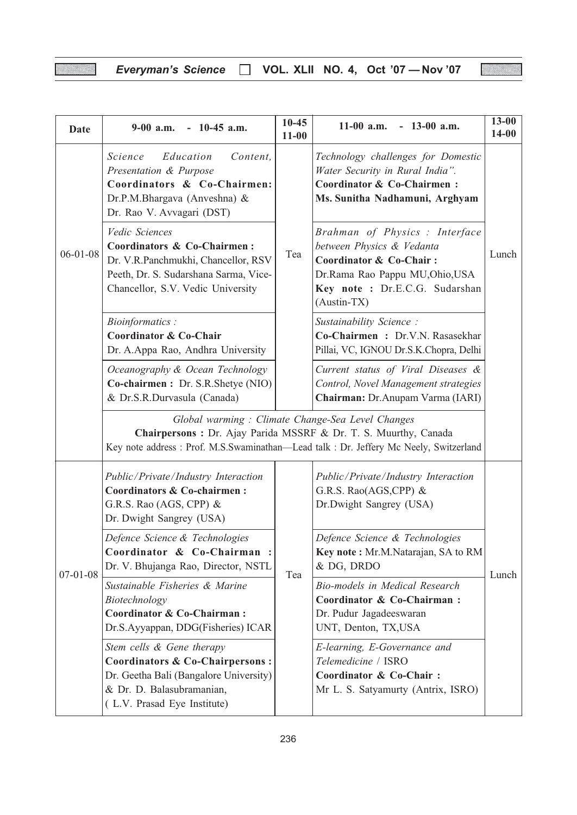W)

| <b>Date</b>    | $9-00$ a.m. $-10-45$ a.m.                                                                                                                                                                                                                                                                            | $10 - 45$<br>$11 - 00$                                                                                                                                                                                         | $11-00$ a.m.<br>$-13-00$ a.m.                                                                                                                                                | $13 - 00$<br>$14 - 00$ |  |
|----------------|------------------------------------------------------------------------------------------------------------------------------------------------------------------------------------------------------------------------------------------------------------------------------------------------------|----------------------------------------------------------------------------------------------------------------------------------------------------------------------------------------------------------------|------------------------------------------------------------------------------------------------------------------------------------------------------------------------------|------------------------|--|
|                | Education<br>Content,<br>Science<br>Presentation & Purpose<br>Coordinators & Co-Chairmen:<br>Dr.P.M.Bhargava (Anveshna) &<br>Dr. Rao V. Avvagari (DST)                                                                                                                                               |                                                                                                                                                                                                                | Technology challenges for Domestic<br>Water Security in Rural India".<br>Coordinator & Co-Chairmen:<br>Ms. Sunitha Nadhamuni, Arghyam                                        |                        |  |
| $06 - 01 - 08$ | Vedic Sciences<br>Coordinators & Co-Chairmen:<br>Dr. V.R.Panchmukhi, Chancellor, RSV<br>Peeth, Dr. S. Sudarshana Sarma, Vice-<br>Chancellor, S.V. Vedic University                                                                                                                                   | Tea                                                                                                                                                                                                            | Brahman of Physics : Interface<br>between Physics & Vedanta<br>Coordinator & Co-Chair:<br>Dr.Rama Rao Pappu MU, Ohio, USA<br>Key note : Dr.E.C.G. Sudarshan<br>$(Austin-TX)$ | Lunch                  |  |
|                | <b>Bioinformatics:</b><br><b>Coordinator &amp; Co-Chair</b><br>Dr. A.Appa Rao, Andhra University                                                                                                                                                                                                     |                                                                                                                                                                                                                | Sustainability Science:<br>Co-Chairmen: Dr.V.N. Rasasekhar<br>Pillai, VC, IGNOU Dr.S.K.Chopra, Delhi                                                                         |                        |  |
|                | Oceanography & Ocean Technology<br>Co-chairmen: Dr. S.R.Shetye (NIO)<br>& Dr.S.R.Durvasula (Canada)                                                                                                                                                                                                  |                                                                                                                                                                                                                | Current status of Viral Diseases &<br>Control, Novel Management strategies<br>Chairman: Dr.Anupam Varma (IARI)                                                               |                        |  |
|                |                                                                                                                                                                                                                                                                                                      | Global warming: Climate Change-Sea Level Changes<br>Chairpersons : Dr. Ajay Parida MSSRF & Dr. T. S. Muurthy, Canada<br>Key note address : Prof. M.S.Swaminathan-Lead talk : Dr. Jeffery Mc Neely, Switzerland |                                                                                                                                                                              |                        |  |
|                | Public/Private/Industry Interaction<br>Coordinators & Co-chairmen:<br>G.R.S. Rao (AGS, CPP) &<br>Dr. Dwight Sangrey (USA)                                                                                                                                                                            |                                                                                                                                                                                                                | Public/Private/Industry Interaction<br>G.R.S. Rao(AGS,CPP) &<br>Dr.Dwight Sangrey (USA)                                                                                      |                        |  |
| $07 - 01 - 08$ | Defence Science & Technologies<br>Coordinator & Co-Chairman :<br>Dr. V. Bhujanga Rao, Director, NSTL                                                                                                                                                                                                 | Tea                                                                                                                                                                                                            | Defence Science & Technologies<br>Key note: Mr.M.Natarajan, SA to RM<br>& DG, DRDO                                                                                           |                        |  |
|                | Sustainable Fisheries & Marine<br>Biotechnology<br>Coordinator & Co-Chairman:<br>Dr.S.Ayyappan, DDG(Fisheries) ICAR<br>Stem cells & Gene therapy<br><b>Coordinators &amp; Co-Chairpersons:</b><br>Dr. Geetha Bali (Bangalore University)<br>& Dr. D. Balasubramanian,<br>(L.V. Prasad Eye Institute) |                                                                                                                                                                                                                | Bio-models in Medical Research<br>Coordinator & Co-Chairman:<br>Dr. Pudur Jagadeeswaran<br>UNT, Denton, TX,USA                                                               | Lunch                  |  |
|                |                                                                                                                                                                                                                                                                                                      |                                                                                                                                                                                                                | E-learning, E-Governance and<br>Telemedicine / ISRO<br>Coordinator & Co-Chair:<br>Mr L. S. Satyamurty (Antrix, ISRO)                                                         |                        |  |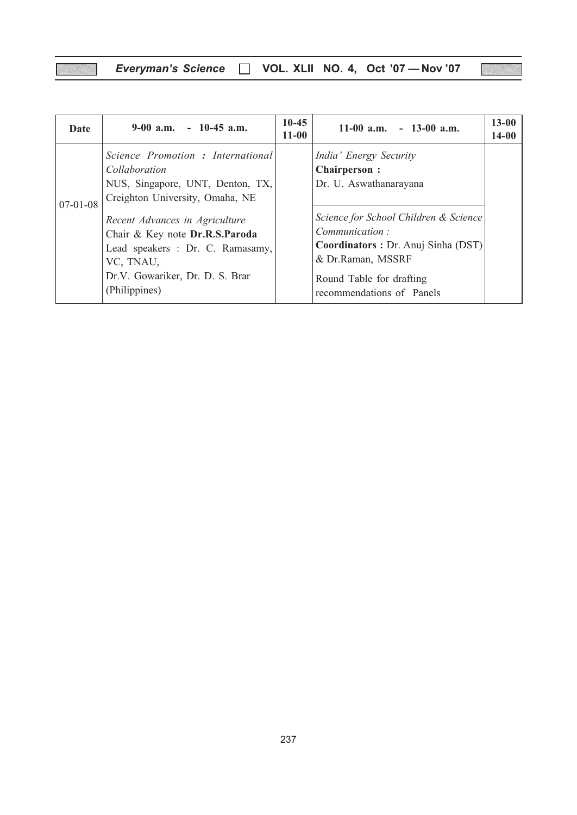V)

| Date           | $9-00$ a.m. $-10-45$ a.m.                                                                                                                                             | $10-45$<br>$11 - 00$ | $11-00$ a.m. $-13-00$ a.m.                                                                                                                                                  | $13 - 00$<br>$14 - 00$ |
|----------------|-----------------------------------------------------------------------------------------------------------------------------------------------------------------------|----------------------|-----------------------------------------------------------------------------------------------------------------------------------------------------------------------------|------------------------|
| $07 - 01 - 08$ | Science Promotion : International<br>Collaboration<br>NUS, Singapore, UNT, Denton, TX,<br>Creighton University, Omaha, NE                                             |                      | India' Energy Security<br><b>Chairperson:</b><br>Dr. U. Aswathanarayana                                                                                                     |                        |
|                | Recent Advances in Agriculture<br>Chair & Key note Dr.R.S.Paroda<br>Lead speakers : Dr. C. Ramasamy,<br>VC, TNAU,<br>Dr.V. Gowariker, Dr. D. S. Brar<br>(Philippines) |                      | Science for School Children & Science<br>Communication:<br>Coordinators: Dr. Anuj Sinha (DST)<br>& Dr.Raman, MSSRF<br>Round Table for drafting<br>recommendations of Panels |                        |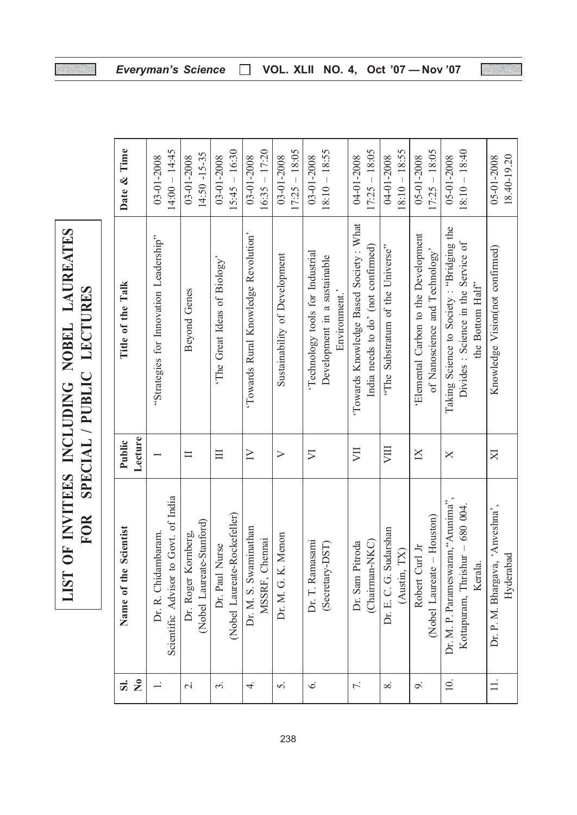| INCLUDING NOBEL LAUREATES | SPECIAL / PUBLIC LECTURES |
|---------------------------|---------------------------|
|                           |                           |
| LIST OF INVITEES          | <b>FOR</b>                |
|                           |                           |

88

| $\overline{\mathbf{s}}$ | Scientist<br>Name of the                                                        | Public           | Title of the Talk                                                                                    | Date & Time                     |
|-------------------------|---------------------------------------------------------------------------------|------------------|------------------------------------------------------------------------------------------------------|---------------------------------|
| $\mathbf{S}$            |                                                                                 | Lecture          |                                                                                                      |                                 |
|                         | Scientific Advisor to Govt. of India<br>Dr. R. Chidambaram.                     |                  | "Strategies for Innovation Leadership"                                                               | $14:00 - 14:45$<br>03-01-2008   |
| $\overline{\sim}$       | (Nobel Laureate-Stanford)<br>Dr. Roger Kornberg,                                | $\Box$           | <b>Beyond Genes</b>                                                                                  | $14:50 - 15 - 35$<br>03-01-2008 |
| $\dot{\mathfrak{c}}$    | (Nobel Laureate-Rockefeller)<br>Dr. Paul Nurse                                  | $\Box$           | 'The Great Ideas of Biology'                                                                         | $15:45 - 16:30$<br>03-01-2008   |
| $\overline{4}$          | Dr. M. S. Swaminathan<br>MSSRF, Chennai                                         | $\geq$           | 'Towards Rural Knowledge Revolution'                                                                 | $16:35 - 17:20$<br>03-01-2008   |
| 5.                      | Menon<br>Dr. M. G. K.                                                           | $\triangleright$ | Sustainability of Development                                                                        | $17:25 - 18:05$<br>03-01-2008   |
| 6.                      | Dr. T. Ramasami<br>(Secretary-DST)                                              | $\nabla$         | Technology tools for Industrial<br>Development in a sustainable<br>Environment.'                     | $18:10 - 18:55$<br>03-01-2008   |
| 7.                      | (Chairman-NKC)<br>Dr. Sam Pitroda                                               | VЦ               | 'Towards Knowledge Based Society: What<br>India needs to do' (not confirmed)                         | $17:25 - 18:05$<br>04-01-2008   |
| $\infty$                | Dr. E. C. G. Sudarshan<br>TX<br>(Austin,                                        | VIII             | "The Substratum of the Universe"                                                                     | $18:10 - 18:55$<br>04-01-2008   |
| o.                      | $-$ Houston $)$<br>Robert Curl Jr<br>(Nobel Laureate                            | $\overline{X}$   | 'Elemental Carbon to the Development<br>of Nanoscience and Technology'                               | $17:25 - 18:05$<br>05-01-2008   |
| 10.                     | Dr. M. P. Parameswaran, "Arunima",<br>Kottapuram, Thrishur - 680 004.<br>Kerala | $\times$         | Taking Science to Society : "Bridging the<br>Divides : Science in the Service of<br>the Bottom Half" | $18:10 - 18:40$<br>05-01-2008   |
|                         | 'Anveshna',<br>Hyderabad<br>Dr. P. M. Bhargava,                                 | $\boxtimes$      | Knowledge Vision(not confirmed)                                                                      | 05-01-2008<br>18.40-19.20       |

Everyman's Science □ VOL. XLII NO. 4, Oct '07 - Nov '07

W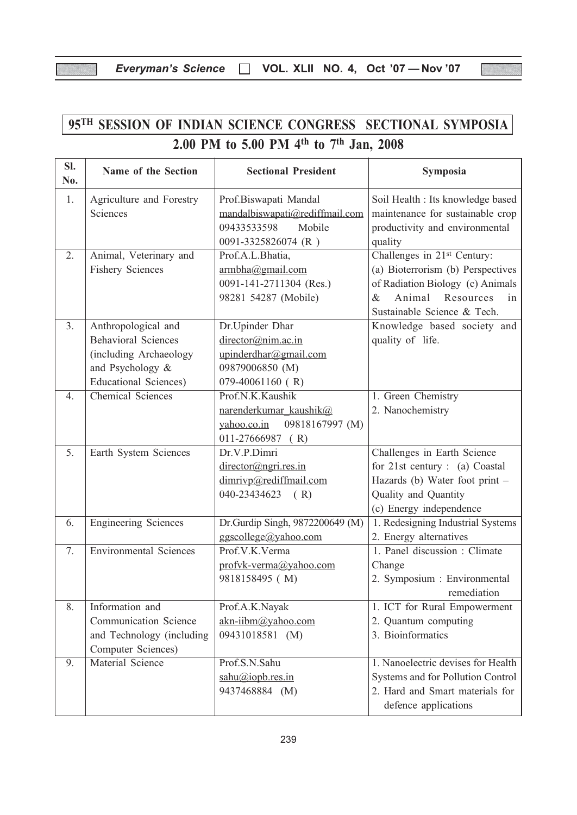X

羉

| 95TH SESSION OF INDIAN SCIENCE CONGRESS SECTIONAL SYMPOSIA |                                                                                                                                 |                                                                                                         |                                                                                                                                                                                |  |  |  |
|------------------------------------------------------------|---------------------------------------------------------------------------------------------------------------------------------|---------------------------------------------------------------------------------------------------------|--------------------------------------------------------------------------------------------------------------------------------------------------------------------------------|--|--|--|
|                                                            |                                                                                                                                 | 2.00 PM to 5.00 PM 4 <sup>th</sup> to 7 <sup>th</sup> Jan, 2008                                         |                                                                                                                                                                                |  |  |  |
| SI.<br>No.                                                 | Name of the Section                                                                                                             | <b>Sectional President</b>                                                                              | Symposia                                                                                                                                                                       |  |  |  |
| 1.                                                         | Agriculture and Forestry<br>Sciences                                                                                            | Prof.Biswapati Mandal<br>mandalbiswapati@rediffmail.com<br>09433533598<br>Mobile<br>0091-3325826074 (R) | Soil Health : Its knowledge based<br>maintenance for sustainable crop<br>productivity and environmental<br>quality                                                             |  |  |  |
| 2.                                                         | Animal, Veterinary and<br><b>Fishery Sciences</b>                                                                               | Prof.A.L.Bhatia,<br>armbha@gmail.com<br>0091-141-2711304 (Res.)<br>98281 54287 (Mobile)                 | Challenges in 21 <sup>st</sup> Century:<br>(a) Bioterrorism (b) Perspectives<br>of Radiation Biology (c) Animals<br>Animal Resources<br>&<br>in<br>Sustainable Science & Tech. |  |  |  |
| 3.                                                         | Anthropological and<br><b>Behavioral Sciences</b><br>(including Archaeology<br>and Psychology &<br><b>Educational Sciences)</b> | Dr.Upinder Dhar<br>director@nim.ac.in<br>upinderdhar@gmail.com<br>09879006850 (M)<br>079-40061160 (R)   | Knowledge based society and<br>quality of life.                                                                                                                                |  |  |  |
| 4.                                                         | <b>Chemical Sciences</b>                                                                                                        | Prof.N.K.Kaushik<br>narenderkumar kaushik@<br>09818167997 (M)<br>yahoo.co.in<br>$011-27666987$ (R)      | 1. Green Chemistry<br>2. Nanochemistry                                                                                                                                         |  |  |  |
| 5.                                                         | Earth System Sciences                                                                                                           | Dr.V.P.Dimri<br>director@ngri.res.in<br>dimrivp@rediffmail.com<br>040-23434623<br>(R)                   | Challenges in Earth Science<br>for 21st century : (a) Coastal<br>Hazards (b) Water foot print -<br>Quality and Quantity<br>(c) Energy independence                             |  |  |  |
| 6.                                                         | <b>Engineering Sciences</b>                                                                                                     | Dr.Gurdip Singh, 9872200649 (M)<br>ggscollege@yahoo.com                                                 | 1. Redesigning Industrial Systems<br>2. Energy alternatives                                                                                                                    |  |  |  |
| $\overline{7}$ .                                           | <b>Environmental Sciences</b>                                                                                                   | Prof.V.K.Verma<br>profyk-verma@yahoo.com<br>9818158495 (M)                                              | 1. Panel discussion : Climate<br>Change<br>2. Symposium : Environmental<br>remediation                                                                                         |  |  |  |
| 8.                                                         | Information and<br>Communication Science<br>and Technology (including<br>Computer Sciences)                                     | Prof.A.K.Nayak<br>akn-iibm@yahoo.com<br>09431018581 (M)                                                 | 1. ICT for Rural Empowerment<br>2. Quantum computing<br>3. Bioinformatics                                                                                                      |  |  |  |
| 9.                                                         | Material Science                                                                                                                | Prof.S.N.Sahu<br>sahu@iopb.res.in<br>9437468884 (M)                                                     | 1. Nanoelectric devises for Health<br>Systems and for Pollution Control<br>2. Hard and Smart materials for<br>defence applications                                             |  |  |  |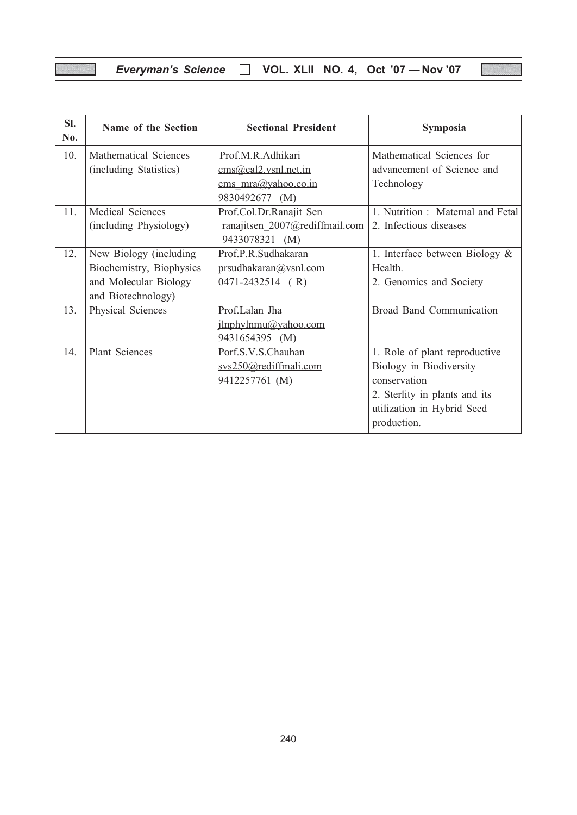|  | Everyman's Science □ VOL. XLII NO. 4, Oct '07 - Nov '07 |  |  |  |  |  |
|--|---------------------------------------------------------|--|--|--|--|--|
|--|---------------------------------------------------------|--|--|--|--|--|

| SI.<br>No. | Name of the Section      | <b>Sectional President</b>     | Symposia                          |
|------------|--------------------------|--------------------------------|-----------------------------------|
| 10.        | Mathematical Sciences    | Prof.M.R.Adhikari              | Mathematical Sciences for         |
|            | (including Statistics)   | $\cos(\omega$ cal2.vsnl.net.in | advancement of Science and        |
|            |                          | cms $mra@yahoo.co.in$          | Technology                        |
|            |                          | 9830492677 (M)                 |                                   |
| 11.        | Medical Sciences         | Prof.Col.Dr.Ranajit Sen        | 1. Nutrition : Maternal and Fetal |
|            | (including Physiology)   | ranajitsen 2007@rediffmail.com | 2. Infectious diseases            |
|            |                          | 9433078321 (M)                 |                                   |
| 12.        | New Biology (including   | Prof.P.R.Sudhakaran            | 1. Interface between Biology $\&$ |
|            | Biochemistry, Biophysics | prsudhakaran@vsnl.com          | Health.                           |
|            | and Molecular Biology    | $0471 - 2432514$ (R)           | 2. Genomics and Society           |
|            | and Biotechnology)       |                                |                                   |
| 13.        | Physical Sciences        | Prof.Lalan Jha                 | <b>Broad Band Communication</b>   |
|            |                          | jlnphylnmu@yahoo.com           |                                   |
|            |                          | 9431654395 (M)                 |                                   |
| 14.        | <b>Plant Sciences</b>    | Porf.S.V.S.Chauhan             | 1. Role of plant reproductive     |
|            |                          | svs250@rediffmali.com          | Biology in Biodiversity           |
|            |                          | 9412257761 (M)                 | conservation                      |
|            |                          |                                | 2. Sterlity in plants and its     |
|            |                          |                                | utilization in Hybrid Seed        |
|            |                          |                                | production.                       |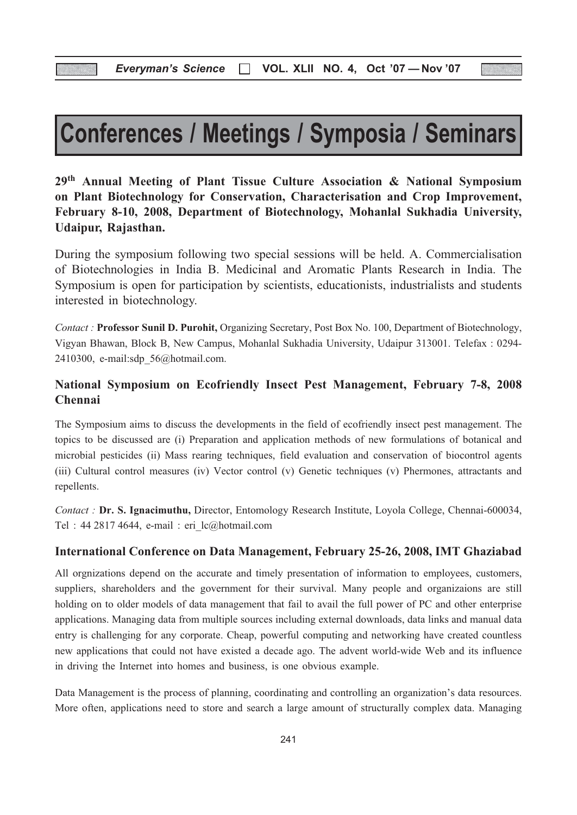# Conferences / Meetings / Symposia / Seminars

29th Annual Meeting of Plant Tissue Culture Association & National Symposium on Plant Biotechnology for Conservation, Characterisation and Crop Improvement, February 8-10, 2008, Department of Biotechnology, Mohanlal Sukhadia University, Udaipur, Rajasthan.

During the symposium following two special sessions will be held. A. Commercialisation of Biotechnologies in India B. Medicinal and Aromatic Plants Research in India. The Symposium is open for participation by scientists, educationists, industrialists and students interested in biotechnology.

Contact : Professor Sunil D. Purohit, Organizing Secretary, Post Box No. 100, Department of Biotechnology, Vigyan Bhawan, Block B, New Campus, Mohanlal Sukhadia University, Udaipur 313001. Telefax : 0294- 2410300, e-mail:sdp\_56@hotmail.com.

#### National Symposium on Ecofriendly Insect Pest Management, February 7-8, 2008 Chennai

The Symposium aims to discuss the developments in the field of ecofriendly insect pest management. The topics to be discussed are (i) Preparation and application methods of new formulations of botanical and microbial pesticides (ii) Mass rearing techniques, field evaluation and conservation of biocontrol agents (iii) Cultural control measures (iv) Vector control (v) Genetic techniques (v) Phermones, attractants and repellents.

Contact : Dr. S. Ignacimuthu, Director, Entomology Research Institute, Loyola College, Chennai-600034, Tel : 44 2817 4644, e-mail : eri\_lc@hotmail.com

#### International Conference on Data Management, February 25-26, 2008, IMT Ghaziabad

All orgnizations depend on the accurate and timely presentation of information to employees, customers, suppliers, shareholders and the government for their survival. Many people and organizaions are still holding on to older models of data management that fail to avail the full power of PC and other enterprise applications. Managing data from multiple sources including external downloads, data links and manual data entry is challenging for any corporate. Cheap, powerful computing and networking have created countless new applications that could not have existed a decade ago. The advent world-wide Web and its influence in driving the Internet into homes and business, is one obvious example.

Data Management is the process of planning, coordinating and controlling an organization's data resources. More often, applications need to store and search a large amount of structurally complex data. Managing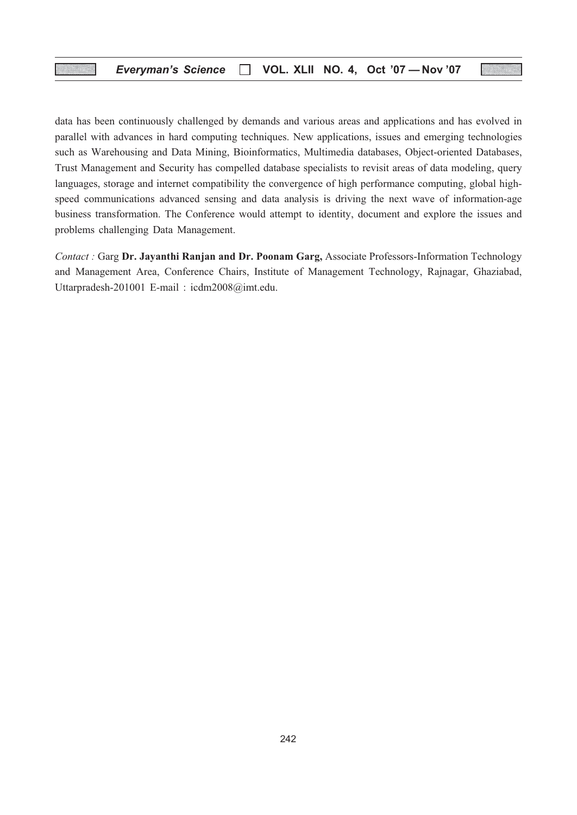data has been continuously challenged by demands and various areas and applications and has evolved in parallel with advances in hard computing techniques. New applications, issues and emerging technologies such as Warehousing and Data Mining, Bioinformatics, Multimedia databases, Object-oriented Databases, Trust Management and Security has compelled database specialists to revisit areas of data modeling, query languages, storage and internet compatibility the convergence of high performance computing, global highspeed communications advanced sensing and data analysis is driving the next wave of information-age business transformation. The Conference would attempt to identity, document and explore the issues and problems challenging Data Management.

Contact : Garg Dr. Jayanthi Ranjan and Dr. Poonam Garg, Associate Professors-Information Technology and Management Area, Conference Chairs, Institute of Management Technology, Rajnagar, Ghaziabad, Uttarpradesh-201001 E-mail : icdm2008@imt.edu.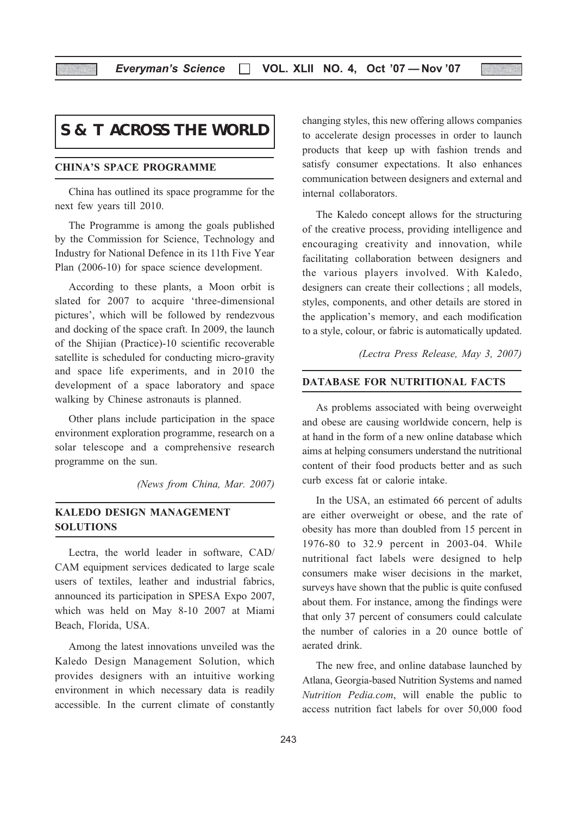# **S & T ACROSS THE WORLD**

#### CHINA'S SPACE PROGRAMME

China has outlined its space programme for the next few years till 2010.

The Programme is among the goals published by the Commission for Science, Technology and Industry for National Defence in its 11th Five Year Plan (2006-10) for space science development.

According to these plants, a Moon orbit is slated for 2007 to acquire 'three-dimensional pictures', which will be followed by rendezvous and docking of the space craft. In 2009, the launch of the Shijian (Practice)-10 scientific recoverable satellite is scheduled for conducting micro-gravity and space life experiments, and in 2010 the development of a space laboratory and space walking by Chinese astronauts is planned.

Other plans include participation in the space environment exploration programme, research on a solar telescope and a comprehensive research programme on the sun.

(News from China, Mar. 2007)

#### KALEDO DESIGN MANAGEMENT SOLUTIONS

Lectra, the world leader in software, CAD/ CAM equipment services dedicated to large scale users of textiles, leather and industrial fabrics, announced its participation in SPESA Expo 2007, which was held on May 8-10 2007 at Miami Beach, Florida, USA.

Among the latest innovations unveiled was the Kaledo Design Management Solution, which provides designers with an intuitive working environment in which necessary data is readily accessible. In the current climate of constantly changing styles, this new offering allows companies to accelerate design processes in order to launch products that keep up with fashion trends and satisfy consumer expectations. It also enhances communication between designers and external and internal collaborators.

The Kaledo concept allows for the structuring of the creative process, providing intelligence and encouraging creativity and innovation, while facilitating collaboration between designers and the various players involved. With Kaledo, designers can create their collections ; all models, styles, components, and other details are stored in the application's memory, and each modification to a style, colour, or fabric is automatically updated.

(Lectra Press Release, May 3, 2007)

#### DATABASE FOR NUTRITIONAL FACTS

As problems associated with being overweight and obese are causing worldwide concern, help is at hand in the form of a new online database which aims at helping consumers understand the nutritional content of their food products better and as such curb excess fat or calorie intake.

In the USA, an estimated 66 percent of adults are either overweight or obese, and the rate of obesity has more than doubled from 15 percent in 1976-80 to 32.9 percent in 2003-04. While nutritional fact labels were designed to help consumers make wiser decisions in the market, surveys have shown that the public is quite confused about them. For instance, among the findings were that only 37 percent of consumers could calculate the number of calories in a 20 ounce bottle of aerated drink.

The new free, and online database launched by Atlana, Georgia-based Nutrition Systems and named Nutrition Pedia.com, will enable the public to access nutrition fact labels for over 50,000 food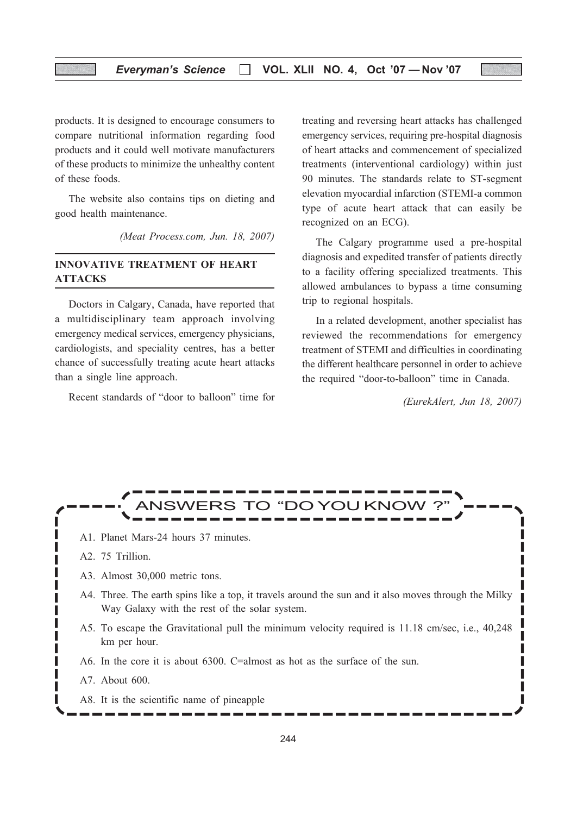products. It is designed to encourage consumers to compare nutritional information regarding food products and it could well motivate manufacturers of these products to minimize the unhealthy content of these foods.

The website also contains tips on dieting and good health maintenance.

(Meat Process.com, Jun. 18, 2007)

#### INNOVATIVE TREATMENT OF HEART ATTACKS

Doctors in Calgary, Canada, have reported that a multidisciplinary team approach involving emergency medical services, emergency physicians, cardiologists, and speciality centres, has a better chance of successfully treating acute heart attacks than a single line approach.

Recent standards of "door to balloon" time for

treating and reversing heart attacks has challenged emergency services, requiring pre-hospital diagnosis of heart attacks and commencement of specialized treatments (interventional cardiology) within just 90 minutes. The standards relate to ST-segment elevation myocardial infarction (STEMI-a common type of acute heart attack that can easily be recognized on an ECG).

The Calgary programme used a pre-hospital diagnosis and expedited transfer of patients directly to a facility offering specialized treatments. This allowed ambulances to bypass a time consuming trip to regional hospitals.

In a related development, another specialist has reviewed the recommendations for emergency treatment of STEMI and difficulties in coordinating the different healthcare personnel in order to achieve the required "door-to-balloon" time in Canada.

(EurekAlert, Jun 18, 2007)

П



- A1. Planet Mars-24 hours 37 minutes.
- A2. 75 Trillion.
- A3. Almost 30,000 metric tons.
- A4. Three. The earth spins like a top, it travels around the sun and it also moves through the Milky Way Galaxy with the rest of the solar system.
- A5. To escape the Gravitational pull the minimum velocity required is 11.18 cm/sec, i.e., 40,248 km per hour.
- A6. In the core it is about 6300. C=almost as hot as the surface of the sun.
- A7. About 600.
- A8. It is the scientific name of pineapple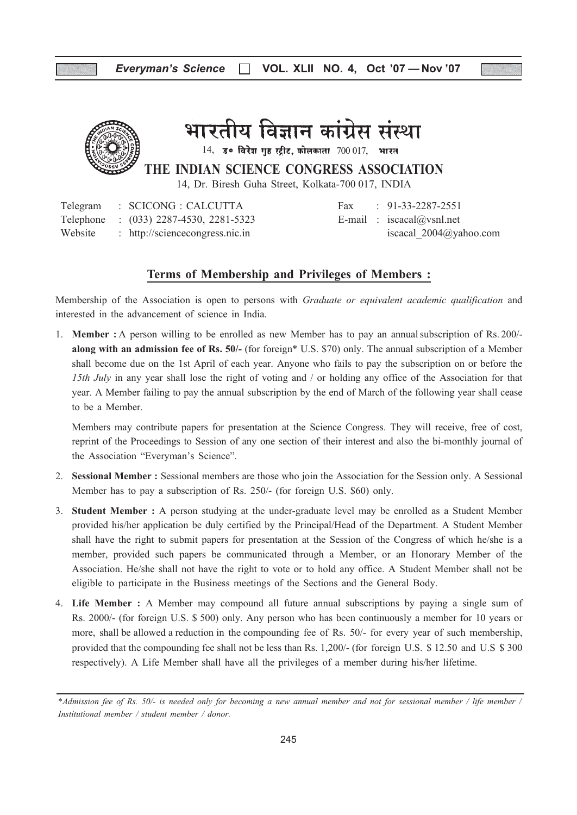

# भारतीय विज्ञान कांग्रेस संस्था

 $14$ , उ० विरेश गुष्ठ स्ट्रीट, कोलकाता  $700017$ , भारत

THE INDIAN SCIENCE CONGRESS ASSOCIATION

14, Dr. Biresh Guha Street, Kolkata-700 017, INDIA

Telegram : SCICONG : CALCUTTA Fax : 91-33-2287-2551 Telephone :  $(033)$  2287-4530, 2281-5323 E-mail : iscacal@vsnl.net Website : http://sciencecongress.nic.in iscacal 2004@yahoo.com

### Terms of Membership and Privileges of Members :

Membership of the Association is open to persons with *Graduate or equivalent academic qualification* and interested in the advancement of science in India.

1. Member : A person willing to be enrolled as new Member has to pay an annualsubscription of Rs. 200/ along with an admission fee of Rs. 50/- (for foreign\* U.S. \$70) only. The annual subscription of a Member shall become due on the 1st April of each year. Anyone who fails to pay the subscription on or before the 15th July in any year shall lose the right of voting and / or holding any office of the Association for that year. A Member failing to pay the annual subscription by the end of March of the following year shall cease to be a Member.

Members may contribute papers for presentation at the Science Congress. They will receive, free of cost, reprint of the Proceedings to Session of any one section of their interest and also the bi-monthly journal of the Association "Everyman's Science".

- 2. Sessional Member : Sessional members are those who join the Association for the Session only. A Sessional Member has to pay a subscription of Rs. 250/- (for foreign U.S. \$60) only.
- 3. Student Member : A person studying at the under-graduate level may be enrolled as a Student Member provided his/her application be duly certified by the Principal/Head of the Department. A Student Member shall have the right to submit papers for presentation at the Session of the Congress of which he/she is a member, provided such papers be communicated through a Member, or an Honorary Member of the Association. He/she shall not have the right to vote or to hold any office. A Student Member shall not be eligible to participate in the Business meetings of the Sections and the General Body.
- 4. Life Member : A Member may compound all future annual subscriptions by paying a single sum of Rs. 2000/- (for foreign U.S. \$ 500) only. Any person who has been continuously a member for 10 years or more, shall be allowed a reduction in the compounding fee of Rs. 50/- for every year of such membership, provided that the compounding fee shall not be less than Rs. 1,200/- (for foreign U.S. \$ 12.50 and U.S \$ 300 respectively). A Life Member shall have all the privileges of a member during his/her lifetime.

<sup>\*</sup>Admission fee of Rs. 50/- is needed only for becoming a new annual member and not for sessional member / life member / Institutional member / student member / donor.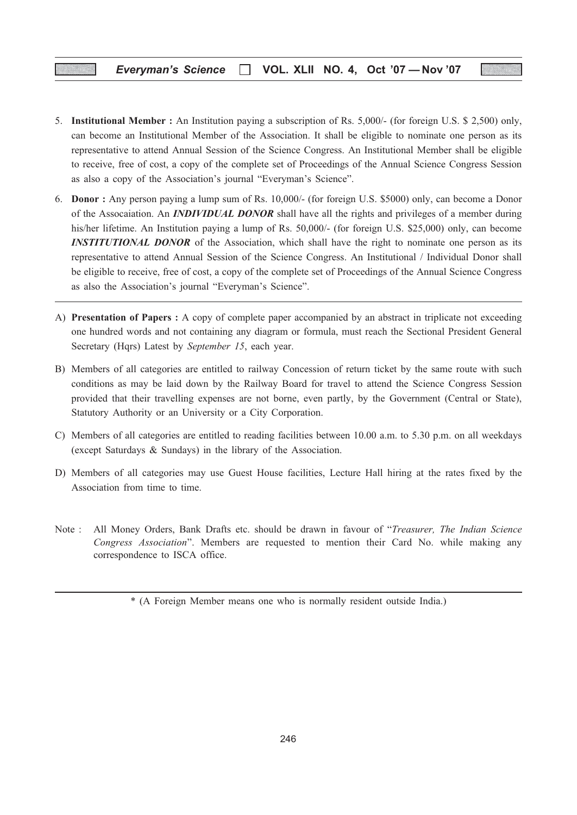#### Everyman's Science  $\Box$  VOL. XLII NO. 4, Oct '07 - Nov '07

- 5. Institutional Member : An Institution paying a subscription of Rs. 5,000/- (for foreign U.S. \$ 2,500) only, can become an Institutional Member of the Association. It shall be eligible to nominate one person as its representative to attend Annual Session of the Science Congress. An Institutional Member shall be eligible to receive, free of cost, a copy of the complete set of Proceedings of the Annual Science Congress Session as also a copy of the Association's journal "Everyman's Science".
- 6. Donor : Any person paying a lump sum of Rs. 10,000/- (for foreign U.S. \$5000) only, can become a Donor of the Assocaiation. An **INDIVIDUAL DONOR** shall have all the rights and privileges of a member during his/her lifetime. An Institution paying a lump of Rs. 50,000/- (for foreign U.S. \$25,000) only, can become **INSTITUTIONAL DONOR** of the Association, which shall have the right to nominate one person as its representative to attend Annual Session of the Science Congress. An Institutional / Individual Donor shall be eligible to receive, free of cost, a copy of the complete set of Proceedings of the Annual Science Congress as also the Association's journal "Everyman's Science".
- A) Presentation of Papers : A copy of complete paper accompanied by an abstract in triplicate not exceeding one hundred words and not containing any diagram or formula, must reach the Sectional President General Secretary (Hqrs) Latest by September 15, each year.
- B) Members of all categories are entitled to railway Concession of return ticket by the same route with such conditions as may be laid down by the Railway Board for travel to attend the Science Congress Session provided that their travelling expenses are not borne, even partly, by the Government (Central or State), Statutory Authority or an University or a City Corporation.
- C) Members of all categories are entitled to reading facilities between 10.00 a.m. to 5.30 p.m. on all weekdays (except Saturdays & Sundays) in the library of the Association.
- D) Members of all categories may use Guest House facilities, Lecture Hall hiring at the rates fixed by the Association from time to time.
- Note : All Money Orders, Bank Drafts etc. should be drawn in favour of "Treasurer, The Indian Science Congress Association". Members are requested to mention their Card No. while making any correspondence to ISCA office.

<sup>\* (</sup>A Foreign Member means one who is normally resident outside India.)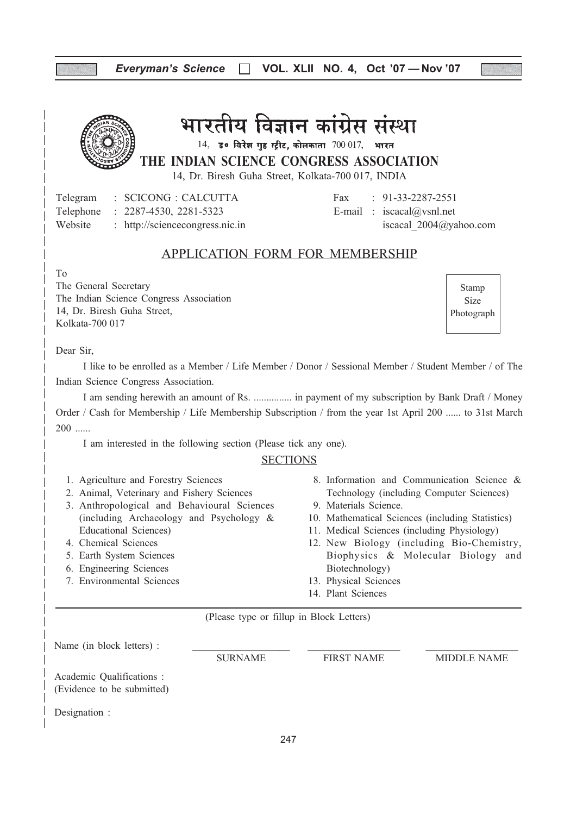# Everyman's Science  $\Box$  VOL. XLII NO. 4, Oct '07 - Nov '07



भारतीय विज्ञान कांग्रेस संस्था

THE INDIAN SCIENCE CONGRESS ASSOCIATION  $14$ , उ० विरेश गृह स्ट्रीट, कोलकाता  $700017$ , भारत

14, Dr. Biresh Guha Street, Kolkata-700 017, INDIA

Telegram : SCICONG : CALCUTTA Fax : 91-33-2287-2551 Telephone :  $2287-4530$ ,  $2281-5323$  E-mail : iscacal@vsnl.net Website : http://sciencecongress.nic.in iscacal 2004@yahoo.com

# APPLICATION FORM FOR MEMBERSHIP

To

The General Secretary The Indian Science Congress Association 14, Dr. Biresh Guha Street, Kolkata-700 017

Stamp Size Photograph

Dear Sir,

I like to be enrolled as a Member / Life Member / Donor / Sessional Member / Student Member / of The Indian Science Congress Association.

I am sending herewith an amount of Rs. ............... in payment of my subscription by Bank Draft / Money Order / Cash for Membership / Life Membership Subscription / from the year 1st April 200 ...... to 31st March 200 ......

I am interested in the following section (Please tick any one).

## **SECTIONS**

- 1. Agriculture and Forestry Sciences
- 2. Animal, Veterinary and Fishery Sciences
- 3. Anthropological and Behavioural Sciences (including Archaeology and Psychology & Educational Sciences)
- 4. Chemical Sciences
- 5. Earth System Sciences
- 6. Engineering Sciences
- 7. Environmental Sciences
- 8. Information and Communication Science & Technology (including Computer Sciences)
- 9. Materials Science.
- 10. Mathematical Sciences (including Statistics)
- 11. Medical Sciences (including Physiology)
- 12. New Biology (including Bio-Chemistry, Biophysics & Molecular Biology and Biotechnology)
- 13. Physical Sciences
- 14. Plant Sciences

(Please type or fillup in Block Letters)

Name (in block letters) :

Academic Qualifications :

SURNAME FIRST NAME MIDDLE NAME

(Evidence to be submitted)

Designation :